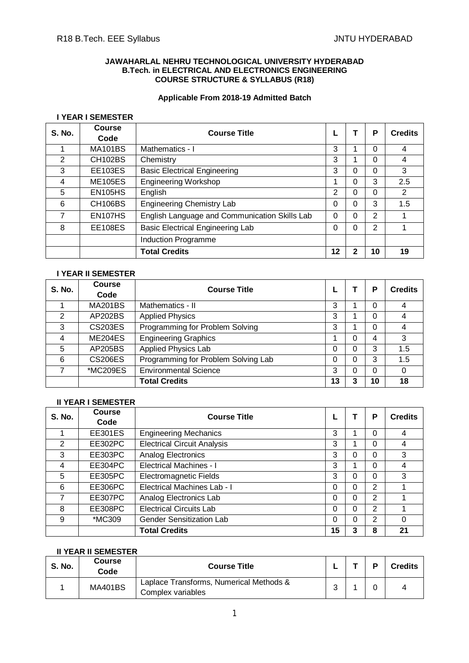#### **JAWAHARLAL NEHRU TECHNOLOGICAL UNIVERSITY HYDERABAD B.Tech. in ELECTRICAL AND ELECTRONICS ENGINEERING COURSE STRUCTURE & SYLLABUS (R18)**

#### **Applicable From 2018-19 Admitted Batch**

#### **I YEAR I SEMESTER**

| <b>S. No.</b> | Course<br>Code       | <b>Course Title</b>                           |    |   | P  | <b>Credits</b> |
|---------------|----------------------|-----------------------------------------------|----|---|----|----------------|
|               | <b>MA101BS</b>       | Mathematics - I                               | 3  |   | 0  | $\overline{4}$ |
| 2             | <b>CH102BS</b>       | Chemistry                                     | 3  |   | 0  | 4              |
| 3             | <b>EE103ES</b>       | <b>Basic Electrical Engineering</b>           | 3  | 0 | 0  | 3              |
| 4             | <b>ME105ES</b>       | <b>Engineering Workshop</b>                   |    | 0 | 3  | 2.5            |
| 5             | <b>EN105HS</b>       | English                                       | 2  | 0 | 0  | 2              |
| 6             | CH <sub>106</sub> BS | <b>Engineering Chemistry Lab</b>              | 0  | 0 | 3  | 1.5            |
| 7             | EN107HS              | English Language and Communication Skills Lab | 0  | 0 | 2  |                |
| 8             | <b>EE108ES</b>       | <b>Basic Electrical Engineering Lab</b>       | 0  | 0 | 2  |                |
|               |                      | Induction Programme                           |    |   |    |                |
|               |                      | <b>Total Credits</b>                          | 12 | 2 | 10 | 19             |

# **I YEAR II SEMESTER**

| <b>S. No.</b>  | <b>Course</b>  | <b>Course Title</b>                 |    |   | P  | <b>Credits</b> |
|----------------|----------------|-------------------------------------|----|---|----|----------------|
|                | Code           |                                     |    |   |    |                |
|                | <b>MA201BS</b> | Mathematics - II                    | 3  |   | 0  | 4              |
| $\overline{2}$ | AP202BS        | <b>Applied Physics</b>              | 3  |   | 0  | 4              |
| 3              | <b>CS203ES</b> | Programming for Problem Solving     | 3  |   | 0  | 4              |
| 4              | <b>ME204ES</b> | <b>Engineering Graphics</b>         |    |   | 4  | 3              |
| 5              | AP205BS        | <b>Applied Physics Lab</b>          | 0  |   | 3  | 1.5            |
| 6              | <b>CS206ES</b> | Programming for Problem Solving Lab | 0  |   | 3  | 1.5            |
|                | *MC209ES       | <b>Environmental Science</b>        | 3  |   | 0  | 0              |
|                |                | <b>Total Credits</b>                | 13 | າ | 10 | 18             |

# **II YEAR I SEMESTER**

| <b>S. No.</b>  | <b>Course</b><br>Code | <b>Course Title</b>                |    |   | Р              | <b>Credits</b> |
|----------------|-----------------------|------------------------------------|----|---|----------------|----------------|
|                | <b>EE301ES</b>        | <b>Engineering Mechanics</b>       | 3  |   | 0              | 4              |
| $\overline{2}$ | EE302PC               | <b>Electrical Circuit Analysis</b> | 3  |   | 0              | 4              |
| 3              | EE303PC               | Analog Electronics                 | 3  | ი | 0              | 3              |
| 4              | EE304PC               | <b>Electrical Machines - I</b>     | 3  |   | 0              | 4              |
| 5              | <b>EE305PC</b>        | Electromagnetic Fields             | 3  | 0 | $\Omega$       | 3              |
| 6              | EE306PC               | Electrical Machines Lab - I        | 0  | 0 | $\overline{2}$ |                |
| 7              | EE307PC               | Analog Electronics Lab             | 0  | 0 | $\overline{2}$ |                |
| 8              | EE308PC               | <b>Electrical Circuits Lab</b>     | 0  | 0 | $\overline{2}$ |                |
| 9              | *MC309                | <b>Gender Sensitization Lab</b>    | 0  | 0 | 2              | 0              |
|                |                       | <b>Total Credits</b>               | 15 | 3 | 8              | 21             |

# **II YEAR II SEMESTER**

| <b>S. No.</b> | <b>Course</b><br>Code | <b>Course Title</b>                                          |  | <b>Credits</b> |
|---------------|-----------------------|--------------------------------------------------------------|--|----------------|
|               | <b>MA401BS</b>        | Laplace Transforms, Numerical Methods &<br>Complex variables |  |                |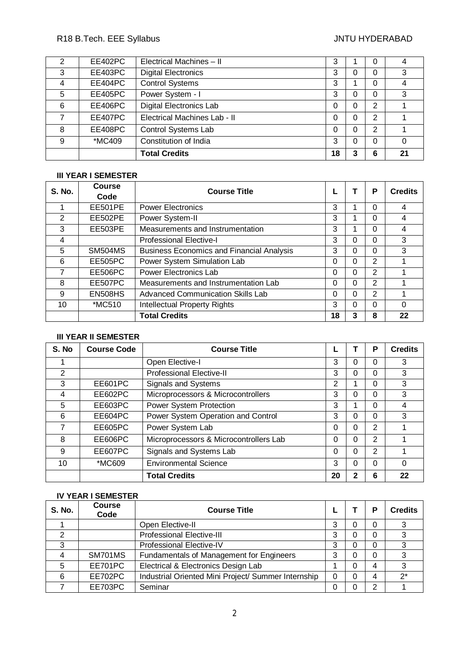# R18 B.Tech. EEE Syllabus **All and Syllabus** JNTU HYDERABAD

|   | EE402PC        | Electrical Machines - II       | 3        |   | 0 |    |
|---|----------------|--------------------------------|----------|---|---|----|
| 3 | EE403PC        | <b>Digital Electronics</b>     | 3        | O | 0 | 3  |
|   | EE404PC        | <b>Control Systems</b>         | 3        |   | 0 |    |
| 5 | <b>EE405PC</b> | Power System - I               | 3        |   | 0 | 3  |
| 6 | EE406PC        | <b>Digital Electronics Lab</b> | 0        | 0 | 2 |    |
|   | EE407PC        | Electrical Machines Lab - II   | 0        | 0 | 2 |    |
| 8 | EE408PC        | Control Systems Lab            | $\Omega$ | 0 | 2 |    |
| 9 | *MC409         | Constitution of India          | 3        |   | 0 |    |
|   |                | <b>Total Credits</b>           | 18       | 3 | 6 | 21 |

# **III YEAR I SEMESTER**

| <b>S. No.</b> | <b>Course</b>  | <b>Course Title</b>                              |    |   | P             | <b>Credits</b> |
|---------------|----------------|--------------------------------------------------|----|---|---------------|----------------|
|               | Code           |                                                  |    |   |               |                |
|               | <b>EE501PE</b> | <b>Power Electronics</b>                         | 3  |   | 0             | 4              |
| 2             | <b>EE502PE</b> | Power System-II                                  | 3  |   | 0             | 4              |
| 3             | <b>EE503PE</b> | Measurements and Instrumentation                 | 3  |   | 0             | 4              |
| 4             |                | <b>Professional Elective-I</b>                   | 3  | 0 | $\Omega$      | 3              |
| 5             | <b>SM504MS</b> | <b>Business Economics and Financial Analysis</b> | 3  | 0 | 0             | 3              |
| 6             | <b>EE505PC</b> | Power System Simulation Lab                      | 0  | 0 | $\mathcal{P}$ |                |
| 7             | EE506PC        | <b>Power Electronics Lab</b>                     | 0  | 0 | $\mathcal{P}$ |                |
| 8             | EE507PC        | Measurements and Instrumentation Lab             | 0  | 0 | 2             |                |
| 9             | <b>EN508HS</b> | Advanced Communication Skills Lab                | 0  | 0 | 2             |                |
| 10            | *MC510         | <b>Intellectual Property Rights</b>              | 3  | 0 | 0             | 0              |
|               |                | <b>Total Credits</b>                             | 18 | 3 | 8             | 22             |

#### **III YEAR II SEMESTER**

| S. No          | <b>Course Code</b> | <b>Course Title</b>                    |    |   | P | <b>Credits</b> |
|----------------|--------------------|----------------------------------------|----|---|---|----------------|
|                |                    | Open Elective-I                        | 3  | 0 | 0 | 3              |
| $\overline{2}$ |                    | <b>Professional Elective-II</b>        | 3  | 0 | 0 | 3              |
| 3              | EE601PC            | <b>Signals and Systems</b>             | 2  |   | 0 | 3              |
| 4              | <b>EE602PC</b>     | Microprocessors & Microcontrollers     | 3  | 0 | 0 | 3              |
| 5              | EE603PC            | Power System Protection                | 3  |   | 0 | 4              |
| 6              | EE604PC            | Power System Operation and Control     | 3  | 0 | 0 | 3              |
| 7              | <b>EE605PC</b>     | Power System Lab                       | 0  | 0 | 2 |                |
| 8              | EE606PC            | Microprocessors & Microcontrollers Lab | 0  | 0 | 2 |                |
| 9              | EE607PC            | Signals and Systems Lab                | 0  | 0 | 2 |                |
| 10             | *MC609             | <b>Environmental Science</b>           | 3  | 0 | 0 | 0              |
|                |                    | <b>Total Credits</b>                   | 20 | 2 | 6 | 22             |

# **IV YEAR I SEMESTER**

| <b>S. No.</b> | <b>Course</b><br>Code | <b>Course Title</b>                                 |   |   | <b>Credits</b> |
|---------------|-----------------------|-----------------------------------------------------|---|---|----------------|
|               |                       | Open Elective-II                                    | ◠ |   | 2              |
|               |                       | <b>Professional Elective-III</b>                    | 3 |   |                |
|               |                       | Professional Elective-IV                            | າ |   |                |
|               | SM701MS               | Fundamentals of Management for Engineers            | 3 |   | っ              |
| 5             | EE701PC               | Electrical & Electronics Design Lab                 |   |   | ર              |
| 6             | EE702PC               | Industrial Oriented Mini Project/ Summer Internship |   |   | $2^*$          |
|               | EE703PC               | Seminar                                             |   | ◠ |                |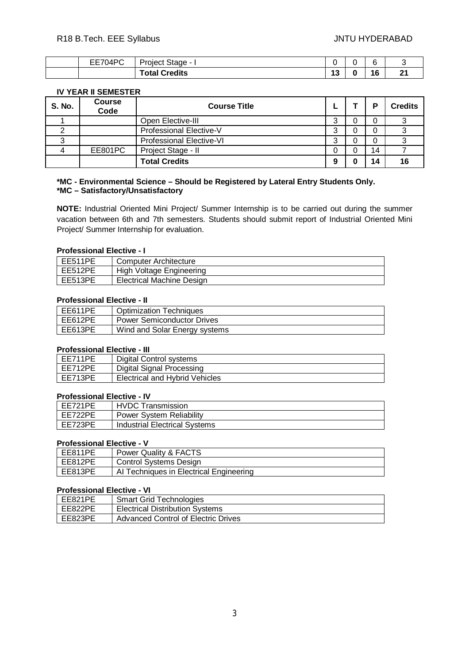| $\sim$<br>$- - - -$<br>1 I.⁄I<br>--<br>---<br>∼ | stage<br>ulect                          |        | . . |   |
|-------------------------------------------------|-----------------------------------------|--------|-----|---|
|                                                 | <b>Tredits</b><br>----<br>νια.<br>_____ | -<br>w | 16  | ົ |

#### **IV YEAR II SEMESTER**

| <b>S. No.</b> | <b>Course</b><br>Code | <b>Course Title</b>      |   | о  | <b>Credits</b> |
|---------------|-----------------------|--------------------------|---|----|----------------|
|               |                       | Open Elective-III        | ົ |    |                |
|               |                       | Professional Elective-V  | ົ |    |                |
|               |                       | Professional Elective-VI |   |    |                |
|               | EE801PC               | Project Stage - II       |   | 14 |                |
|               |                       | <b>Total Credits</b>     | 9 |    | 16             |

#### **\*MC - Environmental Science – Should be Registered by Lateral Entry Students Only. \*MC – Satisfactory/Unsatisfactory**

**NOTE:** Industrial Oriented Mini Project/ Summer Internship is to be carried out during the summer vacation between 6th and 7th semesters. Students should submit report of Industrial Oriented Mini Project/ Summer Internship for evaluation.

#### **Professional Elective - I**

| EE511PE | Computer Architecture            |
|---------|----------------------------------|
| EE512PE | High Voltage Engineering         |
| EE513PE | <b>Electrical Machine Design</b> |

# **Professional Elective - II**

| EE611PE | <b>Optimization Techniques</b>    |
|---------|-----------------------------------|
| EE612PE | <b>Power Semiconductor Drives</b> |
| EE613PE | Wind and Solar Energy systems     |

#### **Professional Elective - III**

| I EE711PE | Digital Control systems        |
|-----------|--------------------------------|
| l EE712PE | Digital Signal Processing      |
| l EE713PE | Electrical and Hybrid Vehicles |

#### **Professional Elective - IV**

| EE721PE   | <b>HVDC Transmission</b>        |
|-----------|---------------------------------|
| l EE722PE | <b>Power System Reliability</b> |
| EE723PE   | Industrial Electrical Systems   |

# **Professional Elective - V**

| EE811PE | <b>Power Quality &amp; FACTS</b>        |
|---------|-----------------------------------------|
| EE812PE | Control Systems Design                  |
| EE813PE | Al Techniques in Electrical Engineering |

# **Professional Elective - VI**

| EE821PE | <b>Smart Grid Technologies</b>             |
|---------|--------------------------------------------|
| EE822PE | <b>Electrical Distribution Systems</b>     |
| EE823PE | <b>Advanced Control of Electric Drives</b> |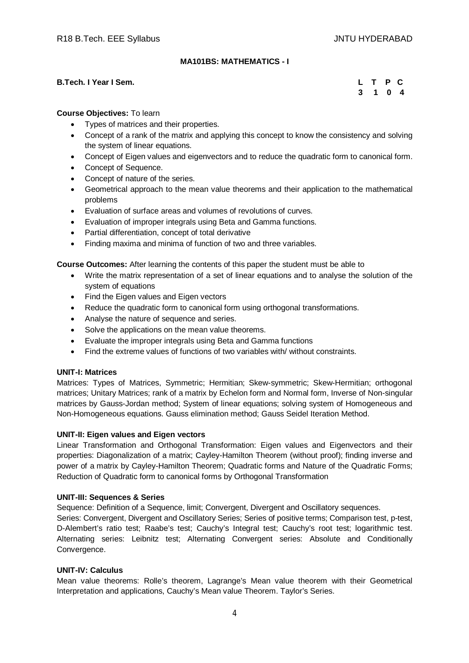# **MA101BS: MATHEMATICS - I**

#### **B.Tech. I Year I Sem.**

|  | L T P C |  |
|--|---------|--|
|  | 3 1 0 4 |  |

#### **Course Objectives:** To learn

- Types of matrices and their properties.
- Concept of a rank of the matrix and applying this concept to know the consistency and solving the system of linear equations.
- Concept of Eigen values and eigenvectors and to reduce the quadratic form to canonical form.
- Concept of Sequence.
- Concept of nature of the series.
- Geometrical approach to the mean value theorems and their application to the mathematical problems
- Evaluation of surface areas and volumes of revolutions of curves.
- Evaluation of improper integrals using Beta and Gamma functions.
- Partial differentiation, concept of total derivative
- Finding maxima and minima of function of two and three variables.

**Course Outcomes:** After learning the contents of this paper the student must be able to

- Write the matrix representation of a set of linear equations and to analyse the solution of the system of equations
- Find the Eigen values and Eigen vectors
- Reduce the quadratic form to canonical form using orthogonal transformations.
- Analyse the nature of sequence and series.
- Solve the applications on the mean value theorems.
- Evaluate the improper integrals using Beta and Gamma functions
- Find the extreme values of functions of two variables with/ without constraints.

#### **UNIT-I: Matrices**

Matrices: Types of Matrices, Symmetric; Hermitian; Skew-symmetric; Skew-Hermitian; orthogonal matrices; Unitary Matrices; rank of a matrix by Echelon form and Normal form, Inverse of Non-singular matrices by Gauss-Jordan method; System of linear equations; solving system of Homogeneous and Non-Homogeneous equations. Gauss elimination method; Gauss Seidel Iteration Method.

#### **UNIT-II: Eigen values and Eigen vectors**

Linear Transformation and Orthogonal Transformation: Eigen values and Eigenvectors and their properties: Diagonalization of a matrix; Cayley-Hamilton Theorem (without proof); finding inverse and power of a matrix by Cayley-Hamilton Theorem; Quadratic forms and Nature of the Quadratic Forms; Reduction of Quadratic form to canonical forms by Orthogonal Transformation

#### **UNIT-III: Sequences & Series**

Sequence: Definition of a Sequence, limit; Convergent, Divergent and Oscillatory sequences.

Series: Convergent, Divergent and Oscillatory Series; Series of positive terms; Comparison test, p-test, D-Alembert's ratio test; Raabe's test; Cauchy's Integral test; Cauchy's root test; logarithmic test. Alternating series: Leibnitz test; Alternating Convergent series: Absolute and Conditionally Convergence.

#### **UNIT-IV: Calculus**

Mean value theorems: Rolle's theorem, Lagrange's Mean value theorem with their Geometrical Interpretation and applications, Cauchy's Mean value Theorem. Taylor's Series.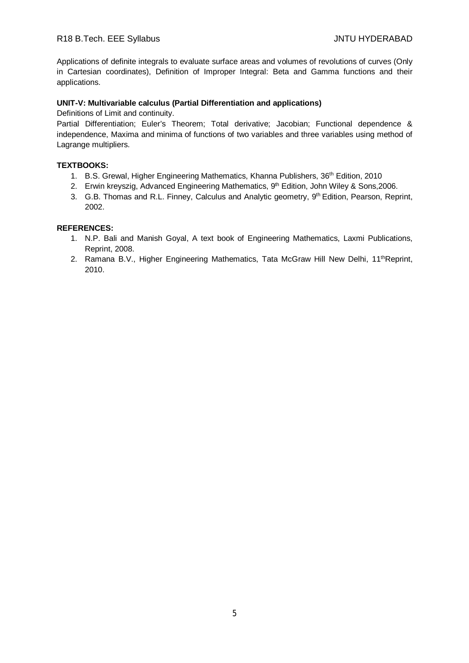Applications of definite integrals to evaluate surface areas and volumes of revolutions of curves (Only in Cartesian coordinates), Definition of Improper Integral: Beta and Gamma functions and their applications.

#### **UNIT-V: Multivariable calculus (Partial Differentiation and applications)**

Definitions of Limit and continuity.

Partial Differentiation; Euler's Theorem; Total derivative; Jacobian; Functional dependence & independence, Maxima and minima of functions of two variables and three variables using method of Lagrange multipliers.

#### **TEXTBOOKS:**

- 1. B.S. Grewal, Higher Engineering Mathematics, Khanna Publishers, 36<sup>th</sup> Edition, 2010
- 2. Erwin kreyszig, Advanced Engineering Mathematics, 9<sup>th</sup> Edition, John Wiley & Sons, 2006.
- 3. G.B. Thomas and R.L. Finney, Calculus and Analytic geometry, 9<sup>th</sup> Edition, Pearson, Reprint, 2002.

#### **REFERENCES:**

- 1. N.P. Bali and Manish Goyal, A text book of Engineering Mathematics, Laxmi Publications, Reprint, 2008.
- 2. Ramana B.V., Higher Engineering Mathematics, Tata McGraw Hill New Delhi, 11<sup>th</sup>Reprint, 2010.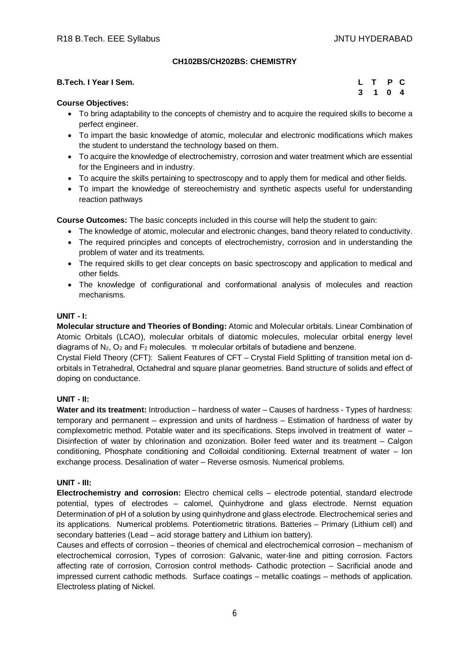# **CH102BS/CH202BS: CHEMISTRY**

| B.Tech. I Year I Sem. | L T P C |         |  |
|-----------------------|---------|---------|--|
|                       |         | 3 1 0 4 |  |

# **Course Objectives:**

- To bring adaptability to the concepts of chemistry and to acquire the required skills to become a perfect engineer.
- To impart the basic knowledge of atomic, molecular and electronic modifications which makes the student to understand the technology based on them.
- To acquire the knowledge of electrochemistry, corrosion and water treatment which are essential for the Engineers and in industry.
- To acquire the skills pertaining to spectroscopy and to apply them for medical and other fields.
- To impart the knowledge of stereochemistry and synthetic aspects useful for understanding reaction pathways

**Course Outcomes:** The basic concepts included in this course will help the student to gain:

- The knowledge of atomic, molecular and electronic changes, band theory related to conductivity.
- The required principles and concepts of electrochemistry, corrosion and in understanding the problem of water and its treatments.
- The required skills to get clear concepts on basic spectroscopy and application to medical and other fields.
- The knowledge of configurational and conformational analysis of molecules and reaction mechanisms.

#### **UNIT - I:**

**Molecular structure and Theories of Bonding:** Atomic and Molecular orbitals. Linear Combination of Atomic Orbitals (LCAO), molecular orbitals of diatomic molecules, molecular orbital energy level diagrams of  $N_2$ ,  $O_2$  and  $F_2$  molecules.  $\pi$  molecular orbitals of butadiene and benzene.

Crystal Field Theory (CFT): Salient Features of CFT – Crystal Field Splitting of transition metal ion dorbitals in Tetrahedral, Octahedral and square planar geometries. Band structure of solids and effect of doping on conductance.

#### **UNIT - II:**

Water and its treatment: Introduction – hardness of water – Causes of hardness - Types of hardness: temporary and permanent – expression and units of hardness – Estimation of hardness of water by complexometric method. Potable water and its specifications. Steps involved in treatment of water – Disinfection of water by chlorination and ozonization. Boiler feed water and its treatment – Calgon conditioning, Phosphate conditioning and Colloidal conditioning. External treatment of water – Ion exchange process. Desalination of water – Reverse osmosis. Numerical problems.

#### **UNIT - III:**

**Electrochemistry and corrosion:** Electro chemical cells – electrode potential, standard electrode potential, types of electrodes – calomel, Quinhydrone and glass electrode. Nernst equation Determination of pH of a solution by using quinhydrone and glass electrode. Electrochemical series and its applications. Numerical problems. Potentiometric titrations. Batteries – Primary (Lithium cell) and secondary batteries (Lead – acid storage battery and Lithium ion battery).

Causes and effects of corrosion – theories of chemical and electrochemical corrosion – mechanism of electrochemical corrosion, Types of corrosion: Galvanic, water-line and pitting corrosion. Factors affecting rate of corrosion, Corrosion control methods- Cathodic protection – Sacrificial anode and impressed current cathodic methods. Surface coatings – metallic coatings – methods of application. Electroless plating of Nickel.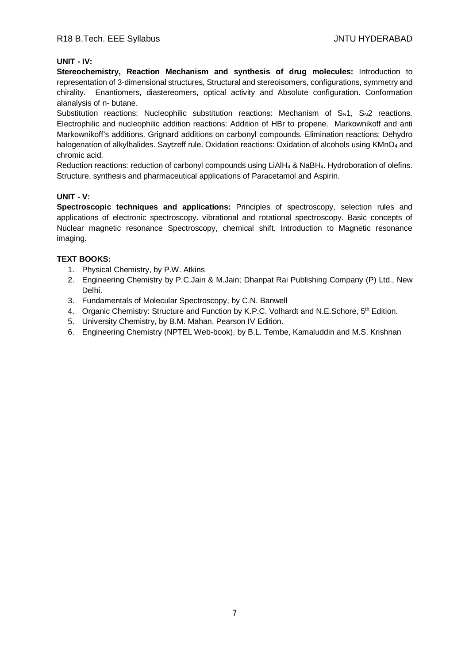# **UNIT - IV:**

**Stereochemistry, Reaction Mechanism and synthesis of drug molecules:** Introduction to representation of 3-dimensional structures, Structural and stereoisomers, configurations, symmetry and chirality. Enantiomers, diastereomers, optical activity and Absolute configuration. Conformation alanalysis of n- butane.

Substitution reactions: Nucleophilic substitution reactions: Mechanism of  $S_N1$ ,  $S_N2$  reactions. Electrophilic and nucleophilic addition reactions: Addition of HBr to propene. Markownikoff and anti Markownikoff's additions. Grignard additions on carbonyl compounds. Elimination reactions: Dehydro halogenation of alkylhalides. Saytzeff rule. Oxidation reactions: Oxidation of alcohols using KMnO<sub>4</sub> and chromic acid.

Reduction reactions: reduction of carbonyl compounds using LiAlH<sup>4</sup> & NaBH4. Hydroboration of olefins. Structure, synthesis and pharmaceutical applications of Paracetamol and Aspirin.

#### **UNIT - V:**

**Spectroscopic techniques and applications:** Principles of spectroscopy, selection rules and applications of electronic spectroscopy. vibrational and rotational spectroscopy. Basic concepts of Nuclear magnetic resonance Spectroscopy, chemical shift. Introduction to Magnetic resonance imaging.

# **TEXT BOOKS:**

- 1. Physical Chemistry, by P.W. Atkins
- 2. Engineering Chemistry by P.C.Jain & M.Jain; Dhanpat Rai Publishing Company (P) Ltd., New Delhi.
- 3. Fundamentals of Molecular Spectroscopy, by C.N. Banwell
- 4. Organic Chemistry: Structure and Function by K.P.C. Volhardt and N.E. Schore, 5<sup>th</sup> Edition.
- 5. University Chemistry, by B.M. Mahan, Pearson IV Edition.
- 6. Engineering Chemistry (NPTEL Web-book), by B.L. Tembe, Kamaluddin and M.S. Krishnan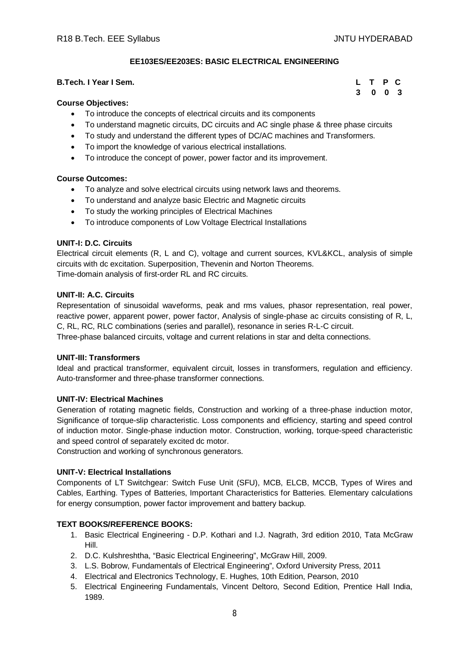**3 0 0 3**

# **EE103ES/EE203ES: BASIC ELECTRICAL ENGINEERING**

# **B.Tech. I Year I Sem. L T P C**

#### **Course Objectives:**

- To introduce the concepts of electrical circuits and its components
- To understand magnetic circuits, DC circuits and AC single phase & three phase circuits
- To study and understand the different types of DC/AC machines and Transformers.
- To import the knowledge of various electrical installations.
- To introduce the concept of power, power factor and its improvement.

#### **Course Outcomes:**

- To analyze and solve electrical circuits using network laws and theorems.
- To understand and analyze basic Electric and Magnetic circuits
- To study the working principles of Electrical Machines
- To introduce components of Low Voltage Electrical Installations

#### **UNIT-I: D.C. Circuits**

Electrical circuit elements (R, L and C), voltage and current sources, KVL&KCL, analysis of simple circuits with dc excitation. Superposition, Thevenin and Norton Theorems. Time-domain analysis of first-order RL and RC circuits.

#### **UNIT-II: A.C. Circuits**

Representation of sinusoidal waveforms, peak and rms values, phasor representation, real power, reactive power, apparent power, power factor, Analysis of single-phase ac circuits consisting of R, L, C, RL, RC, RLC combinations (series and parallel), resonance in series R-L-C circuit. Three-phase balanced circuits, voltage and current relations in star and delta connections.

#### **UNIT-III: Transformers**

Ideal and practical transformer, equivalent circuit, losses in transformers, regulation and efficiency. Auto-transformer and three-phase transformer connections.

#### **UNIT-IV: Electrical Machines**

Generation of rotating magnetic fields, Construction and working of a three-phase induction motor, Significance of torque-slip characteristic. Loss components and efficiency, starting and speed control of induction motor. Single-phase induction motor. Construction, working, torque-speed characteristic and speed control of separately excited dc motor.

Construction and working of synchronous generators.

#### **UNIT-V: Electrical Installations**

Components of LT Switchgear: Switch Fuse Unit (SFU), MCB, ELCB, MCCB, Types of Wires and Cables, Earthing. Types of Batteries, Important Characteristics for Batteries. Elementary calculations for energy consumption, power factor improvement and battery backup.

#### **TEXT BOOKS/REFERENCE BOOKS:**

- 1. Basic Electrical Engineering D.P. Kothari and I.J. Nagrath, 3rd edition 2010, Tata McGraw Hill.
- 2. D.C. Kulshreshtha, "Basic Electrical Engineering", McGraw Hill, 2009.
- 3. L.S. Bobrow, Fundamentals of Electrical Engineering", Oxford University Press, 2011
- 4. Electrical and Electronics Technology, E. Hughes, 10th Edition, Pearson, 2010
- 5. Electrical Engineering Fundamentals, Vincent Deltoro, Second Edition, Prentice Hall India, 1989.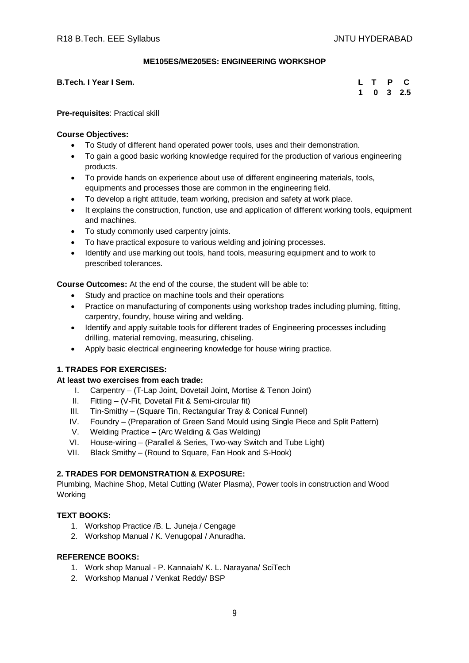#### **ME105ES/ME205ES: ENGINEERING WORKSHOP**

**B.Tech. I Year I Sem.** 

|  |  | L T P C           |
|--|--|-------------------|
|  |  | $1 \t0 \t3 \t2.5$ |

**Pre-requisites**: Practical skill

#### **Course Objectives:**

- To Study of different hand operated power tools, uses and their demonstration.
- To gain a good basic working knowledge required for the production of various engineering products.
- To provide hands on experience about use of different engineering materials, tools, equipments and processes those are common in the engineering field.
- To develop a right attitude, team working, precision and safety at work place.
- It explains the construction, function, use and application of different working tools, equipment and machines.
- To study commonly used carpentry joints.
- To have practical exposure to various welding and joining processes.
- Identify and use marking out tools, hand tools, measuring equipment and to work to prescribed tolerances.

**Course Outcomes:** At the end of the course, the student will be able to:

- Study and practice on machine tools and their operations
- Practice on manufacturing of components using workshop trades including pluming, fitting, carpentry, foundry, house wiring and welding.
- Identify and apply suitable tools for different trades of Engineering processes including drilling, material removing, measuring, chiseling.
- Apply basic electrical engineering knowledge for house wiring practice.

# **1. TRADES FOR EXERCISES:**

#### **At least two exercises from each trade:**

- I. Carpentry (T-Lap Joint, Dovetail Joint, Mortise & Tenon Joint)
- II. Fitting (V-Fit, Dovetail Fit & Semi-circular fit)
- III. Tin-Smithy (Square Tin, Rectangular Tray & Conical Funnel)
- IV. Foundry (Preparation of Green Sand Mould using Single Piece and Split Pattern)
- V. Welding Practice (Arc Welding & Gas Welding)
- VI. House-wiring (Parallel & Series, Two-way Switch and Tube Light)
- VII. Black Smithy (Round to Square, Fan Hook and S-Hook)

# **2. TRADES FOR DEMONSTRATION & EXPOSURE:**

Plumbing, Machine Shop, Metal Cutting (Water Plasma), Power tools in construction and Wood Working

# **TEXT BOOKS:**

- 1. Workshop Practice /B. L. Juneja / Cengage
- 2. Workshop Manual / K. Venugopal / Anuradha.

- 1. Work shop Manual P. Kannaiah/ K. L. Narayana/ SciTech
- 2. Workshop Manual / Venkat Reddy/ BSP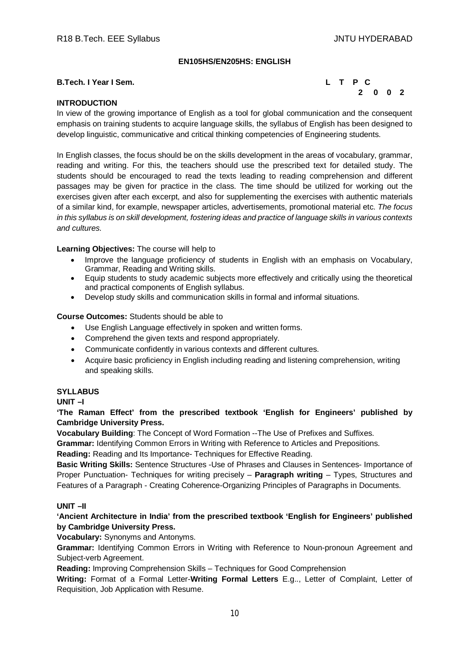# **EN105HS/EN205HS: ENGLISH**

#### **B.Tech. I Year I Sem. L T P C**



# **INTRODUCTION**

In view of the growing importance of English as a tool for global communication and the consequent emphasis on training students to acquire language skills, the syllabus of English has been designed to develop linguistic, communicative and critical thinking competencies of Engineering students.

In English classes, the focus should be on the skills development in the areas of vocabulary, grammar, reading and writing. For this, the teachers should use the prescribed text for detailed study. The students should be encouraged to read the texts leading to reading comprehension and different passages may be given for practice in the class. The time should be utilized for working out the exercises given after each excerpt, and also for supplementing the exercises with authentic materials of a similar kind, for example, newspaper articles, advertisements, promotional material etc. *The focus in this syllabus is on skill development, fostering ideas and practice of language skills in various contexts and cultures.*

#### **Learning Objectives:** The course will help to

- Improve the language proficiency of students in English with an emphasis on Vocabulary, Grammar, Reading and Writing skills.
- Equip students to study academic subjects more effectively and critically using the theoretical and practical components of English syllabus.
- Develop study skills and communication skills in formal and informal situations.

#### **Course Outcomes:** Students should be able to

- Use English Language effectively in spoken and written forms.
- Comprehend the given texts and respond appropriately.
- Communicate confidently in various contexts and different cultures.
- Acquire basic proficiency in English including reading and listening comprehension, writing and speaking skills.

#### **SYLLABUS**

**UNIT –I** 

**'The Raman Effect' from the prescribed textbook 'English for Engineers' published by Cambridge University Press.**

**Vocabulary Building**: The Concept of Word Formation --The Use of Prefixes and Suffixes.

**Grammar:** Identifying Common Errors in Writing with Reference to Articles and Prepositions.

**Reading:** Reading and Its Importance- Techniques for Effective Reading.

**Basic Writing Skills:** Sentence Structures -Use of Phrases and Clauses in Sentences- Importance of Proper Punctuation- Techniques for writing precisely – **Paragraph writing** – Types, Structures and Features of a Paragraph - Creating Coherence-Organizing Principles of Paragraphs in Documents.

#### **UNIT –II**

**'Ancient Architecture in India' from the prescribed textbook 'English for Engineers' published by Cambridge University Press.**

**Vocabulary:** Synonyms and Antonyms.

**Grammar:** Identifying Common Errors in Writing with Reference to Noun-pronoun Agreement and Subject-verb Agreement.

**Reading:** Improving Comprehension Skills – Techniques for Good Comprehension

**Writing:** Format of a Formal Letter-**Writing Formal Letters** E.g.., Letter of Complaint, Letter of Requisition, Job Application with Resume.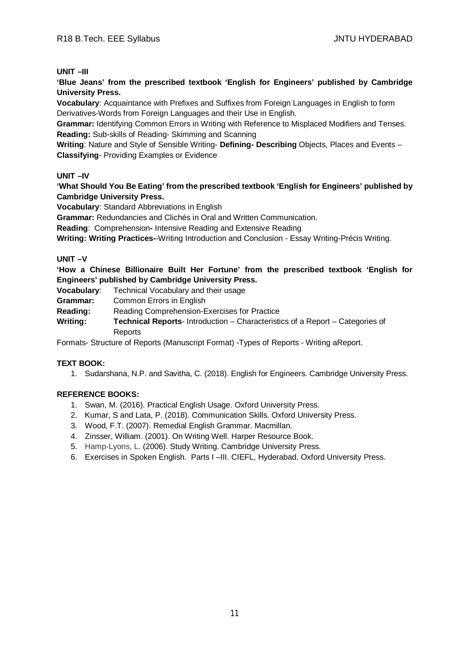#### **UNIT –III**

**'Blue Jeans' from the prescribed textbook 'English for Engineers' published by Cambridge University Press.**

**Vocabulary**: Acquaintance with Prefixes and Suffixes from Foreign Languages in English to form Derivatives-Words from Foreign Languages and their Use in English.

**Grammar:** Identifying Common Errors in Writing with Reference to Misplaced Modifiers and Tenses. **Reading:** Sub-skills of Reading- Skimming and Scanning

**Writing**: Nature and Style of Sensible Writing- **Defining- Describing** Objects, Places and Events – **Classifying**- Providing Examples or Evidence

#### **UNIT –IV**

**'What Should You Be Eating' from the prescribed textbook 'English for Engineers' published by Cambridge University Press.**

**Vocabulary**: Standard Abbreviations in English

**Grammar:** Redundancies and Clichés in Oral and Written Communication.

**Reading**: Comprehension**-** Intensive Reading and Extensive Reading

**Writing: Writing Practices-**-Writing Introduction and Conclusion - Essay Writing-Précis Writing.

#### **UNIT –V**

**'How a Chinese Billionaire Built Her Fortune' from the prescribed textbook 'English for Engineers' published by Cambridge University Press.**

**Vocabulary**: Technical Vocabulary and their usage

**Grammar:** Common Errors in English

**Reading:** Reading Comprehension-Exercises for Practice

**Writing: Technical Reports**- Introduction – Characteristics of a Report – Categories of Reports

Formats- Structure of Reports (Manuscript Format) -Types of Reports - Writing aReport.

#### **TEXT BOOK:**

1. Sudarshana, N.P. and Savitha, C. (2018). English for Engineers. Cambridge University Press.

- 1. Swan, M. (2016). Practical English Usage. Oxford University Press.
- 2. Kumar, S and Lata, P. (2018). Communication Skills. Oxford University Press.
- 3. Wood, F.T. (2007). Remedial English Grammar. Macmillan.
- 4. Zinsser, William. (2001). On Writing Well. Harper Resource Book.
- 5. Hamp-Lyons, L. (2006). Study Writing. Cambridge University Press.
- 6. Exercises in Spoken English. Parts I –III. CIEFL, Hyderabad. Oxford University Press.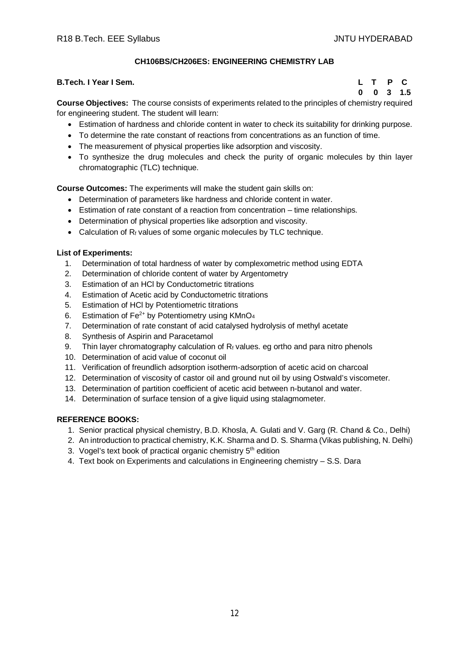# **CH106BS/CH206ES: ENGINEERING CHEMISTRY LAB**

#### **B.Tech. I Year I Sem. L T P C**

 **0 0 3 1.5**

**Course Objectives:** The course consists of experiments related to the principles of chemistry required for engineering student. The student will learn:

- Estimation of hardness and chloride content in water to check its suitability for drinking purpose.
- To determine the rate constant of reactions from concentrations as an function of time.
- The measurement of physical properties like adsorption and viscosity.
- To synthesize the drug molecules and check the purity of organic molecules by thin layer chromatographic (TLC) technique.

**Course Outcomes:** The experiments will make the student gain skills on:

- Determination of parameters like hardness and chloride content in water.
- Estimation of rate constant of a reaction from concentration time relationships.
- Determination of physical properties like adsorption and viscosity.
- Calculation of  $R_f$  values of some organic molecules by TLC technique.

#### **List of Experiments:**

- 1. Determination of total hardness of water by complexometric method using EDTA
- 2. Determination of chloride content of water by Argentometry
- 3. Estimation of an HCl by Conductometric titrations
- 4. Estimation of Acetic acid by Conductometric titrations
- 5. Estimation of HCl by Potentiometric titrations
- 6. Estimation of  $Fe^{2+}$  by Potentiometry using KMnO<sub>4</sub>
- 7. Determination of rate constant of acid catalysed hydrolysis of methyl acetate
- 8. Synthesis of Aspirin and Paracetamol
- 9. Thin layer chromatography calculation of  $R_f$  values. eg ortho and para nitro phenols
- 10. Determination of acid value of coconut oil
- 11. Verification of freundlich adsorption isotherm-adsorption of acetic acid on charcoal
- 12. Determination of viscosity of castor oil and ground nut oil by using Ostwald's viscometer.
- 13. Determination of partition coefficient of acetic acid between n-butanol and water.
- 14. Determination of surface tension of a give liquid using stalagmometer.

- 1. Senior practical physical chemistry, B.D. Khosla, A. Gulati and V. Garg (R. Chand & Co., Delhi)
- 2. An introduction to practical chemistry, K.K. Sharma and D. S. Sharma (Vikas publishing, N. Delhi)
- 3. Vogel's text book of practical organic chemistry 5<sup>th</sup> edition
- 4. Text book on Experiments and calculations in Engineering chemistry S.S. Dara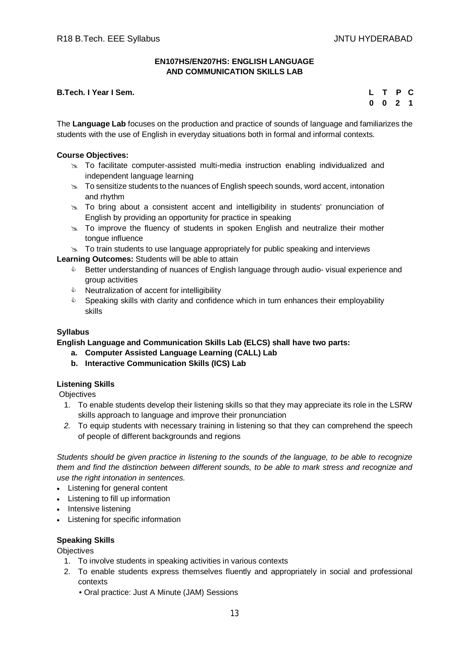#### **EN107HS/EN207HS: ENGLISH LANGUAGE AND COMMUNICATION SKILLS LAB**

# **B.Tech. I Year I Sem.**

|  | L T P C   |  |
|--|-----------|--|
|  | $0$ 0 2 1 |  |

The **Language Lab** focuses on the production and practice of sounds of language and familiarizes the students with the use of English in everyday situations both in formal and informal contexts.

#### **Course Objectives:**

- To facilitate computer-assisted multi-media instruction enabling individualized and independent language learning
- $\geq$  To sensitize students to the nuances of English speech sounds, word accent, intonation and rhythm
- $\geq$  To bring about a consistent accent and intelligibility in students' pronunciation of English by providing an opportunity for practice in speaking
- $\approx$  To improve the fluency of students in spoken English and neutralize their mother tongue influence
- $\infty$  To train students to use language appropriately for public speaking and interviews

**Learning Outcomes:** Students will be able to attain

- **EXECT** Better understanding of nuances of English language through audio-visual experience and group activities
- $\triangle$  Neutralization of accent for intelligibility
- $\bullet$  Speaking skills with clarity and confidence which in turn enhances their employability skills

# **Syllabus**

**English Language and Communication Skills Lab (ELCS) shall have two parts:**

- **a. Computer Assisted Language Learning (CALL) Lab**
- **b. Interactive Communication Skills (ICS) Lab**

#### **Listening Skills**

**Objectives** 

- 1. To enable students develop their listening skills so that they may appreciate its role in the LSRW skills approach to language and improve their pronunciation
- *2.* To equip students with necessary training in listening so that they can comprehend the speech of people of different backgrounds and regions

*Students should be given practice in listening to the sounds of the language, to be able to recognize them and find the distinction between different sounds, to be able to mark stress and recognize and use the right intonation in sentences.*

- Listening for general content
- Listening to fill up information
- Intensive listening
- Listening for specific information

#### **Speaking Skills**

**Objectives** 

- 1. To involve students in speaking activities in various contexts
- 2. To enable students express themselves fluently and appropriately in social and professional contexts
	- Oral practice: Just A Minute (JAM) Sessions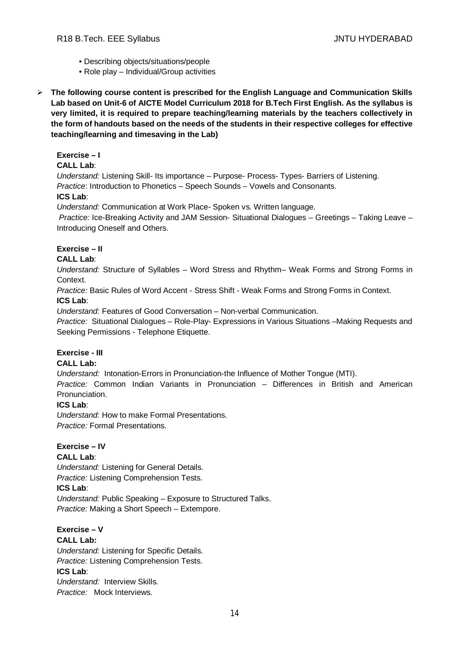- Describing objects/situations/people
- Role play Individual/Group activities
- **The following course content is prescribed for the English Language and Communication Skills Lab based on Unit-6 of AICTE Model Curriculum 2018 for B.Tech First English. As the syllabus is very limited, it is required to prepare teaching/learning materials by the teachers collectively in the form of handouts based on the needs of the students in their respective colleges for effective teaching/learning and timesaving in the Lab)**

# **Exercise – I**

# **CALL Lab**:

*Understand:* Listening Skill- Its importance – Purpose- Process- Types- Barriers of Listening. *Practice*: Introduction to Phonetics – Speech Sounds – Vowels and Consonants.

# **ICS Lab**:

*Understand:* Communication at Work Place*-* Spoken vs. Written language.

*Practice:* Ice-Breaking Activity and JAM Session- Situational Dialogues – Greetings – Taking Leave – Introducing Oneself and Others.

# **Exercise – II**

# **CALL Lab**:

*Understand:* Structure of Syllables – Word Stress and Rhythm– Weak Forms and Strong Forms in Context.

*Practice:* Basic Rules of Word Accent - Stress Shift - Weak Forms and Strong Forms in Context. **ICS Lab**:

*Understand:* Features of Good Conversation – Non-verbal Communication.

*Practice:* Situational Dialogues – Role-Play- Expressions in Various Situations –Making Requests and Seeking Permissions - Telephone Etiquette.

# **Exercise - III**

#### **CALL Lab:**

*Understand:* Intonation-Errors in Pronunciation-the Influence of Mother Tongue (MTI).

*Practice:* Common Indian Variants in Pronunciation *–* Differences in British and American Pronunciation.

#### **ICS Lab**:

*Understand:* How to make Formal Presentations. *Practice:* Formal Presentations.

#### **Exercise – IV**

# **CALL Lab**:

*Understand:* Listening for General Details. *Practice:* Listening Comprehension Tests.

# **ICS Lab**:

*Understand:* Public Speaking – Exposure to Structured Talks. *Practice:* Making a Short Speech – Extempore.

#### **Exercise – V CALL Lab:**

*Understand:* Listening for Specific Details. *Practice:* Listening Comprehension Tests. **ICS Lab**: *Understand:* Interview Skills*. Practice:* Mock Interviews.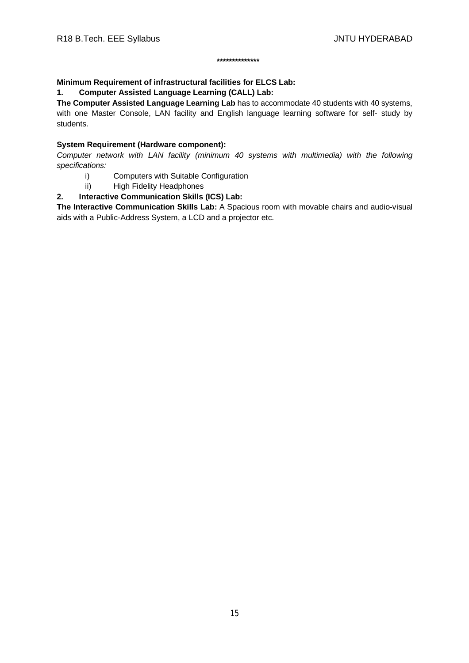#### **\*\*\*\*\*\*\*\*\*\*\*\*\*\***

# **Minimum Requirement of infrastructural facilities for ELCS Lab:**

**1. Computer Assisted Language Learning (CALL) Lab:** 

**The Computer Assisted Language Learning Lab** has to accommodate 40 students with 40 systems, with one Master Console, LAN facility and English language learning software for self- study by students.

# **System Requirement (Hardware component):**

*Computer network with LAN facility (minimum 40 systems with multimedia) with the following specifications:*

- i) Computers with Suitable Configuration
- ii) High Fidelity Headphones

# **2. Interactive Communication Skills (ICS) Lab:**

**The Interactive Communication Skills Lab:** A Spacious room with movable chairs and audio-visual aids with a Public-Address System, a LCD and a projector etc.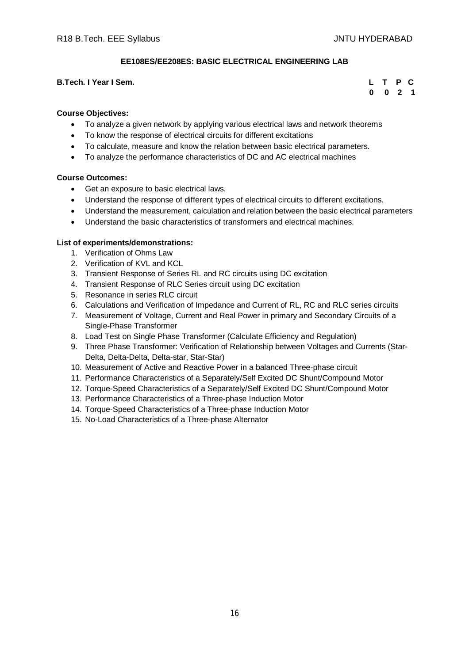# **EE108ES/EE208ES: BASIC ELECTRICAL ENGINEERING LAB**

#### **B.Tech. I Year I Sem.**

|  | L T P C   |  |
|--|-----------|--|
|  | $0$ 0 2 1 |  |

#### **Course Objectives:**

- To analyze a given network by applying various electrical laws and network theorems
- To know the response of electrical circuits for different excitations
- To calculate, measure and know the relation between basic electrical parameters.
- To analyze the performance characteristics of DC and AC electrical machines

#### **Course Outcomes:**

- Get an exposure to basic electrical laws.
- Understand the response of different types of electrical circuits to different excitations.
- Understand the measurement, calculation and relation between the basic electrical parameters
- Understand the basic characteristics of transformers and electrical machines.

#### **List of experiments/demonstrations:**

- 1. Verification of Ohms Law
- 2. Verification of KVL and KCL
- 3. Transient Response of Series RL and RC circuits using DC excitation
- 4. Transient Response of RLC Series circuit using DC excitation
- 5. Resonance in series RLC circuit
- 6. Calculations and Verification of Impedance and Current of RL, RC and RLC series circuits
- 7. Measurement of Voltage, Current and Real Power in primary and Secondary Circuits of a Single-Phase Transformer
- 8. Load Test on Single Phase Transformer (Calculate Efficiency and Regulation)
- 9. Three Phase Transformer: Verification of Relationship between Voltages and Currents (Star-Delta, Delta-Delta, Delta-star, Star-Star)
- 10. Measurement of Active and Reactive Power in a balanced Three-phase circuit
- 11. Performance Characteristics of a Separately/Self Excited DC Shunt/Compound Motor
- 12. Torque-Speed Characteristics of a Separately/Self Excited DC Shunt/Compound Motor
- 13. Performance Characteristics of a Three-phase Induction Motor
- 14. Torque-Speed Characteristics of a Three-phase Induction Motor
- 15. No-Load Characteristics of a Three-phase Alternator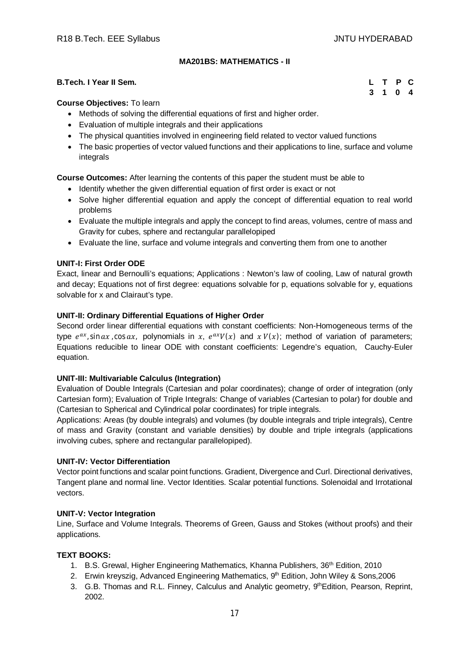# **MA201BS: MATHEMATICS - II**

#### **B.Tech. I Year II Sem. L T P C**

 **3 1 0 4**

#### **Course Objectives:** To learn

- Methods of solving the differential equations of first and higher order.
- Evaluation of multiple integrals and their applications
- The physical quantities involved in engineering field related to vector valued functions
- The basic properties of vector valued functions and their applications to line, surface and volume integrals

**Course Outcomes:** After learning the contents of this paper the student must be able to

- Identify whether the given differential equation of first order is exact or not
- Solve higher differential equation and apply the concept of differential equation to real world problems
- Evaluate the multiple integrals and apply the concept to find areas, volumes, centre of mass and Gravity for cubes, sphere and rectangular parallelopiped
- Evaluate the line, surface and volume integrals and converting them from one to another

#### **UNIT-I: First Order ODE**

Exact, linear and Bernoulli's equations; Applications : Newton's law of cooling, Law of natural growth and decay; Equations not of first degree: equations solvable for p, equations solvable for y, equations solvable for x and Clairaut's type.

#### **UNIT-II: Ordinary Differential Equations of Higher Order**

Second order linear differential equations with constant coefficients: Non-Homogeneous terms of the type  $e^{ax}$ , sin  $ax$ , cos  $ax$ , polynomials in  $x$ ,  $e^{ax}V(x)$  and  $xV(x)$ ; method of variation of parameters; Equations reducible to linear ODE with constant coefficients: Legendre's equation, Cauchy-Euler equation.

#### **UNIT-III: Multivariable Calculus (Integration)**

Evaluation of Double Integrals (Cartesian and polar coordinates); change of order of integration (only Cartesian form); Evaluation of Triple Integrals: Change of variables (Cartesian to polar) for double and (Cartesian to Spherical and Cylindrical polar coordinates) for triple integrals.

Applications: Areas (by double integrals) and volumes (by double integrals and triple integrals), Centre of mass and Gravity (constant and variable densities) by double and triple integrals (applications involving cubes, sphere and rectangular parallelopiped).

#### **UNIT-IV: Vector Differentiation**

Vector point functions and scalar point functions. Gradient, Divergence and Curl. Directional derivatives, Tangent plane and normal line. Vector Identities. Scalar potential functions. Solenoidal and Irrotational vectors.

#### **UNIT-V: Vector Integration**

Line, Surface and Volume Integrals. Theorems of Green, Gauss and Stokes (without proofs) and their applications.

#### **TEXT BOOKS:**

- 1. B.S. Grewal, Higher Engineering Mathematics, Khanna Publishers, 36th Edition, 2010
- 2. Erwin kreyszig, Advanced Engineering Mathematics, 9th Edition, John Wiley & Sons, 2006
- 3. G.B. Thomas and R.L. Finney, Calculus and Analytic geometry, 9th Edition, Pearson, Reprint, 2002.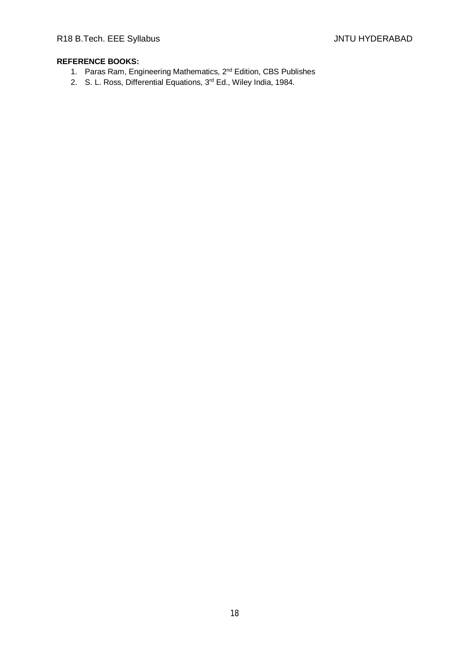- 1. Paras Ram, Engineering Mathematics, 2nd Edition, CBS Publishes
- 2. S. L. Ross, Differential Equations, 3<sup>rd</sup> Ed., Wiley India, 1984.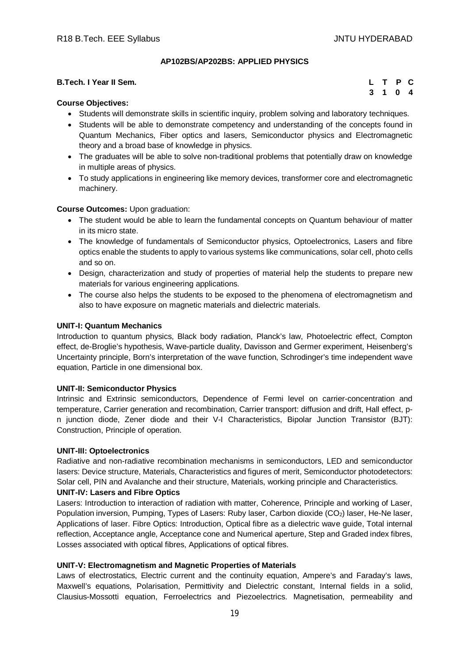#### **AP102BS/AP202BS: APPLIED PHYSICS**

| <b>B.Tech. I Year II Sem.</b> |  | L T P C |  |
|-------------------------------|--|---------|--|
| $\sim$                        |  | 3 1 0 4 |  |

# **Course Objectives:**

- Students will demonstrate skills in scientific inquiry, problem solving and laboratory techniques.
- Students will be able to demonstrate competency and understanding of the concepts found in Quantum Mechanics, Fiber optics and lasers, Semiconductor physics and Electromagnetic theory and a broad base of knowledge in physics.
- The graduates will be able to solve non-traditional problems that potentially draw on knowledge in multiple areas of physics.
- To study applications in engineering like memory devices, transformer core and electromagnetic machinery.

#### **Course Outcomes:** Upon graduation:

- The student would be able to learn the fundamental concepts on Quantum behaviour of matter in its micro state.
- The knowledge of fundamentals of Semiconductor physics, Optoelectronics, Lasers and fibre optics enable the students to apply to various systems like communications, solar cell, photo cells and so on.
- Design, characterization and study of properties of material help the students to prepare new materials for various engineering applications.
- The course also helps the students to be exposed to the phenomena of electromagnetism and also to have exposure on magnetic materials and dielectric materials.

#### **UNIT-I: Quantum Mechanics**

Introduction to quantum physics, Black body radiation, Planck's law, Photoelectric effect, Compton effect, de-Broglie's hypothesis, Wave-particle duality, Davisson and Germer experiment, Heisenberg's Uncertainty principle, Born's interpretation of the wave function, Schrodinger's time independent wave equation, Particle in one dimensional box.

#### **UNIT-II: Semiconductor Physics**

Intrinsic and Extrinsic semiconductors, Dependence of Fermi level on carrier-concentration and temperature, Carrier generation and recombination, Carrier transport: diffusion and drift, Hall effect, pn junction diode, Zener diode and their V-I Characteristics, Bipolar Junction Transistor (BJT): Construction, Principle of operation.

#### **UNIT-III: Optoelectronics**

Radiative and non-radiative recombination mechanisms in semiconductors, LED and semiconductor lasers: Device structure, Materials, Characteristics and figures of merit, Semiconductor photodetectors: Solar cell, PIN and Avalanche and their structure, Materials, working principle and Characteristics.

#### **UNIT-IV: Lasers and Fibre Optics**

Lasers: Introduction to interaction of radiation with matter, Coherence, Principle and working of Laser, Population inversion, Pumping, Types of Lasers: Ruby laser, Carbon dioxide (CO<sub>2</sub>) laser, He-Ne laser, Applications of laser. Fibre Optics: Introduction, Optical fibre as a dielectric wave guide, Total internal reflection, Acceptance angle, Acceptance cone and Numerical aperture, Step and Graded index fibres, Losses associated with optical fibres, Applications of optical fibres.

#### **UNIT-V: Electromagnetism and Magnetic Properties of Materials**

Laws of electrostatics, Electric current and the continuity equation, Ampere's and Faraday's laws, Maxwell's equations, Polarisation, Permittivity and Dielectric constant, Internal fields in a solid, Clausius-Mossotti equation, Ferroelectrics and Piezoelectrics. Magnetisation, permeability and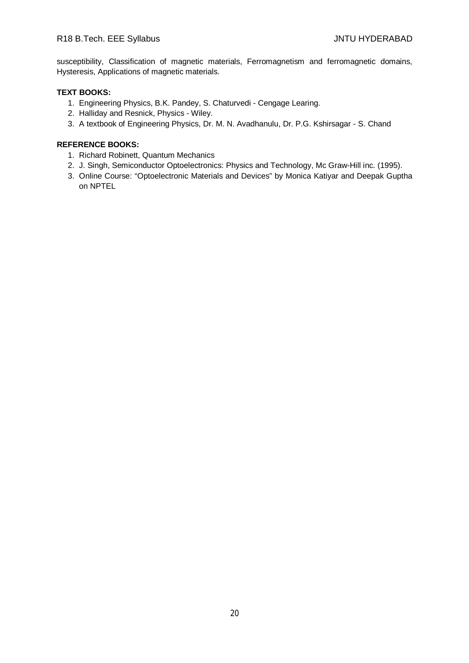# R18 B.Tech. EEE Syllabus JNTU HYDERABAD

susceptibility, Classification of magnetic materials, Ferromagnetism and ferromagnetic domains, Hysteresis, Applications of magnetic materials.

#### **TEXT BOOKS:**

- 1. Engineering Physics, B.K. Pandey, S. Chaturvedi Cengage Learing.
- 2. Halliday and Resnick, Physics Wiley.
- 3. A textbook of Engineering Physics, Dr. M. N. Avadhanulu, Dr. P.G. Kshirsagar S. Chand

- 1. Richard Robinett, Quantum Mechanics
- 2. J. Singh, Semiconductor Optoelectronics: Physics and Technology, Mc Graw-Hill inc. (1995).
- 3. Online Course: "Optoelectronic Materials and Devices" by Monica Katiyar and Deepak Guptha on NPTEL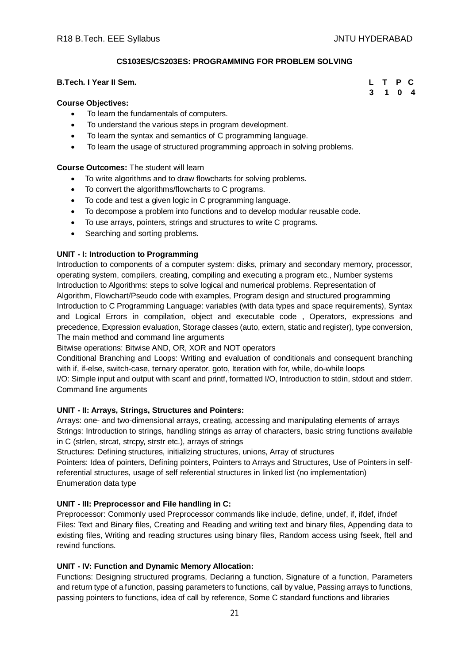# **CS103ES/CS203ES: PROGRAMMING FOR PROBLEM SOLVING**

#### **B.Tech. I Year II Sem. L T P C**

#### **Course Objectives:**

- To learn the fundamentals of computers.
- To understand the various steps in program development.
- To learn the syntax and semantics of C programming language.
- To learn the usage of structured programming approach in solving problems.

#### **Course Outcomes:** The student will learn

- To write algorithms and to draw flowcharts for solving problems.
- To convert the algorithms/flowcharts to C programs.
- To code and test a given logic in C programming language.
- To decompose a problem into functions and to develop modular reusable code.
- To use arrays, pointers, strings and structures to write C programs.
- Searching and sorting problems.

#### **UNIT - I: Introduction to Programming**

Introduction to components of a computer system: disks, primary and secondary memory, processor, operating system, compilers, creating, compiling and executing a program etc., Number systems Introduction to Algorithms: steps to solve logical and numerical problems. Representation of Algorithm, Flowchart/Pseudo code with examples, Program design and structured programming Introduction to C Programming Language: variables (with data types and space requirements), Syntax and Logical Errors in compilation, object and executable code , Operators, expressions and precedence, Expression evaluation, Storage classes (auto, extern, static and register), type conversion, The main method and command line arguments

Bitwise operations: Bitwise AND, OR, XOR and NOT operators

Conditional Branching and Loops: Writing and evaluation of conditionals and consequent branching with if, if-else, switch-case, ternary operator, goto, Iteration with for, while, do-while loops I/O: Simple input and output with scanf and printf, formatted I/O, Introduction to stdin, stdout and stderr.

Command line arguments

#### **UNIT - II: Arrays, Strings, Structures and Pointers:**

Arrays: one- and two-dimensional arrays, creating, accessing and manipulating elements of arrays Strings: Introduction to strings, handling strings as array of characters, basic string functions available in C (strlen, strcat, strcpy, strstr etc.), arrays of strings

Structures: Defining structures, initializing structures, unions, Array of structures

Pointers: Idea of pointers, Defining pointers, Pointers to Arrays and Structures, Use of Pointers in selfreferential structures, usage of self referential structures in linked list (no implementation) Enumeration data type

#### **UNIT - III: Preprocessor and File handling in C:**

Preprocessor: Commonly used Preprocessor commands like include, define, undef, if, ifdef, ifndef Files: Text and Binary files, Creating and Reading and writing text and binary files, Appending data to existing files, Writing and reading structures using binary files, Random access using fseek, ftell and rewind functions.

# **UNIT - IV: Function and Dynamic Memory Allocation:**

Functions: Designing structured programs, Declaring a function, Signature of a function, Parameters and return type of a function, passing parameters to functions, call by value, Passing arrays to functions, passing pointers to functions, idea of call by reference, Some C standard functions and libraries

# **3 1 0 4**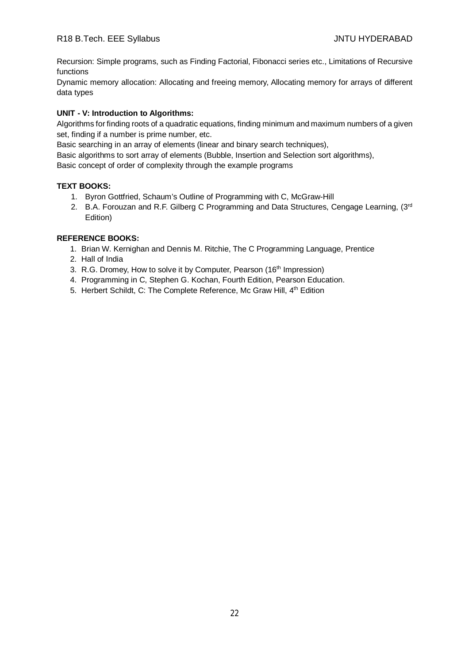Recursion: Simple programs, such as Finding Factorial, Fibonacci series etc., Limitations of Recursive functions

Dynamic memory allocation: Allocating and freeing memory, Allocating memory for arrays of different data types

# **UNIT - V: Introduction to Algorithms:**

Algorithms for finding roots of a quadratic equations, finding minimum and maximum numbers of a given set, finding if a number is prime number, etc.

Basic searching in an array of elements (linear and binary search techniques),

Basic algorithms to sort array of elements (Bubble, Insertion and Selection sort algorithms),

Basic concept of order of complexity through the example programs

# **TEXT BOOKS:**

- 1. Byron Gottfried, Schaum's Outline of Programming with C, McGraw-Hill
- 2. B.A. Forouzan and R.F. Gilberg C Programming and Data Structures, Cengage Learning, (3rd Edition)

- 1. Brian W. Kernighan and Dennis M. Ritchie, The C Programming Language, Prentice
- 2. Hall of India
- 3. R.G. Dromey, How to solve it by Computer, Pearson (16<sup>th</sup> Impression)
- 4. Programming in C, Stephen G. Kochan, Fourth Edition, Pearson Education.
- 5. Herbert Schildt, C: The Complete Reference, Mc Graw Hill, 4<sup>th</sup> Edition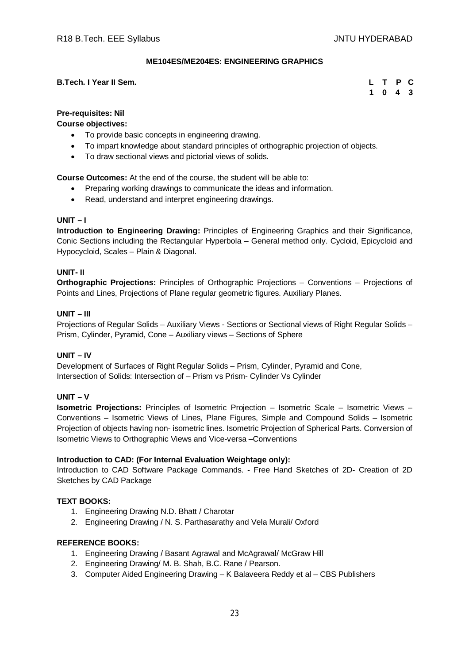# **ME104ES/ME204ES: ENGINEERING GRAPHICS**

#### **B.Tech. I Year II Sem.**

|  | L T P C                     |  |
|--|-----------------------------|--|
|  | $1 \quad 0 \quad 4 \quad 3$ |  |

# **Pre-requisites: Nil**

**Course objectives:**

- To provide basic concepts in engineering drawing.
- To impart knowledge about standard principles of orthographic projection of objects.
- To draw sectional views and pictorial views of solids.

**Course Outcomes:** At the end of the course, the student will be able to:

- Preparing working drawings to communicate the ideas and information.
- Read, understand and interpret engineering drawings.

# **UNIT – I**

**Introduction to Engineering Drawing:** Principles of Engineering Graphics and their Significance, Conic Sections including the Rectangular Hyperbola – General method only. Cycloid, Epicycloid and Hypocycloid, Scales – Plain & Diagonal.

#### **UNIT- II**

**Orthographic Projections:** Principles of Orthographic Projections – Conventions – Projections of Points and Lines, Projections of Plane regular geometric figures. Auxiliary Planes.

# **UNIT – III**

Projections of Regular Solids – Auxiliary Views - Sections or Sectional views of Right Regular Solids – Prism, Cylinder, Pyramid, Cone – Auxiliary views – Sections of Sphere

#### **UNIT – IV**

Development of Surfaces of Right Regular Solids – Prism, Cylinder, Pyramid and Cone, Intersection of Solids: Intersection of – Prism vs Prism- Cylinder Vs Cylinder

#### **UNIT – V**

**Isometric Projections:** Principles of Isometric Projection – Isometric Scale – Isometric Views – Conventions – Isometric Views of Lines, Plane Figures, Simple and Compound Solids – Isometric Projection of objects having non- isometric lines. Isometric Projection of Spherical Parts. Conversion of Isometric Views to Orthographic Views and Vice-versa –Conventions

#### **Introduction to CAD: (For Internal Evaluation Weightage only):**

Introduction to CAD Software Package Commands. - Free Hand Sketches of 2D- Creation of 2D Sketches by CAD Package

#### **TEXT BOOKS:**

- 1. Engineering Drawing N.D. Bhatt / Charotar
- 2. Engineering Drawing / N. S. Parthasarathy and Vela Murali/ Oxford

- 1. Engineering Drawing / Basant Agrawal and McAgrawal/ McGraw Hill
- 2. Engineering Drawing/ M. B. Shah, B.C. Rane / Pearson.
- 3. Computer Aided Engineering Drawing K Balaveera Reddy et al CBS Publishers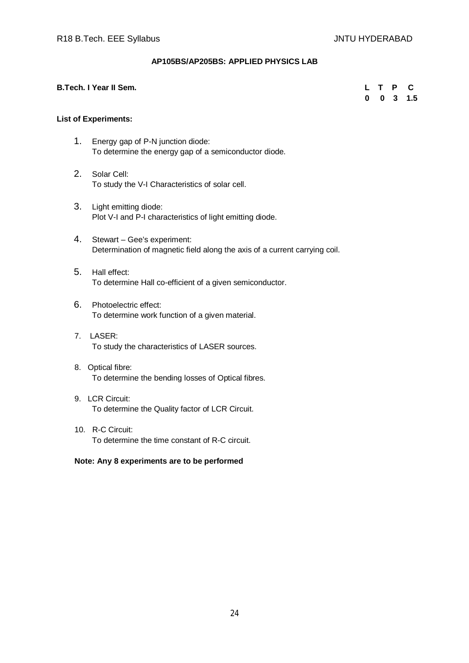#### **AP105BS/AP205BS: APPLIED PHYSICS LAB**

#### **B.Tech. I Year II Sem. L T P C**

 **0 0 3 1.5**

#### **List of Experiments:**

- 1. Energy gap of P-N junction diode: To determine the energy gap of a semiconductor diode.
- 2. Solar Cell: To study the V-I Characteristics of solar cell.
- 3. Light emitting diode: Plot V-I and P-I characteristics of light emitting diode.
- 4. Stewart Gee's experiment: Determination of magnetic field along the axis of a current carrying coil.
- 5. Hall effect: To determine Hall co-efficient of a given semiconductor.
- 6. Photoelectric effect: To determine work function of a given material.
- 7. LASER: To study the characteristics of LASER sources.
- 8. Optical fibre: To determine the bending losses of Optical fibres.
- 9. LCR Circuit: To determine the Quality factor of LCR Circuit.
- 10. R-C Circuit: To determine the time constant of R-C circuit.

#### **Note: Any 8 experiments are to be performed**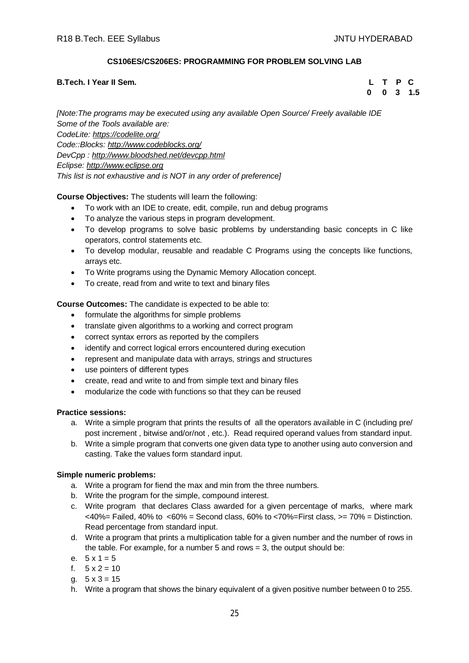# **CS106ES/CS206ES: PROGRAMMING FOR PROBLEM SOLVING LAB**

#### **B.Tech. I Year II Sem. L T P C**

 **0 0 3 1.5**

*[Note:The programs may be executed using any available Open Source/ Freely available IDE Some of the Tools available are: CodeLite: <https://codelite.org/> Code::Blocks: <http://www.codeblocks.org/> DevCpp : <http://www.bloodshed.net/devcpp.html> Eclipse: <http://www.eclipse.org> This list is not exhaustive and is NOT in any order of preference]*

# **Course Objectives:** The students will learn the following:

- To work with an IDE to create, edit, compile, run and debug programs
- To analyze the various steps in program development.
- To develop programs to solve basic problems by understanding basic concepts in C like operators, control statements etc.
- To develop modular, reusable and readable C Programs using the concepts like functions, arrays etc.
- To Write programs using the Dynamic Memory Allocation concept.
- To create, read from and write to text and binary files

# **Course Outcomes:** The candidate is expected to be able to:

- formulate the algorithms for simple problems
- translate given algorithms to a working and correct program
- correct syntax errors as reported by the compilers
- identify and correct logical errors encountered during execution
- represent and manipulate data with arrays, strings and structures
- use pointers of different types
- create, read and write to and from simple text and binary files
- modularize the code with functions so that they can be reused

# **Practice sessions:**

- a. Write a simple program that prints the results of all the operators available in C (including pre/ post increment , bitwise and/or/not , etc.). Read required operand values from standard input.
- b. Write a simple program that converts one given data type to another using auto conversion and casting. Take the values form standard input.

#### **Simple numeric problems:**

- a. Write a program for fiend the max and min from the three numbers.
- b. Write the program for the simple, compound interest.
- c. Write program that declares Class awarded for a given percentage of marks, where mark  $<40\%$  = Failed, 40% to  $<60\%$  = Second class, 60% to  $<70\%$  = First class,  $>=70\%$  = Distinction. Read percentage from standard input.
- d. Write a program that prints a multiplication table for a given number and the number of rows in the table. For example, for a number 5 and rows = 3, the output should be:
- e.  $5 \times 1 = 5$
- f.  $5 \times 2 = 10$
- a.  $5 \times 3 = 15$
- h. Write a program that shows the binary equivalent of a given positive number between 0 to 255.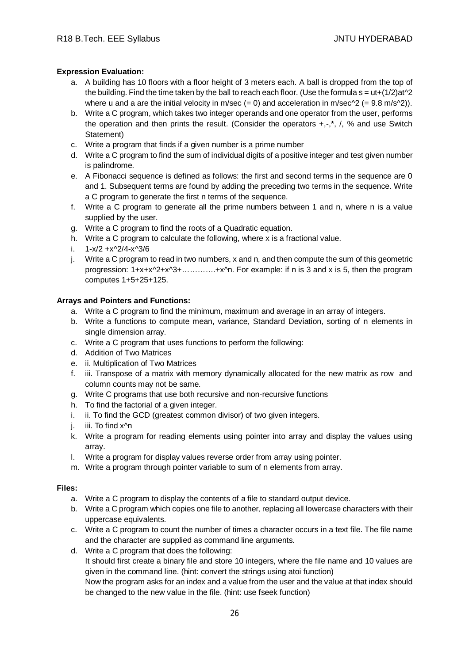# **Expression Evaluation:**

- a. A building has 10 floors with a floor height of 3 meters each. A ball is dropped from the top of the building. Find the time taken by the ball to reach each floor. (Use the formula  $s = ut+(1/2)at^2$ ) where u and a are the initial velocity in m/sec  $(= 0)$  and acceleration in m/sec^2  $(= 9.8 \text{ m/s} \cdot ^2))$ .
- b. Write a C program, which takes two integer operands and one operator from the user, performs the operation and then prints the result. (Consider the operators  $+,$ , $^*$ , $',$ , % and use Switch Statement)
- c. Write a program that finds if a given number is a prime number
- d. Write a C program to find the sum of individual digits of a positive integer and test given number is palindrome.
- e. A Fibonacci sequence is defined as follows: the first and second terms in the sequence are 0 and 1. Subsequent terms are found by adding the preceding two terms in the sequence. Write a C program to generate the first n terms of the sequence.
- f. Write a C program to generate all the prime numbers between 1 and n, where n is a value supplied by the user.
- g. Write a C program to find the roots of a Quadratic equation.
- h. Write a C program to calculate the following, where x is a fractional value.
- i. 1-x/2 +x^2/4-x^3/6
- j. Write a C program to read in two numbers, x and n, and then compute the sum of this geometric progression: 1+x+x^2+x^3+………….+x^n. For example: if n is 3 and x is 5, then the program computes 1+5+25+125.

# **Arrays and Pointers and Functions:**

- a. Write a C program to find the minimum, maximum and average in an array of integers.
- b. Write a functions to compute mean, variance, Standard Deviation, sorting of n elements in single dimension array.
- c. Write a C program that uses functions to perform the following:
- d. Addition of Two Matrices
- e. ii. Multiplication of Two Matrices
- f. iii. Transpose of a matrix with memory dynamically allocated for the new matrix as row and column counts may not be same.
- g. Write C programs that use both recursive and non-recursive functions
- h. To find the factorial of a given integer.
- i. ii. To find the GCD (greatest common divisor) of two given integers.
- j. iii. To find x<sup>^</sup>n
- k. Write a program for reading elements using pointer into array and display the values using array.
- l. Write a program for display values reverse order from array using pointer.
- m. Write a program through pointer variable to sum of n elements from array.

#### **Files:**

- a. Write a C program to display the contents of a file to standard output device.
- b. Write a C program which copies one file to another, replacing all lowercase characters with their uppercase equivalents.
- c. Write a C program to count the number of times a character occurs in a text file. The file name and the character are supplied as command line arguments.
- d. Write a C program that does the following:

It should first create a binary file and store 10 integers, where the file name and 10 values are given in the command line. (hint: convert the strings using atoi function)

Now the program asks for an index and a value from the user and the value at that index should be changed to the new value in the file. (hint: use fseek function)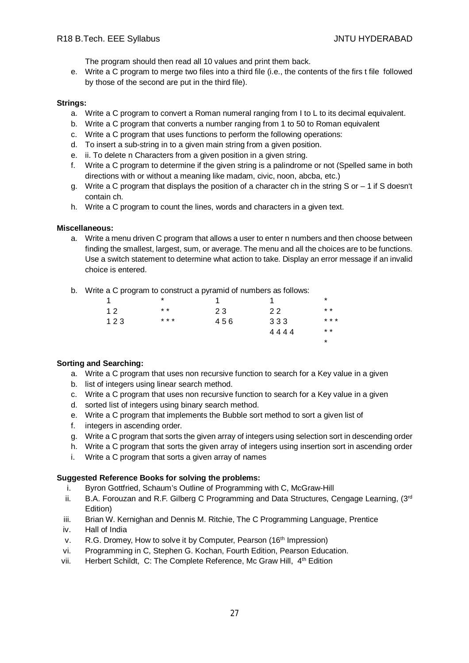The program should then read all 10 values and print them back.

e. Write a C program to merge two files into a third file (i.e., the contents of the firs t file followed by those of the second are put in the third file).

#### **Strings:**

- a. Write a C program to convert a Roman numeral ranging from I to L to its decimal equivalent.
- b. Write a C program that converts a number ranging from 1 to 50 to Roman equivalent
- c. Write a C program that uses functions to perform the following operations:
- d. To insert a sub-string in to a given main string from a given position.
- e. ii. To delete n Characters from a given position in a given string.
- f. Write a C program to determine if the given string is a palindrome or not (Spelled same in both directions with or without a meaning like madam, civic, noon, abcba, etc.)
- g. Write a C program that displays the position of a character ch in the string S or 1 if S doesn't contain ch.
- h. Write a C program to count the lines, words and characters in a given text.

#### **Miscellaneous:**

a. Write a menu driven C program that allows a user to enter n numbers and then choose between finding the smallest, largest, sum, or average. The menu and all the choices are to be functions. Use a switch statement to determine what action to take. Display an error message if an invalid choice is entered.

\*

b. Write a C program to construct a pyramid of numbers as follows:

| 1   | *     |     |      | *     |
|-----|-------|-----|------|-------|
| 12  | $* *$ | 23  | 22   | $* *$ |
| 123 | * * * | 456 | 333  | * * * |
|     |       |     | 4444 | $* *$ |

#### **Sorting and Searching:**

- a. Write a C program that uses non recursive function to search for a Key value in a given
- b. list of integers using linear search method.
- c. Write a C program that uses non recursive function to search for a Key value in a given
- d. sorted list of integers using binary search method.
- e. Write a C program that implements the Bubble sort method to sort a given list of
- f. integers in ascending order.
- g. Write a C program that sorts the given array of integers using selection sort in descending order
- h. Write a C program that sorts the given array of integers using insertion sort in ascending order
- i. Write a C program that sorts a given array of names

#### **Suggested Reference Books for solving the problems:**

- i. Byron Gottfried, Schaum's Outline of Programming with C, McGraw-Hill
- ii. B.A. Forouzan and R.F. Gilberg C Programming and Data Structures, Cengage Learning, (3rd Edition)
- iii. Brian W. Kernighan and Dennis M. Ritchie, The C Programming Language, Prentice
- iv. Hall of India
- v. R.G. Dromey, How to solve it by Computer, Pearson (16<sup>th</sup> Impression)
- vi. Programming in C, Stephen G. Kochan, Fourth Edition, Pearson Education.
- vii. Herbert Schildt, C: The Complete Reference, Mc Graw Hill, 4<sup>th</sup> Edition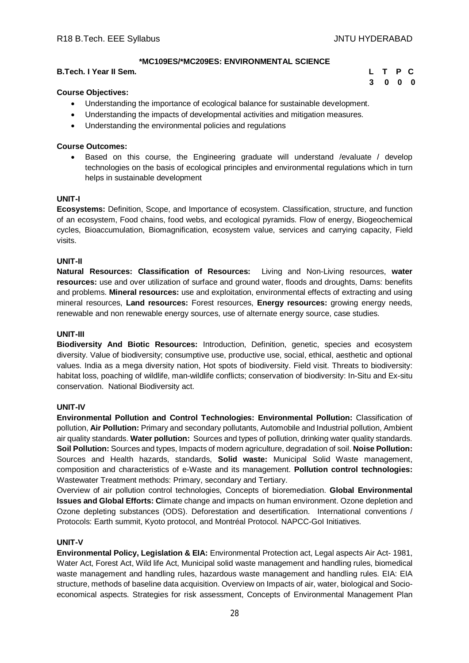**3 0 0 0**

# **\*MC109ES/\*MC209ES: ENVIRONMENTAL SCIENCE**

#### **B.Tech. I Year II Sem. L T P C**

#### **Course Objectives:**

- Understanding the importance of ecological balance for sustainable development.
- Understanding the impacts of developmental activities and mitigation measures.
- Understanding the environmental policies and regulations

#### **Course Outcomes:**

 Based on this course, the Engineering graduate will understand /evaluate / develop technologies on the basis of ecological principles and environmental regulations which in turn helps in sustainable development

#### **UNIT-I**

**Ecosystems:** Definition, Scope, and Importance of ecosystem. Classification, structure, and function of an ecosystem, Food chains, food webs, and ecological pyramids. Flow of energy, Biogeochemical cycles, Bioaccumulation, Biomagnification, ecosystem value, services and carrying capacity, Field visits.

#### **UNIT-II**

**Natural Resources: Classification of Resources:** Living and Non-Living resources, **water resources:** use and over utilization of surface and ground water, floods and droughts, Dams: benefits and problems. **Mineral resources:** use and exploitation, environmental effects of extracting and using mineral resources, **Land resources:** Forest resources, **Energy resources:** growing energy needs, renewable and non renewable energy sources, use of alternate energy source, case studies.

#### **UNIT-III**

**Biodiversity And Biotic Resources:** Introduction, Definition, genetic, species and ecosystem diversity. Value of biodiversity; consumptive use, productive use, social, ethical, aesthetic and optional values. India as a mega diversity nation, Hot spots of biodiversity. Field visit. Threats to biodiversity: habitat loss, poaching of wildlife, man-wildlife conflicts; conservation of biodiversity: In-Situ and Ex-situ conservation. National Biodiversity act.

#### **UNIT-IV**

**Environmental Pollution and Control Technologies: Environmental Pollution:** Classification of pollution, **Air Pollution:** Primary and secondary pollutants, Automobile and Industrial pollution, Ambient air quality standards. **Water pollution:** Sources and types of pollution, drinking water quality standards. **Soil Pollution:** Sources and types, Impacts of modern agriculture, degradation of soil. **Noise Pollution:**  Sources and Health hazards, standards, **Solid waste:** Municipal Solid Waste management, composition and characteristics of e-Waste and its management. **Pollution control technologies:** Wastewater Treatment methods: Primary, secondary and Tertiary.

Overview of air pollution control technologies, Concepts of bioremediation. **Global Environmental Issues and Global Efforts: C**limate change and impacts on human environment. Ozone depletion and Ozone depleting substances (ODS). Deforestation and desertification. International conventions / Protocols: Earth summit, Kyoto protocol, and Montréal Protocol. NAPCC-GoI Initiatives.

#### **UNIT-V**

**Environmental Policy, Legislation & EIA:** Environmental Protection act, Legal aspects Air Act- 1981, Water Act, Forest Act, Wild life Act, Municipal solid waste management and handling rules, biomedical waste management and handling rules, hazardous waste management and handling rules. EIA: EIA structure, methods of baseline data acquisition. Overview on Impacts of air, water, biological and Socioeconomical aspects. Strategies for risk assessment, Concepts of Environmental Management Plan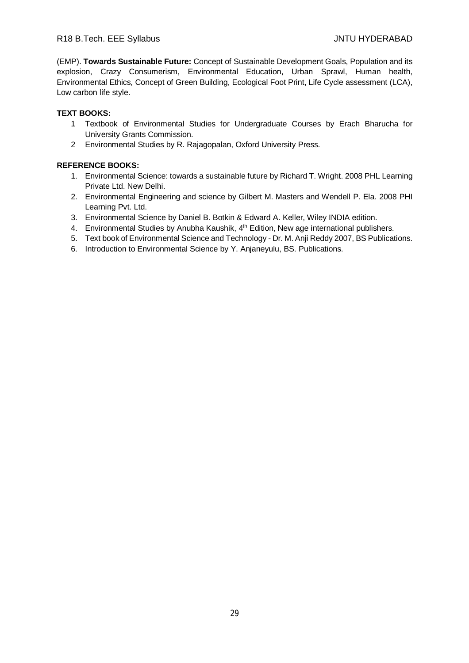(EMP). **Towards Sustainable Future:** Concept of Sustainable Development Goals, Population and its explosion, Crazy Consumerism, Environmental Education, Urban Sprawl, Human health, Environmental Ethics, Concept of Green Building, Ecological Foot Print, Life Cycle assessment (LCA), Low carbon life style.

# **TEXT BOOKS:**

- 1 Textbook of Environmental Studies for Undergraduate Courses by Erach Bharucha for University Grants Commission.
- 2 Environmental Studies by R. Rajagopalan, Oxford University Press.

- 1. Environmental Science: towards a sustainable future by Richard T. Wright. 2008 PHL Learning Private Ltd. New Delhi.
- 2. Environmental Engineering and science by Gilbert M. Masters and Wendell P. Ela. 2008 PHI Learning Pvt. Ltd.
- 3. Environmental Science by Daniel B. Botkin & Edward A. Keller, Wiley INDIA edition.
- 4. Environmental Studies by Anubha Kaushik, 4<sup>th</sup> Edition, New age international publishers.
- 5. Text book of Environmental Science and Technology Dr. M. Anji Reddy 2007, BS Publications.
- 6. Introduction to Environmental Science by Y. Anjaneyulu, BS. Publications.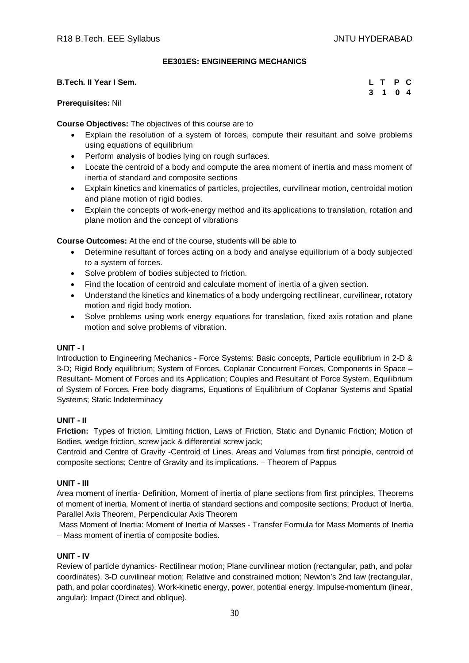#### **EE301ES: ENGINEERING MECHANICS**

| <b>B.Tech. II Year I Sem.</b> |  | L T P C |  |
|-------------------------------|--|---------|--|
|                               |  | 3 1 0 4 |  |

#### **Prerequisites:** Nil

**Course Objectives:** The objectives of this course are to

- Explain the resolution of a system of forces, compute their resultant and solve problems using equations of equilibrium
- Perform analysis of bodies lying on rough surfaces.
- Locate the centroid of a body and compute the area moment of inertia and mass moment of inertia of standard and composite sections
- Explain kinetics and kinematics of particles, projectiles, curvilinear motion, centroidal motion and plane motion of rigid bodies.
- Explain the concepts of work-energy method and its applications to translation, rotation and plane motion and the concept of vibrations

**Course Outcomes:** At the end of the course, students will be able to

- Determine resultant of forces acting on a body and analyse equilibrium of a body subjected to a system of forces.
- Solve problem of bodies subjected to friction.
- Find the location of centroid and calculate moment of inertia of a given section.
- Understand the kinetics and kinematics of a body undergoing rectilinear, curvilinear, rotatory motion and rigid body motion.
- Solve problems using work energy equations for translation, fixed axis rotation and plane motion and solve problems of vibration.

#### **UNIT - I**

Introduction to Engineering Mechanics - Force Systems: Basic concepts, Particle equilibrium in 2-D & 3-D; Rigid Body equilibrium; System of Forces, Coplanar Concurrent Forces, Components in Space – Resultant- Moment of Forces and its Application; Couples and Resultant of Force System, Equilibrium of System of Forces, Free body diagrams, Equations of Equilibrium of Coplanar Systems and Spatial Systems; Static Indeterminacy

# **UNIT - II**

**Friction:** Types of friction, Limiting friction, Laws of Friction, Static and Dynamic Friction; Motion of Bodies, wedge friction, screw jack & differential screw jack;

Centroid and Centre of Gravity -Centroid of Lines, Areas and Volumes from first principle, centroid of composite sections; Centre of Gravity and its implications. – Theorem of Pappus

#### **UNIT - III**

Area moment of inertia- Definition, Moment of inertia of plane sections from first principles, Theorems of moment of inertia, Moment of inertia of standard sections and composite sections; Product of Inertia, Parallel Axis Theorem, Perpendicular Axis Theorem

Mass Moment of Inertia: Moment of Inertia of Masses - Transfer Formula for Mass Moments of Inertia – Mass moment of inertia of composite bodies.

# **UNIT - IV**

Review of particle dynamics- Rectilinear motion; Plane curvilinear motion (rectangular, path, and polar coordinates). 3-D curvilinear motion; Relative and constrained motion; Newton's 2nd law (rectangular, path, and polar coordinates). Work-kinetic energy, power, potential energy. Impulse-momentum (linear, angular); Impact (Direct and oblique).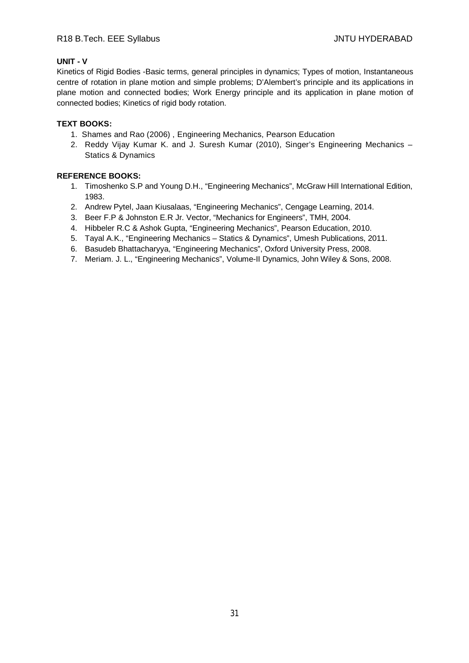# R18 B.Tech. EEE Syllabus JNTU HYDERABAD

# **UNIT - V**

Kinetics of Rigid Bodies -Basic terms, general principles in dynamics; Types of motion, Instantaneous centre of rotation in plane motion and simple problems; D'Alembert's principle and its applications in plane motion and connected bodies; Work Energy principle and its application in plane motion of connected bodies; Kinetics of rigid body rotation.

# **TEXT BOOKS:**

- 1. Shames and Rao (2006) , Engineering Mechanics, Pearson Education
- 2. Reddy Vijay Kumar K. and J. Suresh Kumar (2010), Singer's Engineering Mechanics Statics & Dynamics

- 1. Timoshenko S.P and Young D.H., "Engineering Mechanics", McGraw Hill International Edition, 1983.
- 2. Andrew Pytel, Jaan Kiusalaas, "Engineering Mechanics", Cengage Learning, 2014.
- 3. Beer F.P & Johnston E.R Jr. Vector, "Mechanics for Engineers", TMH, 2004.
- 4. Hibbeler R.C & Ashok Gupta, "Engineering Mechanics", Pearson Education, 2010.
- 5. Tayal A.K., "Engineering Mechanics Statics & Dynamics", Umesh Publications, 2011.
- 6. Basudeb Bhattacharyya, "Engineering Mechanics", Oxford University Press, 2008.
- 7. Meriam. J. L., "Engineering Mechanics", Volume-II Dynamics, John Wiley & Sons, 2008.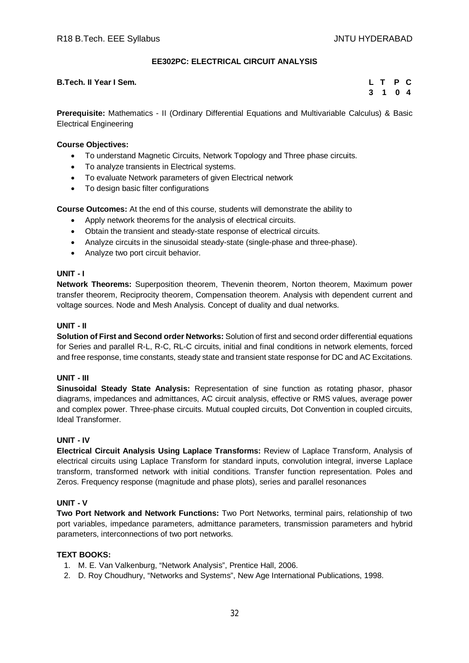# **EE302PC: ELECTRICAL CIRCUIT ANALYSIS**

#### **B.Tech. II Year I Sem. L T P C**

**3 1 0 4**

**Prerequisite:** Mathematics - II (Ordinary Differential Equations and Multivariable Calculus) & Basic Electrical Engineering

#### **Course Objectives:**

- To understand Magnetic Circuits, Network Topology and Three phase circuits.
- To analyze transients in Electrical systems.
- To evaluate Network parameters of given Electrical network
- To design basic filter configurations

**Course Outcomes:** At the end of this course, students will demonstrate the ability to

- Apply network theorems for the analysis of electrical circuits.
- Obtain the transient and steady-state response of electrical circuits.
- Analyze circuits in the sinusoidal steady-state (single-phase and three-phase).
- Analyze two port circuit behavior.

# **UNIT - I**

**Network Theorems:** Superposition theorem, Thevenin theorem, Norton theorem, Maximum power transfer theorem, Reciprocity theorem, Compensation theorem. Analysis with dependent current and voltage sources. Node and Mesh Analysis. Concept of duality and dual networks.

#### **UNIT - II**

**Solution of First and Second order Networks:** Solution of first and second order differential equations for Series and parallel R-L, R-C, RL-C circuits, initial and final conditions in network elements, forced and free response, time constants, steady state and transient state response for DC and AC Excitations.

#### **UNIT - III**

**Sinusoidal Steady State Analysis:** Representation of sine function as rotating phasor, phasor diagrams, impedances and admittances, AC circuit analysis, effective or RMS values, average power and complex power. Three-phase circuits. Mutual coupled circuits, Dot Convention in coupled circuits, Ideal Transformer.

#### **UNIT - IV**

**Electrical Circuit Analysis Using Laplace Transforms:** Review of Laplace Transform, Analysis of electrical circuits using Laplace Transform for standard inputs, convolution integral, inverse Laplace transform, transformed network with initial conditions. Transfer function representation. Poles and Zeros. Frequency response (magnitude and phase plots), series and parallel resonances

#### **UNIT - V**

**Two Port Network and Network Functions:** Two Port Networks, terminal pairs, relationship of two port variables, impedance parameters, admittance parameters, transmission parameters and hybrid parameters, interconnections of two port networks.

#### **TEXT BOOKS:**

- 1. M. E. Van Valkenburg, "Network Analysis", Prentice Hall, 2006.
- 2. D. Roy Choudhury, "Networks and Systems", New Age International Publications, 1998.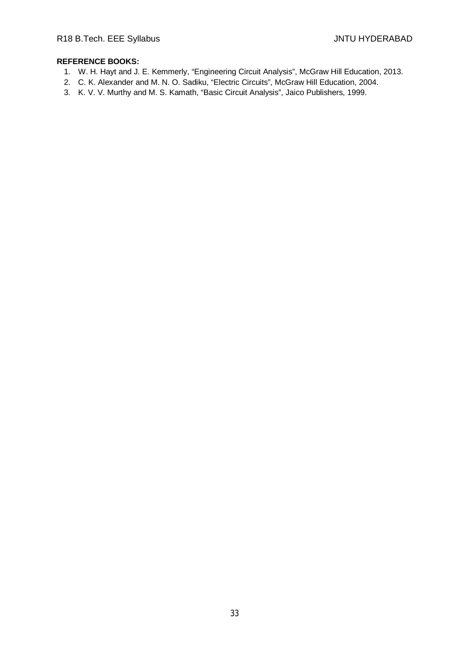- 1. W. H. Hayt and J. E. Kemmerly, "Engineering Circuit Analysis", McGraw Hill Education, 2013.
- 2. C. K. Alexander and M. N. O. Sadiku, "Electric Circuits", McGraw Hill Education, 2004.
- 3. K. V. V. Murthy and M. S. Kamath, "Basic Circuit Analysis", Jaico Publishers, 1999.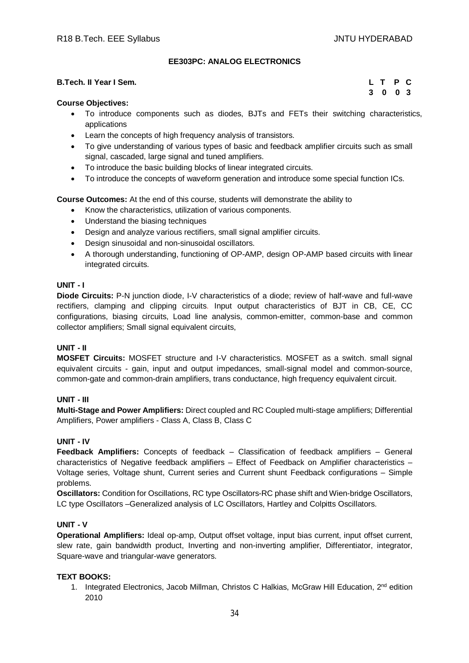# **EE303PC: ANALOG ELECTRONICS**

#### **B.Tech. II Year I Sem.**

|    | L T P C |                                       |  |
|----|---------|---------------------------------------|--|
| -3 | - 0     | $\begin{array}{cc} 0 & 3 \end{array}$ |  |

#### **Course Objectives:**

- To introduce components such as diodes, BJTs and FETs their switching characteristics, applications
- Learn the concepts of high frequency analysis of transistors.
- To give understanding of various types of basic and feedback amplifier circuits such as small signal, cascaded, large signal and tuned amplifiers.
- To introduce the basic building blocks of linear integrated circuits.
- To introduce the concepts of waveform generation and introduce some special function ICs.

**Course Outcomes:** At the end of this course, students will demonstrate the ability to

- Know the characteristics, utilization of various components.
- Understand the biasing techniques
- Design and analyze various rectifiers, small signal amplifier circuits.
- Design sinusoidal and non-sinusoidal oscillators.
- A thorough understanding, functioning of OP-AMP, design OP-AMP based circuits with linear integrated circuits.

#### **UNIT - I**

**Diode Circuits:** P-N junction diode, I-V characteristics of a diode; review of half-wave and full-wave rectifiers, clamping and clipping circuits. Input output characteristics of BJT in CB, CE, CC configurations, biasing circuits, Load line analysis, common-emitter, common-base and common collector amplifiers; Small signal equivalent circuits,

#### **UNIT - II**

**MOSFET Circuits:** MOSFET structure and I-V characteristics. MOSFET as a switch. small signal equivalent circuits - gain, input and output impedances, small-signal model and common-source, common-gate and common-drain amplifiers, trans conductance, high frequency equivalent circuit.

#### **UNIT - III**

**Multi-Stage and Power Amplifiers:** Direct coupled and RC Coupled multi-stage amplifiers; Differential Amplifiers, Power amplifiers - Class A, Class B, Class C

#### **UNIT - IV**

**Feedback Amplifiers:** Concepts of feedback – Classification of feedback amplifiers – General characteristics of Negative feedback amplifiers – Effect of Feedback on Amplifier characteristics – Voltage series, Voltage shunt, Current series and Current shunt Feedback configurations – Simple problems.

**Oscillators:** Condition for Oscillations, RC type Oscillators-RC phase shift and Wien-bridge Oscillators, LC type Oscillators –Generalized analysis of LC Oscillators, Hartley and Colpitts Oscillators.

#### **UNIT - V**

**Operational Amplifiers:** Ideal op-amp, Output offset voltage, input bias current, input offset current, slew rate, gain bandwidth product, Inverting and non-inverting amplifier, Differentiator, integrator, Square-wave and triangular-wave generators.

#### **TEXT BOOKS:**

1. Integrated Electronics, Jacob Millman, Christos C Halkias, McGraw Hill Education. 2<sup>nd</sup> edition 2010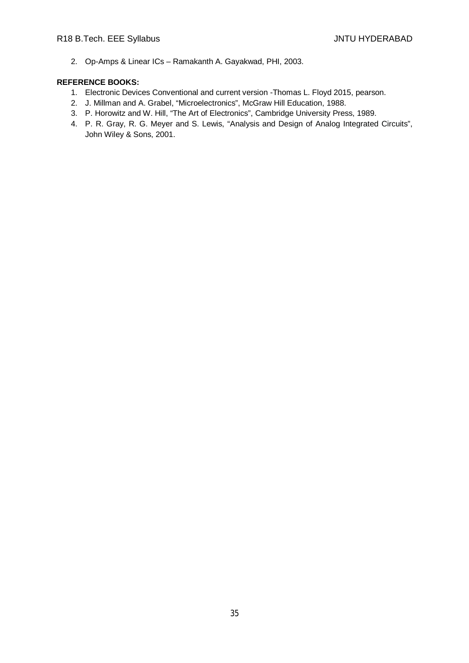2. Op-Amps & Linear ICs – Ramakanth A. Gayakwad, PHI, 2003.

- 1. Electronic Devices Conventional and current version -Thomas L. Floyd 2015, pearson.
- 2. J. Millman and A. Grabel, "Microelectronics", McGraw Hill Education, 1988.
- 3. P. Horowitz and W. Hill, "The Art of Electronics", Cambridge University Press, 1989.
- 4. P. R. Gray, R. G. Meyer and S. Lewis, "Analysis and Design of Analog Integrated Circuits", John Wiley & Sons, 2001.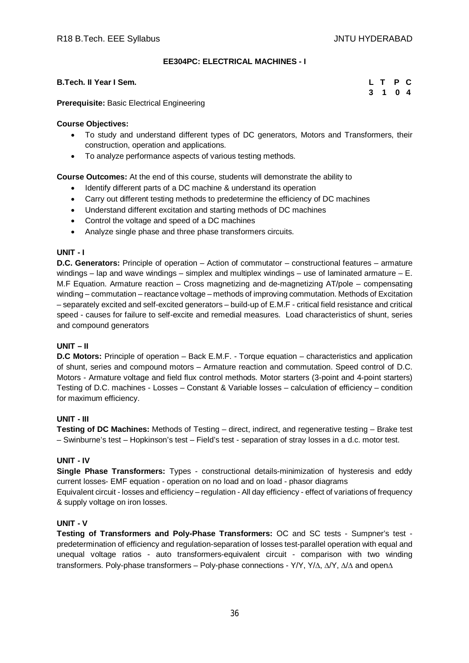# **EE304PC: ELECTRICAL MACHINES - I**

#### **B.Tech. II Year I Sem. L T P C**

|  | L T P C |  |
|--|---------|--|
|  | 3 1 0 4 |  |

**Prerequisite:** Basic Electrical Engineering

#### **Course Objectives:**

- To study and understand different types of DC generators, Motors and Transformers, their construction, operation and applications.
- To analyze performance aspects of various testing methods.

**Course Outcomes:** At the end of this course, students will demonstrate the ability to

- Identify different parts of a DC machine & understand its operation
- Carry out different testing methods to predetermine the efficiency of DC machines
- Understand different excitation and starting methods of DC machines
- Control the voltage and speed of a DC machines
- Analyze single phase and three phase transformers circuits.

#### **UNIT - I**

**D.C. Generators:** Principle of operation – Action of commutator – constructional features – armature windings – lap and wave windings – simplex and multiplex windings – use of laminated armature – E. M.F Equation. Armature reaction – Cross magnetizing and de-magnetizing AT/pole – compensating winding – commutation – reactance voltage – methods of improving commutation. Methods of Excitation – separately excited and self-excited generators – build-up of E.M.F - critical field resistance and critical speed - causes for failure to self-excite and remedial measures. Load characteristics of shunt, series and compound generators

#### **UNIT – II**

**D.C Motors:** Principle of operation – Back E.M.F. - Torque equation – characteristics and application of shunt, series and compound motors – Armature reaction and commutation. Speed control of D.C. Motors - Armature voltage and field flux control methods. Motor starters (3-point and 4-point starters) Testing of D.C. machines - Losses – Constant & Variable losses – calculation of efficiency – condition for maximum efficiency.

#### **UNIT - III**

**Testing of DC Machines:** Methods of Testing – direct, indirect, and regenerative testing – Brake test – Swinburne's test – Hopkinson's test – Field's test - separation of stray losses in a d.c. motor test.

#### **UNIT - IV**

**Single Phase Transformers:** Types - constructional details-minimization of hysteresis and eddy current losses- EMF equation - operation on no load and on load - phasor diagrams

Equivalent circuit - losses and efficiency – regulation - All day efficiency - effect of variations of frequency & supply voltage on iron losses.

#### **UNIT - V**

**Testing of Transformers and Poly-Phase Transformers:** OC and SC tests - Sumpner's test predetermination of efficiency and regulation-separation of losses test-parallel operation with equal and unequal voltage ratios - auto transformers-equivalent circuit - comparison with two winding transformers. Poly-phase transformers – Poly-phase connections - Y/Y, Y/ $\Delta$ ,  $\Delta$ Y,  $\Delta$ / $\Delta$  and open $\Delta$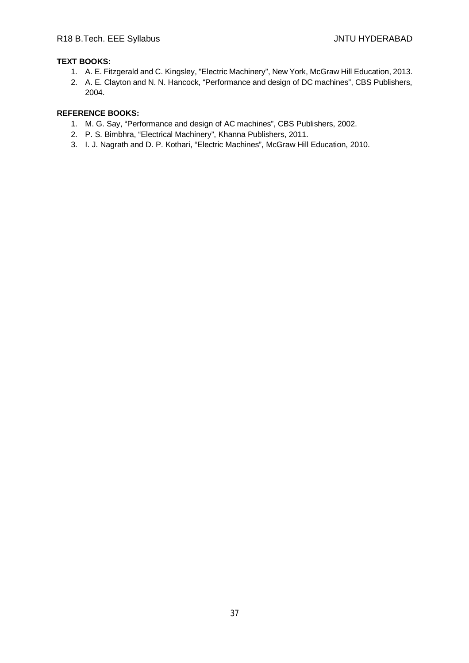# **TEXT BOOKS:**

- 1. A. E. Fitzgerald and C. Kingsley, "Electric Machinery", New York, McGraw Hill Education, 2013.
- 2. A. E. Clayton and N. N. Hancock, "Performance and design of DC machines", CBS Publishers, 2004.

- 1. M. G. Say, "Performance and design of AC machines", CBS Publishers, 2002.
- 2. P. S. Bimbhra, "Electrical Machinery", Khanna Publishers, 2011.
- 3. I. J. Nagrath and D. P. Kothari, "Electric Machines", McGraw Hill Education, 2010.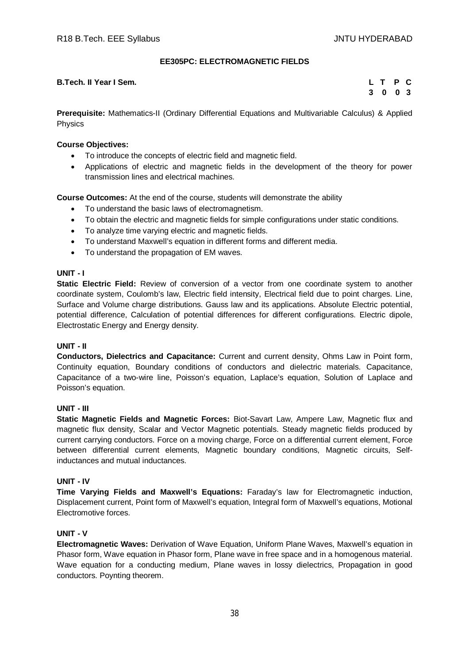# **EE305PC: ELECTROMAGNETIC FIELDS**

#### **B.Tech. II Year I Sem. L T P C**

**3 0 0 3**

**Prerequisite:** Mathematics-II (Ordinary Differential Equations and Multivariable Calculus) & Applied Physics

# **Course Objectives:**

- To introduce the concepts of electric field and magnetic field.
- Applications of electric and magnetic fields in the development of the theory for power transmission lines and electrical machines.

**Course Outcomes:** At the end of the course, students will demonstrate the ability

- To understand the basic laws of electromagnetism.
- To obtain the electric and magnetic fields for simple configurations under static conditions.
- To analyze time varying electric and magnetic fields.
- To understand Maxwell's equation in different forms and different media.
- To understand the propagation of EM waves.

# **UNIT - I**

**Static Electric Field:** Review of conversion of a vector from one coordinate system to another coordinate system, Coulomb's law, Electric field intensity, Electrical field due to point charges. Line, Surface and Volume charge distributions. Gauss law and its applications. Absolute Electric potential, potential difference, Calculation of potential differences for different configurations. Electric dipole, Electrostatic Energy and Energy density.

# **UNIT - II**

**Conductors, Dielectrics and Capacitance:** Current and current density, Ohms Law in Point form, Continuity equation, Boundary conditions of conductors and dielectric materials. Capacitance, Capacitance of a two-wire line, Poisson's equation, Laplace's equation, Solution of Laplace and Poisson's equation.

# **UNIT - III**

**Static Magnetic Fields and Magnetic Forces:** Biot-Savart Law, Ampere Law, Magnetic flux and magnetic flux density, Scalar and Vector Magnetic potentials. Steady magnetic fields produced by current carrying conductors. Force on a moving charge, Force on a differential current element, Force between differential current elements, Magnetic boundary conditions, Magnetic circuits, Selfinductances and mutual inductances.

#### **UNIT - IV**

**Time Varying Fields and Maxwell's Equations:** Faraday's law for Electromagnetic induction, Displacement current, Point form of Maxwell's equation, Integral form of Maxwell's equations, Motional Electromotive forces.

# **UNIT - V**

**Electromagnetic Waves:** Derivation of Wave Equation, Uniform Plane Waves, Maxwell's equation in Phasor form, Wave equation in Phasor form, Plane wave in free space and in a homogenous material. Wave equation for a conducting medium, Plane waves in lossy dielectrics, Propagation in good conductors. Poynting theorem.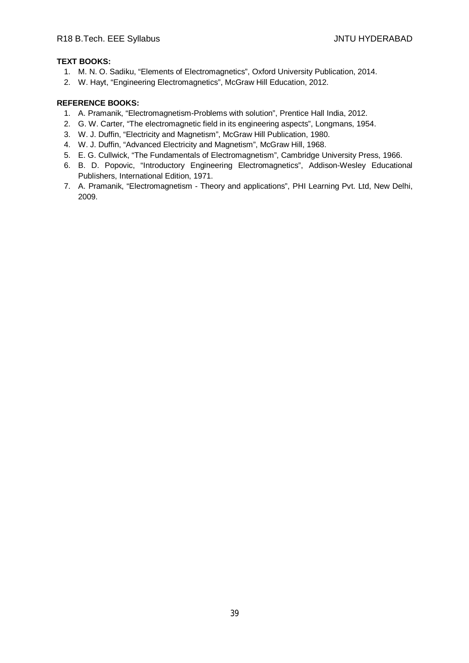# **TEXT BOOKS:**

- 1. M. N. O. Sadiku, "Elements of Electromagnetics", Oxford University Publication, 2014.
- 2. W. Hayt, "Engineering Electromagnetics", McGraw Hill Education, 2012.

- 1. A. Pramanik, "Electromagnetism-Problems with solution", Prentice Hall India, 2012.
- 2. G. W. Carter, "The electromagnetic field in its engineering aspects", Longmans, 1954.
- 3. W. J. Duffin, "Electricity and Magnetism", McGraw Hill Publication, 1980.
- 4. W. J. Duffin, "Advanced Electricity and Magnetism", McGraw Hill, 1968.
- 5. E. G. Cullwick, "The Fundamentals of Electromagnetism", Cambridge University Press, 1966.
- 6. B. D. Popovic, "Introductory Engineering Electromagnetics", Addison-Wesley Educational Publishers, International Edition, 1971.
- 7. A. Pramanik, "Electromagnetism Theory and applications", PHI Learning Pvt. Ltd, New Delhi, 2009.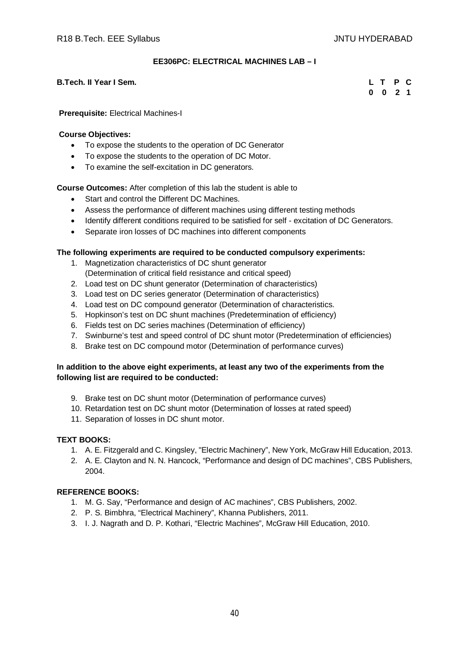# **EE306PC: ELECTRICAL MACHINES LAB – I**

# **B.Tech. II Year I Sem. L T P C**

**0 0 2 1**

#### **Prerequisite:** Electrical Machines-I

#### **Course Objectives:**

- To expose the students to the operation of DC Generator
- To expose the students to the operation of DC Motor.
- To examine the self-excitation in DC generators.

**Course Outcomes:** After completion of this lab the student is able to

- Start and control the Different DC Machines.
- Assess the performance of different machines using different testing methods
- Identify different conditions required to be satisfied for self excitation of DC Generators.
- Separate iron losses of DC machines into different components

#### **The following experiments are required to be conducted compulsory experiments:**

- 1. Magnetization characteristics of DC shunt generator
- (Determination of critical field resistance and critical speed)
- 2. Load test on DC shunt generator (Determination of characteristics)
- 3. Load test on DC series generator (Determination of characteristics)
- 4. Load test on DC compound generator (Determination of characteristics.
- 5. Hopkinson's test on DC shunt machines (Predetermination of efficiency)
- 6. Fields test on DC series machines (Determination of efficiency)
- 7. Swinburne's test and speed control of DC shunt motor (Predetermination of efficiencies)
- 8. Brake test on DC compound motor (Determination of performance curves)

# **In addition to the above eight experiments, at least any two of the experiments from the following list are required to be conducted:**

- 9. Brake test on DC shunt motor (Determination of performance curves)
- 10. Retardation test on DC shunt motor (Determination of losses at rated speed)
- 11. Separation of losses in DC shunt motor.

#### **TEXT BOOKS:**

- 1. A. E. Fitzgerald and C. Kingsley, "Electric Machinery", New York, McGraw Hill Education, 2013.
- 2. A. E. Clayton and N. N. Hancock, "Performance and design of DC machines", CBS Publishers, 2004.

- 1. M. G. Say, "Performance and design of AC machines", CBS Publishers, 2002.
- 2. P. S. Bimbhra, "Electrical Machinery", Khanna Publishers, 2011.
- 3. I. J. Nagrath and D. P. Kothari, "Electric Machines", McGraw Hill Education, 2010.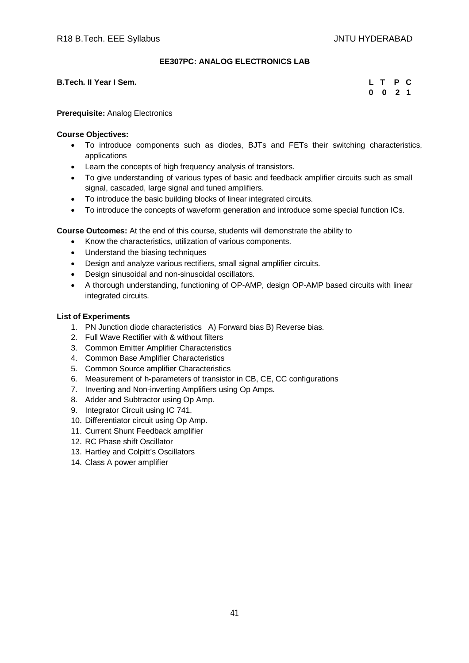# **EE307PC: ANALOG ELECTRONICS LAB**

#### **B.Tech. II Year I Sem.**

| L        |   | P  | C |
|----------|---|----|---|
| $\bf{0}$ | 0 | -2 | 1 |

# **Prerequisite:** Analog Electronics

# **Course Objectives:**

- To introduce components such as diodes, BJTs and FETs their switching characteristics, applications
- Learn the concepts of high frequency analysis of transistors.
- To give understanding of various types of basic and feedback amplifier circuits such as small signal, cascaded, large signal and tuned amplifiers.
- To introduce the basic building blocks of linear integrated circuits.
- To introduce the concepts of waveform generation and introduce some special function ICs.

**Course Outcomes:** At the end of this course, students will demonstrate the ability to

- Know the characteristics, utilization of various components.
- Understand the biasing techniques
- Design and analyze various rectifiers, small signal amplifier circuits.
- Design sinusoidal and non-sinusoidal oscillators.
- A thorough understanding, functioning of OP-AMP, design OP-AMP based circuits with linear integrated circuits.

# **List of Experiments**

- 1. PN Junction diode characteristics A) Forward bias B) Reverse bias.
- 2. Full Wave Rectifier with & without filters
- 3. Common Emitter Amplifier Characteristics
- 4. Common Base Amplifier Characteristics
- 5. Common Source amplifier Characteristics
- 6. Measurement of h-parameters of transistor in CB, CE, CC configurations
- 7. Inverting and Non-inverting Amplifiers using Op Amps.
- 8. Adder and Subtractor using Op Amp.
- 9. Integrator Circuit using IC 741.
- 10. Differentiator circuit using Op Amp.
- 11. Current Shunt Feedback amplifier
- 12. RC Phase shift Oscillator
- 13. Hartley and Colpitt's Oscillators
- 14. Class A power amplifier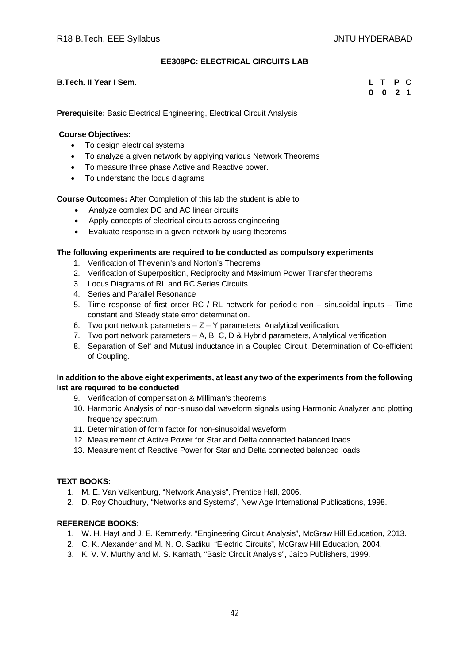# **EE308PC: ELECTRICAL CIRCUITS LAB**

#### **B.Tech. II Year I Sem. L T P C**

**0 0 2 1**

**Prerequisite:** Basic Electrical Engineering, Electrical Circuit Analysis

#### **Course Objectives:**

- To design electrical systems
- To analyze a given network by applying various Network Theorems
- To measure three phase Active and Reactive power.
- To understand the locus diagrams

# **Course Outcomes:** After Completion of this lab the student is able to

- Analyze complex DC and AC linear circuits
- Apply concepts of electrical circuits across engineering
- Evaluate response in a given network by using theorems

# **The following experiments are required to be conducted as compulsory experiments**

- 1. Verification of Thevenin's and Norton's Theorems
- 2. Verification of Superposition, Reciprocity and Maximum Power Transfer theorems
- 3. Locus Diagrams of RL and RC Series Circuits
- 4. Series and Parallel Resonance
- 5. Time response of first order RC / RL network for periodic non sinusoidal inputs Time constant and Steady state error determination.
- 6. Two port network parameters  $Z Y$  parameters, Analytical verification.
- 7. Two port network parameters A, B, C, D & Hybrid parameters, Analytical verification
- 8. Separation of Self and Mutual inductance in a Coupled Circuit. Determination of Co-efficient of Coupling.

# **In addition to the above eight experiments, at least any two of the experiments from the following list are required to be conducted**

- 9. Verification of compensation & Milliman's theorems
- 10. Harmonic Analysis of non-sinusoidal waveform signals using Harmonic Analyzer and plotting frequency spectrum.
- 11. Determination of form factor for non-sinusoidal waveform
- 12. Measurement of Active Power for Star and Delta connected balanced loads
- 13. Measurement of Reactive Power for Star and Delta connected balanced loads

# **TEXT BOOKS:**

- 1. M. E. Van Valkenburg, "Network Analysis", Prentice Hall, 2006.
- 2. D. Roy Choudhury, "Networks and Systems", New Age International Publications, 1998.

- 1. W. H. Hayt and J. E. Kemmerly, "Engineering Circuit Analysis", McGraw Hill Education, 2013.
- 2. C. K. Alexander and M. N. O. Sadiku, "Electric Circuits", McGraw Hill Education, 2004.
- 3. K. V. V. Murthy and M. S. Kamath, "Basic Circuit Analysis", Jaico Publishers, 1999.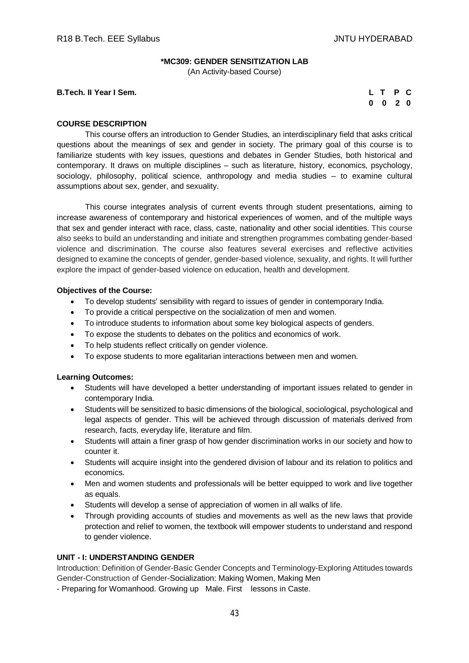# **\*MC309: GENDER SENSITIZATION LAB**

(An Activity-based Course)

**B.Tech. II** Year I Sem.

| L T      |              | PC |  |
|----------|--------------|----|--|
| $\bf{0}$ | $\mathbf{0}$ | 20 |  |

#### **COURSE DESCRIPTION**

This course offers an introduction to Gender Studies, an interdisciplinary field that asks critical questions about the meanings of sex and gender in society. The primary goal of this course is to familiarize students with key issues, questions and debates in Gender Studies, both historical and contemporary. It draws on multiple disciplines – such as literature, history, economics, psychology, sociology, philosophy, political science, anthropology and media studies – to examine cultural assumptions about sex, gender, and sexuality.

This course integrates analysis of current events through student presentations, aiming to increase awareness of contemporary and historical experiences of women, and of the multiple ways that sex and gender interact with race, class, caste, nationality and other social identities. This course also seeks to build an understanding and initiate and strengthen programmes combating gender-based violence and discrimination. The course also features several exercises and reflective activities designed to examine the concepts of gender, gender-based violence, sexuality, and rights. It will further explore the impact of gender-based violence on education, health and development.

#### **Objectives of the Course:**

- To develop students' sensibility with regard to issues of gender in contemporary India.
- To provide a critical perspective on the socialization of men and women.
- To introduce students to information about some key biological aspects of genders.
- To expose the students to debates on the politics and economics of work.
- To help students reflect critically on gender violence.
- To expose students to more egalitarian interactions between men and women.

#### **Learning Outcomes:**

- Students will have developed a better understanding of important issues related to gender in contemporary India.
- Students will be sensitized to basic dimensions of the biological, sociological, psychological and legal aspects of gender. This will be achieved through discussion of materials derived from research, facts, everyday life, literature and film.
- Students will attain a finer grasp of how gender discrimination works in our society and how to counter it.
- Students will acquire insight into the gendered division of labour and its relation to politics and economics.
- Men and women students and professionals will be better equipped to work and live together as equals.
- Students will develop a sense of appreciation of women in all walks of life.
- Through providing accounts of studies and movements as well as the new laws that provide protection and relief to women, the textbook will empower students to understand and respond to gender violence.

# **UNIT - I: UNDERSTANDING GENDER**

Introduction: Definition of Gender-Basic Gender Concepts and Terminology-Exploring Attitudes towards Gender-Construction of Gender-Socialization: Making Women, Making Men

- Preparing for Womanhood. Growing up Male. First lessons in Caste.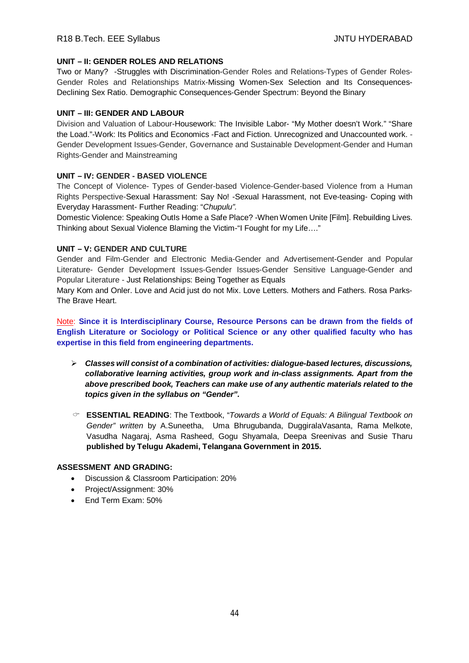# **UNIT – II: GENDER ROLES AND RELATIONS**

Two or Many? -Struggles with Discrimination-Gender Roles and Relations-Types of Gender Roles-Gender Roles and Relationships Matrix-Missing Women-Sex Selection and Its Consequences-Declining Sex Ratio. Demographic Consequences-Gender Spectrum: Beyond the Binary

# **UNIT – III: GENDER AND LABOUR**

Division and Valuation of Labour-Housework: The Invisible Labor- "My Mother doesn't Work." "Share the Load."-Work: Its Politics and Economics -Fact and Fiction. Unrecognized and Unaccounted work. - Gender Development Issues-Gender, Governance and Sustainable Development-Gender and Human Rights-Gender and Mainstreaming

# **UNIT – IV: GENDER - BASED VIOLENCE**

The Concept of Violence- Types of Gender-based Violence-Gender-based Violence from a Human Rights Perspective-Sexual Harassment: Say No! -Sexual Harassment, not Eve-teasing- Coping with Everyday Harassment- Further Reading: "*Chupulu".*

Domestic Violence: Speaking OutIs Home a Safe Place? -When Women Unite [Film]. Rebuilding Lives. Thinking about Sexual Violence Blaming the Victim-"I Fought for my Life…."

# **UNIT – V: GENDER AND CULTURE**

Gender and Film-Gender and Electronic Media-Gender and Advertisement-Gender and Popular Literature- Gender Development Issues-Gender Issues-Gender Sensitive Language-Gender and Popular Literature - Just Relationships: Being Together as Equals

Mary Kom and Onler. Love and Acid just do not Mix. Love Letters. Mothers and Fathers. Rosa Parks-The Brave Heart.

Note: **Since it is Interdisciplinary Course, Resource Persons can be drawn from the fields of English Literature or Sociology or Political Science or any other qualified faculty who has expertise in this field from engineering departments.**

- *Classes will consist of a combination of activities: dialogue-based lectures, discussions, collaborative learning activities, group work and in-class assignments. Apart from the above prescribed book, Teachers can make use of any authentic materials related to the topics given in the syllabus on "Gender".*
- **ESSENTIAL READING**: The Textbook, "*Towards a World of Equals: A Bilingual Textbook on Gender" written* by A.Suneetha, Uma Bhrugubanda, DuggiralaVasanta, Rama Melkote, Vasudha Nagaraj, Asma Rasheed, Gogu Shyamala, Deepa Sreenivas and Susie Tharu **published by Telugu Akademi, Telangana Government in 2015.**

# **ASSESSMENT AND GRADING:**

- Discussion & Classroom Participation: 20%
- Project/Assignment: 30%
- End Term Exam: 50%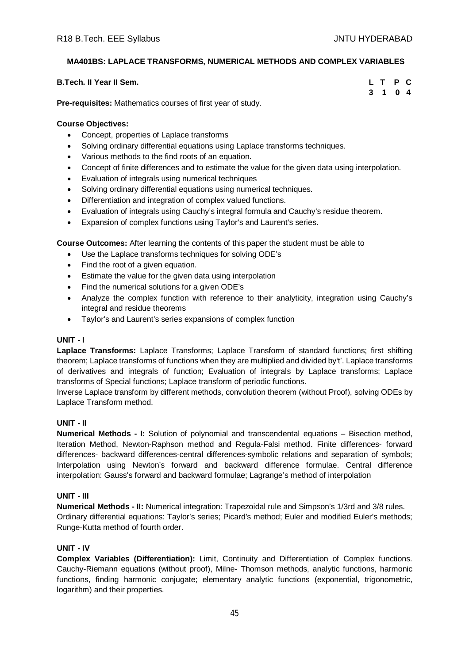# **MA401BS: LAPLACE TRANSFORMS, NUMERICAL METHODS AND COMPLEX VARIABLES**

| <b>B.Tech. II Year II Sem.</b> | L T P C |  |
|--------------------------------|---------|--|
| $\overline{\phantom{a}}$       | 3 1 0 4 |  |

**Pre-requisites:** Mathematics courses of first year of study.

# **Course Objectives:**

- Concept, properties of Laplace transforms
- Solving ordinary differential equations using Laplace transforms techniques.
- Various methods to the find roots of an equation.
- Concept of finite differences and to estimate the value for the given data using interpolation.
- Evaluation of integrals using numerical techniques
- Solving ordinary differential equations using numerical techniques.
- Differentiation and integration of complex valued functions.
- Evaluation of integrals using Cauchy's integral formula and Cauchy's residue theorem.
- Expansion of complex functions using Taylor's and Laurent's series.

**Course Outcomes:** After learning the contents of this paper the student must be able to

- Use the Laplace transforms techniques for solving ODE's
- Find the root of a given equation.
- Estimate the value for the given data using interpolation
- Find the numerical solutions for a given ODE's
- Analyze the complex function with reference to their analyticity, integration using Cauchy's integral and residue theorems
- Taylor's and Laurent's series expansions of complex function

# **UNIT - I**

**Laplace Transforms:** Laplace Transforms; Laplace Transform of standard functions; first shifting theorem; Laplace transforms of functions when they are multiplied and divided by't'. Laplace transforms of derivatives and integrals of function; Evaluation of integrals by Laplace transforms; Laplace transforms of Special functions; Laplace transform of periodic functions.

Inverse Laplace transform by different methods, convolution theorem (without Proof), solving ODEs by Laplace Transform method.

# **UNIT - II**

**Numerical Methods - I:** Solution of polynomial and transcendental equations – Bisection method, Iteration Method, Newton-Raphson method and Regula-Falsi method. Finite differences- forward differences- backward differences-central differences-symbolic relations and separation of symbols; Interpolation using Newton's forward and backward difference formulae. Central difference interpolation: Gauss's forward and backward formulae; Lagrange's method of interpolation

# **UNIT - III**

**Numerical Methods - II:** Numerical integration: Trapezoidal rule and Simpson's 1/3rd and 3/8 rules. Ordinary differential equations: Taylor's series; Picard's method; Euler and modified Euler's methods; Runge-Kutta method of fourth order.

# **UNIT - IV**

**Complex Variables (Differentiation):** Limit, Continuity and Differentiation of Complex functions. Cauchy-Riemann equations (without proof), Milne- Thomson methods, analytic functions, harmonic functions, finding harmonic conjugate; elementary analytic functions (exponential, trigonometric, logarithm) and their properties.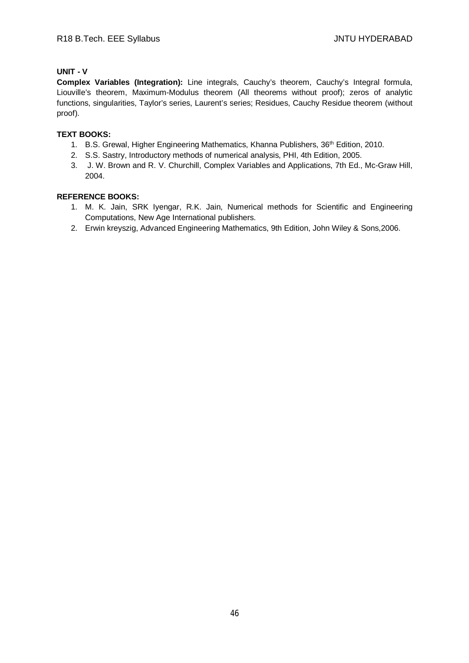# **UNIT - V**

**Complex Variables (Integration):** Line integrals, Cauchy's theorem, Cauchy's Integral formula, Liouville's theorem, Maximum-Modulus theorem (All theorems without proof); zeros of analytic functions, singularities, Taylor's series, Laurent's series; Residues, Cauchy Residue theorem (without proof).

# **TEXT BOOKS:**

- 1. B.S. Grewal, Higher Engineering Mathematics, Khanna Publishers, 36<sup>th</sup> Edition, 2010.
- 2. S.S. Sastry, Introductory methods of numerical analysis, PHI, 4th Edition, 2005.
- 3. J. W. Brown and R. V. Churchill, Complex Variables and Applications, 7th Ed., Mc-Graw Hill, 2004.

- 1. M. K. Jain, SRK Iyengar, R.K. Jain, Numerical methods for Scientific and Engineering Computations, New Age International publishers.
- 2. Erwin kreyszig, Advanced Engineering Mathematics, 9th Edition, John Wiley & Sons,2006.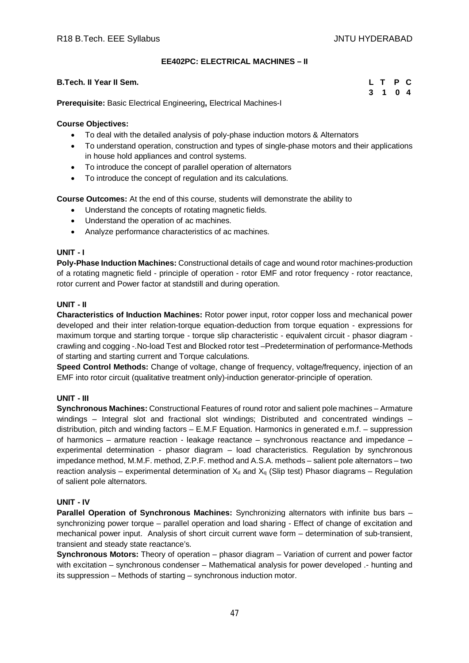# **EE402PC: ELECTRICAL MACHINES – II**

| <b>B.Tech. II Year II Sem.</b>                                           | L T P C |  |
|--------------------------------------------------------------------------|---------|--|
|                                                                          | 3 1 0 4 |  |
| <b>Prerequisite:</b> Basic Electrical Engineering, Electrical Machines-I |         |  |

# **Course Objectives:**

- To deal with the detailed analysis of poly-phase induction motors & Alternators
- To understand operation, construction and types of single-phase motors and their applications in house hold appliances and control systems.
- To introduce the concept of parallel operation of alternators
- To introduce the concept of regulation and its calculations.

**Course Outcomes:** At the end of this course, students will demonstrate the ability to

- Understand the concepts of rotating magnetic fields.
- Understand the operation of ac machines.
- Analyze performance characteristics of ac machines.

# **UNIT - I**

**Poly-Phase Induction Machines:** Constructional details of cage and wound rotor machines-production of a rotating magnetic field - principle of operation - rotor EMF and rotor frequency - rotor reactance, rotor current and Power factor at standstill and during operation.

# **UNIT - II**

**Characteristics of Induction Machines:** Rotor power input, rotor copper loss and mechanical power developed and their inter relation-torque equation-deduction from torque equation - expressions for maximum torque and starting torque - torque slip characteristic - equivalent circuit - phasor diagram crawling and cogging -.No-load Test and Blocked rotor test –Predetermination of performance-Methods of starting and starting current and Torque calculations.

**Speed Control Methods:** Change of voltage, change of frequency, voltage/frequency, injection of an EMF into rotor circuit (qualitative treatment only)-induction generator-principle of operation.

# **UNIT - III**

**Synchronous Machines:** Constructional Features of round rotor and salient pole machines – Armature windings – Integral slot and fractional slot windings; Distributed and concentrated windings – distribution, pitch and winding factors – E.M.F Equation. Harmonics in generated e.m.f. – suppression of harmonics – armature reaction - leakage reactance – synchronous reactance and impedance – experimental determination - phasor diagram – load characteristics. Regulation by synchronous impedance method, M.M.F. method, Z.P.F. method and A.S.A. methods – salient pole alternators – two reaction analysis – experimental determination of  $X_d$  and  $X_q$  (Slip test) Phasor diagrams – Regulation of salient pole alternators.

# **UNIT - IV**

**Parallel Operation of Synchronous Machines:** Synchronizing alternators with infinite bus bars – synchronizing power torque – parallel operation and load sharing - Effect of change of excitation and mechanical power input. Analysis of short circuit current wave form – determination of sub-transient, transient and steady state reactance's.

**Synchronous Motors:** Theory of operation – phasor diagram – Variation of current and power factor with excitation – synchronous condenser – Mathematical analysis for power developed .- hunting and its suppression – Methods of starting – synchronous induction motor.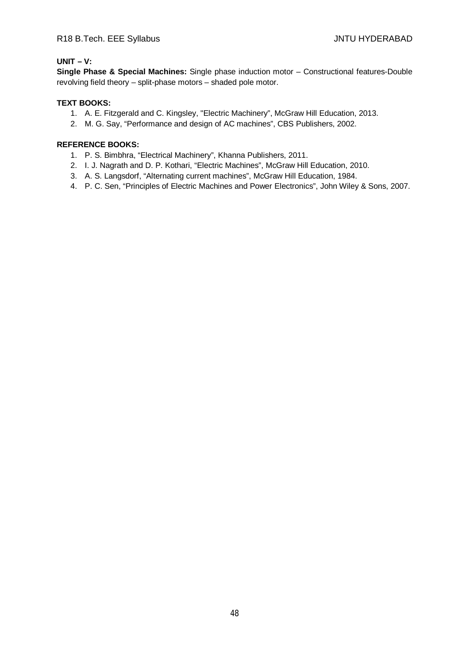# **UNIT – V:**

**Single Phase & Special Machines:** Single phase induction motor – Constructional features-Double revolving field theory – split-phase motors – shaded pole motor.

# **TEXT BOOKS:**

- 1. A. E. Fitzgerald and C. Kingsley, "Electric Machinery", McGraw Hill Education, 2013.
- 2. M. G. Say, "Performance and design of AC machines", CBS Publishers, 2002.

- 1. P. S. Bimbhra, "Electrical Machinery", Khanna Publishers, 2011.
- 2. I. J. Nagrath and D. P. Kothari, "Electric Machines", McGraw Hill Education, 2010.
- 3. A. S. Langsdorf, "Alternating current machines", McGraw Hill Education, 1984.
- 4. P. C. Sen, "Principles of Electric Machines and Power Electronics", John Wiley & Sons, 2007.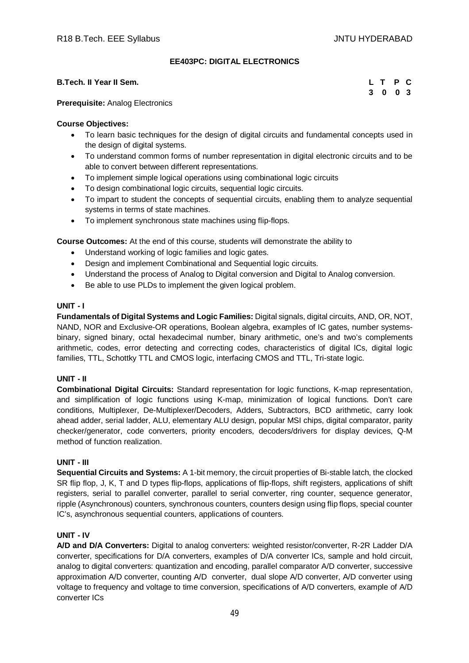# **EE403PC: DIGITAL ELECTRONICS**

#### **B.Tech. II Year II Sem. L T P C**

|  | L T P C |  |
|--|---------|--|
|  | 3 0 0 3 |  |

**Prerequisite:** Analog Electronics

# **Course Objectives:**

- To learn basic techniques for the design of digital circuits and fundamental concepts used in the design of digital systems.
- To understand common forms of number representation in digital electronic circuits and to be able to convert between different representations.
- To implement simple logical operations using combinational logic circuits
- To design combinational logic circuits, sequential logic circuits.
- To impart to student the concepts of sequential circuits, enabling them to analyze sequential systems in terms of state machines.
- To implement synchronous state machines using flip-flops.

**Course Outcomes:** At the end of this course, students will demonstrate the ability to

- Understand working of logic families and logic gates.
- Design and implement Combinational and Sequential logic circuits.
- Understand the process of Analog to Digital conversion and Digital to Analog conversion.
- Be able to use PLDs to implement the given logical problem.

#### **UNIT - I**

**Fundamentals of Digital Systems and Logic Families:** Digital signals, digital circuits, AND, OR, NOT, NAND, NOR and Exclusive-OR operations, Boolean algebra, examples of IC gates, number systemsbinary, signed binary, octal hexadecimal number, binary arithmetic, one's and two's complements arithmetic, codes, error detecting and correcting codes, characteristics of digital lCs, digital logic families, TTL, Schottky TTL and CMOS logic, interfacing CMOS and TTL, Tri-state logic.

# **UNIT - II**

**Combinational Digital Circuits:** Standard representation for logic functions, K-map representation, and simplification of logic functions using K-map, minimization of logical functions. Don't care conditions, Multiplexer, De-Multiplexer/Decoders, Adders, Subtractors, BCD arithmetic, carry look ahead adder, serial ladder, ALU, elementary ALU design, popular MSI chips, digital comparator, parity checker/generator, code converters, priority encoders, decoders/drivers for display devices, Q-M method of function realization.

# **UNIT - III**

**Sequential Circuits and Systems:** A 1-bit memory, the circuit properties of Bi-stable latch, the clocked SR flip flop, J, K, T and D types flip-flops, applications of flip-flops, shift registers, applications of shift registers, serial to parallel converter, parallel to serial converter, ring counter, sequence generator, ripple (Asynchronous) counters, synchronous counters, counters design using flip flops, special counter IC's, asynchronous sequential counters, applications of counters.

#### **UNIT - IV**

**A/D and D/A Converters:** Digital to analog converters: weighted resistor/converter, R-2R Ladder D/A converter, specifications for D/A converters, examples of D/A converter lCs, sample and hold circuit, analog to digital converters: quantization and encoding, parallel comparator A/D converter, successive approximation A/D converter, counting A/D converter, dual slope A/D converter, A/D converter using voltage to frequency and voltage to time conversion, specifications of A/D converters, example of A/D converter ICs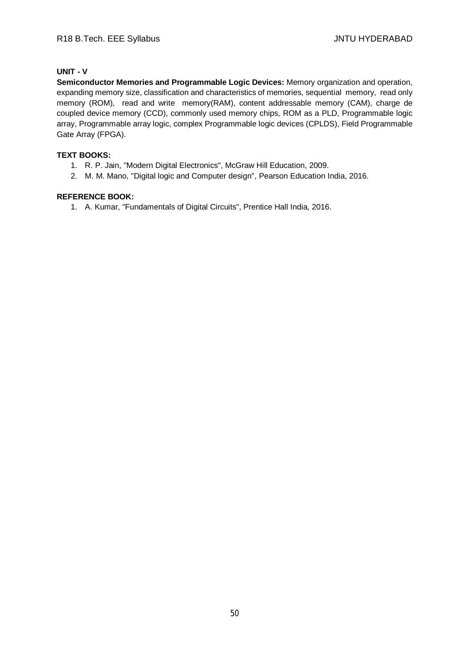# **UNIT - V**

**Semiconductor Memories and Programmable Logic Devices:** Memory organization and operation, expanding memory size, classification and characteristics of memories, sequential memory, read only memory (ROM), read and write memory(RAM), content addressable memory (CAM), charge de coupled device memory (CCD), commonly used memory chips, ROM as a PLD, Programmable logic array, Programmable array logic, complex Programmable logic devices (CPLDS), Field Programmable Gate Array (FPGA).

# **TEXT BOOKS:**

- 1. R. P. Jain, "Modern Digital Electronics", McGraw Hill Education, 2009.
- 2. M. M. Mano, "Digital logic and Computer design", Pearson Education India, 2016.

# **REFERENCE BOOK:**

1. A. Kumar, "Fundamentals of Digital Circuits", Prentice Hall India, 2016.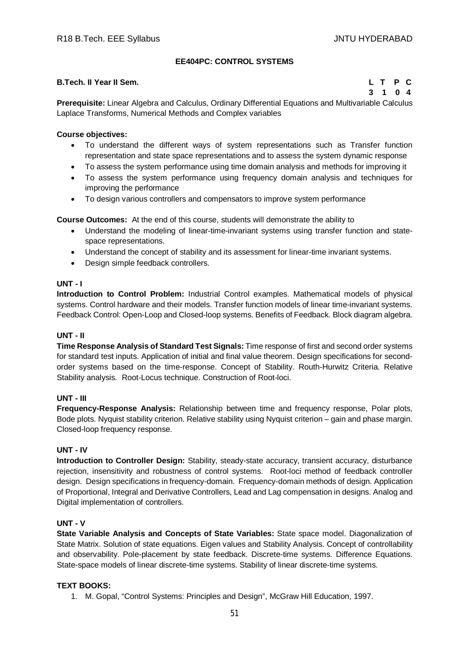# **EE404PC: CONTROL SYSTEMS**

#### **B.Tech. II Year II Sem. L T P C**

**3 1 0 4**

**Prerequisite:** Linear Algebra and Calculus, Ordinary Differential Equations and Multivariable Calculus Laplace Transforms, Numerical Methods and Complex variables

# **Course objectives:**

- To understand the different ways of system representations such as Transfer function representation and state space representations and to assess the system dynamic response
- To assess the system performance using time domain analysis and methods for improving it
- To assess the system performance using frequency domain analysis and techniques for improving the performance
- To design various controllers and compensators to improve system performance

**Course Outcomes:** At the end of this course, students will demonstrate the ability to

- Understand the modeling of linear-time-invariant systems using transfer function and statespace representations.
- Understand the concept of stability and its assessment for linear-time invariant systems.
- Design simple feedback controllers.

# **UNT - I**

**Introduction to Control Problem:** Industrial Control examples. Mathematical models of physical systems. Control hardware and their models. Transfer function models of linear time-invariant systems. Feedback Control: Open-Loop and Closed-loop systems. Benefits of Feedback. Block diagram algebra.

# **UNT - II**

**Time Response Analysis of Standard Test Signals:** Time response of first and second order systems for standard test inputs. Application of initial and final value theorem. Design specifications for secondorder systems based on the time-response. Concept of Stability. Routh-Hurwitz Criteria. Relative Stability analysis. Root-Locus technique. Construction of Root-loci.

# **UNT - III**

**Frequency-Response Analysis:** Relationship between time and frequency response, Polar plots, Bode plots. Nyquist stability criterion. Relative stability using Nyquist criterion – gain and phase margin. Closed-loop frequency response.

# **UNT - IV**

Introduction to Controller Design: Stability, steady-state accuracy, transient accuracy, disturbance rejection, insensitivity and robustness of control systems. Root-loci method of feedback controller design. Design specifications in frequency-domain. Frequency-domain methods of design. Application of Proportional, Integral and Derivative Controllers, Lead and Lag compensation in designs. Analog and Digital implementation of controllers.

# **UNT - V**

**State Variable Analysis and Concepts of State Variables:** State space model. Diagonalization of State Matrix. Solution of state equations. Eigen values and Stability Analysis. Concept of controllability and observability. Pole-placement by state feedback. Discrete-time systems. Difference Equations. State-space models of linear discrete-time systems. Stability of linear discrete-time systems.

# **TEXT BOOKS:**

1. M. Gopal, "Control Systems: Principles and Design", McGraw Hill Education, 1997.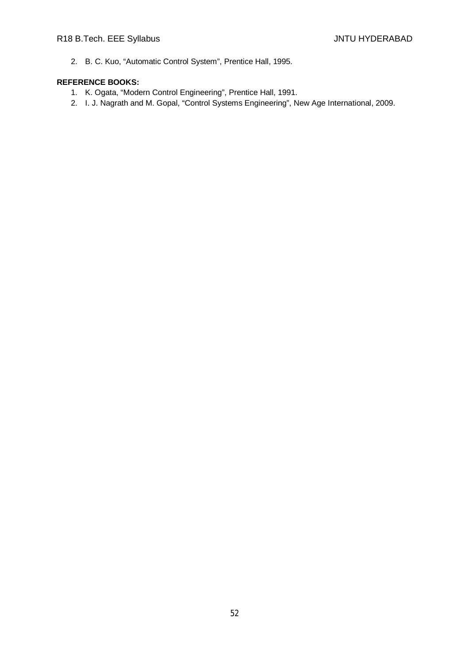2. B. C. Kuo, "Automatic Control System", Prentice Hall, 1995.

- 1. K. Ogata, "Modern Control Engineering", Prentice Hall, 1991.
- 2. I. J. Nagrath and M. Gopal, "Control Systems Engineering", New Age International, 2009.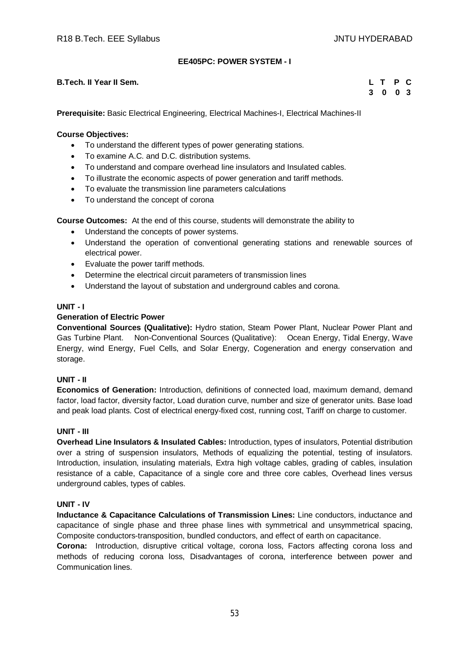# **EE405PC: POWER SYSTEM - I**

# **B.Tech. II Year II Sem. L T P C**

**3 0 0 3**

**Prerequisite:** Basic Electrical Engineering, Electrical Machines-I, Electrical Machines-II

#### **Course Objectives:**

- To understand the different types of power generating stations.
- To examine A.C. and D.C. distribution systems.
- To understand and compare overhead line insulators and Insulated cables.
- To illustrate the economic aspects of power generation and tariff methods.
- To evaluate the transmission line parameters calculations
- To understand the concept of corona

**Course Outcomes:** At the end of this course, students will demonstrate the ability to

- Understand the concepts of power systems.
- Understand the operation of conventional generating stations and renewable sources of electrical power.
- Evaluate the power tariff methods.
- Determine the electrical circuit parameters of transmission lines
- Understand the layout of substation and underground cables and corona.

# **UNIT - I**

#### **Generation of Electric Power**

**Conventional Sources (Qualitative):** Hydro station, Steam Power Plant, Nuclear Power Plant and Gas Turbine Plant. Non-Conventional Sources (Qualitative): Ocean Energy, Tidal Energy, Wave Energy, wind Energy, Fuel Cells, and Solar Energy, Cogeneration and energy conservation and storage.

#### **UNIT - II**

**Economics of Generation:** Introduction, definitions of connected load, maximum demand, demand factor, load factor, diversity factor, Load duration curve, number and size of generator units. Base load and peak load plants. Cost of electrical energy-fixed cost, running cost, Tariff on charge to customer.

#### **UNIT - III**

**Overhead Line Insulators & Insulated Cables:** Introduction, types of insulators, Potential distribution over a string of suspension insulators, Methods of equalizing the potential, testing of insulators. Introduction, insulation, insulating materials, Extra high voltage cables, grading of cables, insulation resistance of a cable, Capacitance of a single core and three core cables, Overhead lines versus underground cables, types of cables.

#### **UNIT - IV**

**Inductance & Capacitance Calculations of Transmission Lines:** Line conductors, inductance and capacitance of single phase and three phase lines with symmetrical and unsymmetrical spacing, Composite conductors-transposition, bundled conductors, and effect of earth on capacitance.

**Corona:** Introduction, disruptive critical voltage, corona loss, Factors affecting corona loss and methods of reducing corona loss, Disadvantages of corona, interference between power and Communication lines.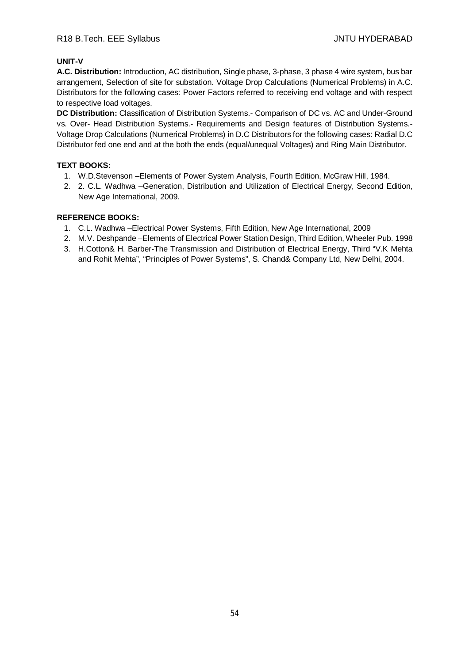# **UNIT-V**

**A.C. Distribution:** Introduction, AC distribution, Single phase, 3-phase, 3 phase 4 wire system, bus bar arrangement, Selection of site for substation. Voltage Drop Calculations (Numerical Problems) in A.C. Distributors for the following cases: Power Factors referred to receiving end voltage and with respect to respective load voltages.

**DC Distribution:** Classification of Distribution Systems.- Comparison of DC vs. AC and Under-Ground vs. Over- Head Distribution Systems.- Requirements and Design features of Distribution Systems.- Voltage Drop Calculations (Numerical Problems) in D.C Distributors for the following cases: Radial D.C Distributor fed one end and at the both the ends (equal/unequal Voltages) and Ring Main Distributor.

# **TEXT BOOKS:**

- 1. W.D.Stevenson –Elements of Power System Analysis, Fourth Edition, McGraw Hill, 1984.
- 2. 2. C.L. Wadhwa –Generation, Distribution and Utilization of Electrical Energy, Second Edition, New Age International, 2009.

- 1. C.L. Wadhwa –Electrical Power Systems, Fifth Edition, New Age International, 2009
- 2. M.V. Deshpande –Elements of Electrical Power Station Design, Third Edition, Wheeler Pub. 1998
- 3. H.Cotton& H. Barber-The Transmission and Distribution of Electrical Energy, Third "V.K Mehta and Rohit Mehta", "Principles of Power Systems", S. Chand& Company Ltd, New Delhi, 2004.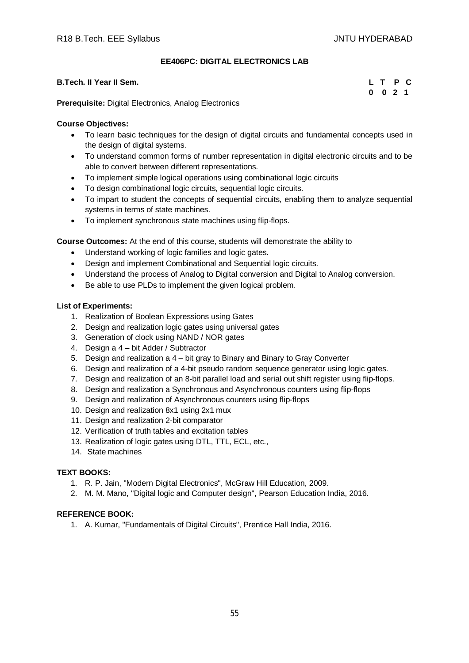# **EE406PC: DIGITAL ELECTRONICS LAB**

| B.Tech. II Year II Sem.                                     | L T P C |
|-------------------------------------------------------------|---------|
|                                                             | 0 0 2 1 |
| Deses en islás: Dieltal Electronica - Angles: Electronica - |         |

**Prerequisite:** Digital Electronics, Analog Electronics

# **Course Objectives:**

- To learn basic techniques for the design of digital circuits and fundamental concepts used in the design of digital systems.
- To understand common forms of number representation in digital electronic circuits and to be able to convert between different representations.
- To implement simple logical operations using combinational logic circuits
- To design combinational logic circuits, sequential logic circuits.
- To impart to student the concepts of sequential circuits, enabling them to analyze sequential systems in terms of state machines.
- To implement synchronous state machines using flip-flops.

**Course Outcomes:** At the end of this course, students will demonstrate the ability to

- Understand working of logic families and logic gates.
- Design and implement Combinational and Sequential logic circuits.
- Understand the process of Analog to Digital conversion and Digital to Analog conversion.
- Be able to use PLDs to implement the given logical problem.

# **List of Experiments:**

- 1. Realization of Boolean Expressions using Gates
- 2. Design and realization logic gates using universal gates
- 3. Generation of clock using NAND / NOR gates
- 4. Design a 4 bit Adder / Subtractor
- 5. Design and realization a 4 bit gray to Binary and Binary to Gray Converter
- 6. Design and realization of a 4-bit pseudo random sequence generator using logic gates.
- 7. Design and realization of an 8-bit parallel load and serial out shift register using flip-flops.
- 8. Design and realization a Synchronous and Asynchronous counters using flip-flops
- 9. Design and realization of Asynchronous counters using flip-flops
- 10. Design and realization 8x1 using 2x1 mux
- 11. Design and realization 2-bit comparator
- 12. Verification of truth tables and excitation tables
- 13. Realization of logic gates using DTL, TTL, ECL, etc.,
- 14. State machines

# **TEXT BOOKS:**

- 1. R. P. Jain, "Modern Digital Electronics", McGraw Hill Education, 2009.
- 2. M. M. Mano, "Digital logic and Computer design", Pearson Education India, 2016.

# **REFERENCE BOOK:**

1. A. Kumar, "Fundamentals of Digital Circuits", Prentice Hall India, 2016.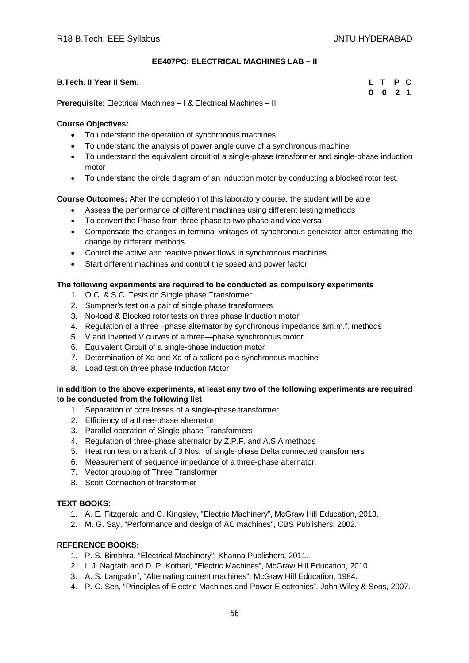# **EE407PC: ELECTRICAL MACHINES LAB – II**

| <b>B.Tech. II Year II Sem.</b>                                          |  |         | L T P C |  |
|-------------------------------------------------------------------------|--|---------|---------|--|
|                                                                         |  | 0 0 2 1 |         |  |
| <b>Prerequisite:</b> Electrical Machines – 1 & Electrical Machines – II |  |         |         |  |

# **Course Objectives:**

- To understand the operation of synchronous machines
- To understand the analysis of power angle curve of a synchronous machine
- To understand the equivalent circuit of a single-phase transformer and single-phase induction motor
- To understand the circle diagram of an induction motor by conducting a blocked rotor test.

# **Course Outcomes:** After the completion of this laboratory course, the student will be able

- Assess the performance of different machines using different testing methods
- To convert the Phase from three phase to two phase and vice versa
- Compensate the changes in terminal voltages of synchronous generator after estimating the change by different methods
- Control the active and reactive power flows in synchronous machines
- Start different machines and control the speed and power factor

# **The following experiments are required to be conducted as compulsory experiments**

- 1. O.C. & S.C. Tests on Single phase Transformer
- 2. Sumpner's test on a pair of single-phase transformers
- 3. No-load & Blocked rotor tests on three phase Induction motor
- 4. Regulation of a three –phase alternator by synchronous impedance &m.m.f. methods
- 5. V and Inverted V curves of a three—phase synchronous motor.
- 6. Equivalent Circuit of a single-phase induction motor
- 7. Determination of Xd and Xq of a salient pole synchronous machine
- 8. Load test on three phase Induction Motor

# **In addition to the above experiments, at least any two of the following experiments are required to be conducted from the following list**

- 1. Separation of core losses of a single-phase transformer
- 2. Efficiency of a three-phase alternator
- 3. Parallel operation of Single-phase Transformers
- 4. Regulation of three-phase alternator by Z.P.F. and A.S.A methods
- 5. Heat run test on a bank of 3 Nos. of single-phase Delta connected transformers
- 6. Measurement of sequence impedance of a three-phase alternator.
- 7. Vector grouping of Three Transformer
- 8. Scott Connection of transformer

# **TEXT BOOKS:**

- 1. A. E. Fitzgerald and C. Kingsley, "Electric Machinery", McGraw Hill Education, 2013.
- 2. M. G. Say, "Performance and design of AC machines", CBS Publishers, 2002.

- 1. P. S. Bimbhra, "Electrical Machinery", Khanna Publishers, 2011.
- 2. I. J. Nagrath and D. P. Kothari, "Electric Machines", McGraw Hill Education, 2010.
- 3. A. S. Langsdorf, "Alternating current machines", McGraw Hill Education, 1984.
- 4. P. C. Sen, "Principles of Electric Machines and Power Electronics", John Wiley & Sons, 2007.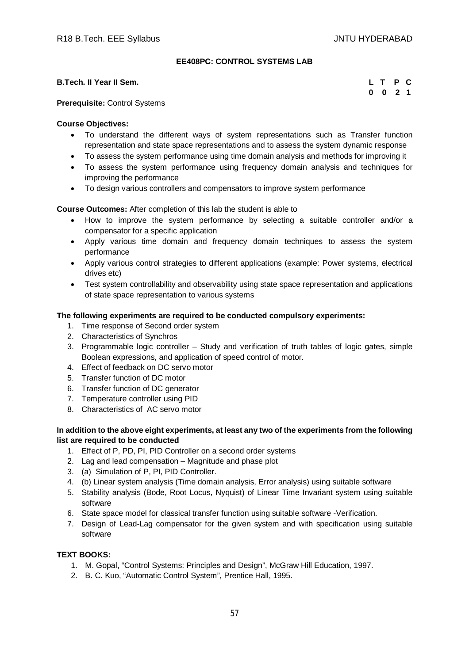# **EE408PC: CONTROL SYSTEMS LAB**

# **B.Tech. II Year II Sem.**

|  | L T P C            |  |
|--|--------------------|--|
|  | $0 \t 0 \t 2 \t 1$ |  |

# **Prerequisite:** Control Systems

# **Course Objectives:**

- To understand the different ways of system representations such as Transfer function representation and state space representations and to assess the system dynamic response
- To assess the system performance using time domain analysis and methods for improving it
- To assess the system performance using frequency domain analysis and techniques for improving the performance
- To design various controllers and compensators to improve system performance

**Course Outcomes:** After completion of this lab the student is able to

- How to improve the system performance by selecting a suitable controller and/or a compensator for a specific application
- Apply various time domain and frequency domain techniques to assess the system performance
- Apply various control strategies to different applications (example: Power systems, electrical drives etc)
- Test system controllability and observability using state space representation and applications of state space representation to various systems

# **The following experiments are required to be conducted compulsory experiments:**

- 1. Time response of Second order system
- 2. Characteristics of Synchros
- 3. Programmable logic controller Study and verification of truth tables of logic gates, simple Boolean expressions, and application of speed control of motor.
- 4. Effect of feedback on DC servo motor
- 5. Transfer function of DC motor
- 6. Transfer function of DC generator
- 7. Temperature controller using PID
- 8. Characteristics of AC servo motor

# **In addition to the above eight experiments, at least any two of the experiments from the following list are required to be conducted**

- 1. Effect of P, PD, PI, PID Controller on a second order systems
- 2. Lag and lead compensation Magnitude and phase plot
- 3. (a) Simulation of P, PI, PID Controller.
- 4. (b) Linear system analysis (Time domain analysis, Error analysis) using suitable software
- 5. Stability analysis (Bode, Root Locus, Nyquist) of Linear Time Invariant system using suitable software
- 6. State space model for classical transfer function using suitable software -Verification.
- 7. Design of Lead-Lag compensator for the given system and with specification using suitable software

# **TEXT BOOKS:**

- 1. M. Gopal, "Control Systems: Principles and Design", McGraw Hill Education, 1997.
- 2. B. C. Kuo, "Automatic Control System", Prentice Hall, 1995.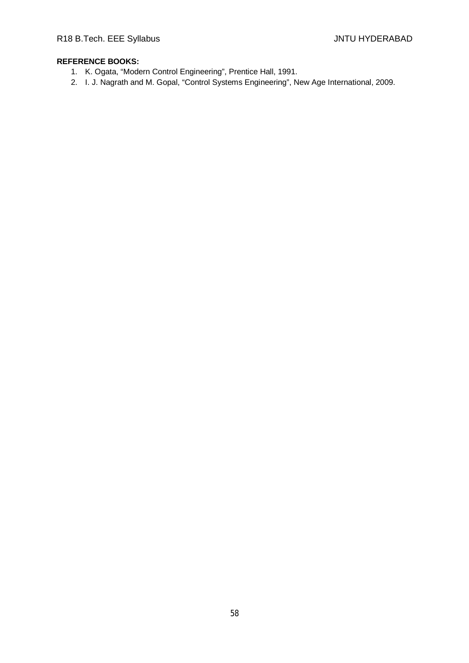- 1. K. Ogata, "Modern Control Engineering", Prentice Hall, 1991.
- 2. I. J. Nagrath and M. Gopal, "Control Systems Engineering", New Age International, 2009.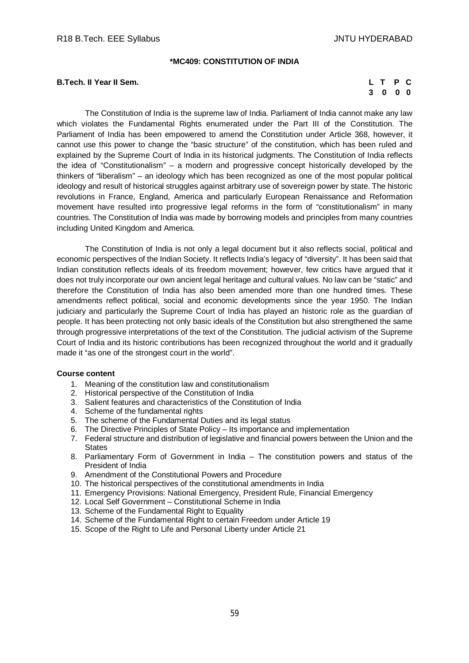#### **\*MC409: CONSTITUTION OF INDIA**

# **B.Tech. II Year II Sem.**

|    | L T | P          | - C |
|----|-----|------------|-----|
| -3 | 0   | $0\quad 0$ |     |

The Constitution of India is the supreme law of India. Parliament of India cannot make any law which violates the Fundamental Rights enumerated under the Part III of the Constitution. The Parliament of India has been empowered to amend the Constitution under Article 368, however, it cannot use this power to change the "basic structure" of the constitution, which has been ruled and explained by the Supreme Court of India in its historical judgments. The Constitution of India reflects the idea of "Constitutionalism" – a modern and progressive concept historically developed by the thinkers of "liberalism" – an ideology which has been recognized as one of the most popular political ideology and result of historical struggles against arbitrary use of sovereign power by state. The historic revolutions in France, England, America and particularly European Renaissance and Reformation movement have resulted into progressive legal reforms in the form of "constitutionalism" in many countries. The Constitution of India was made by borrowing models and principles from many countries including United Kingdom and America.

The Constitution of India is not only a legal document but it also reflects social, political and economic perspectives of the Indian Society. It reflects India's legacy of "diversity". It has been said that Indian constitution reflects ideals of its freedom movement; however, few critics have argued that it does not truly incorporate our own ancient legal heritage and cultural values. No law can be "static" and therefore the Constitution of India has also been amended more than one hundred times. These amendments reflect political, social and economic developments since the year 1950. The Indian judiciary and particularly the Supreme Court of India has played an historic role as the guardian of people. It has been protecting not only basic ideals of the Constitution but also strengthened the same through progressive interpretations of the text of the Constitution. The judicial activism of the Supreme Court of India and its historic contributions has been recognized throughout the world and it gradually made it "as one of the strongest court in the world".

#### **Course content**

- 1. Meaning of the constitution law and constitutionalism
- 2. Historical perspective of the Constitution of India
- 3. Salient features and characteristics of the Constitution of India
- 4. Scheme of the fundamental rights
- 5. The scheme of the Fundamental Duties and its legal status
- 6. The Directive Principles of State Policy Its importance and implementation
- 7. Federal structure and distribution of legislative and financial powers between the Union and the **States**
- 8. Parliamentary Form of Government in India The constitution powers and status of the President of India
- 9. Amendment of the Constitutional Powers and Procedure
- 10. The historical perspectives of the constitutional amendments in India
- 11. Emergency Provisions: National Emergency, President Rule, Financial Emergency
- 12. Local Self Government Constitutional Scheme in India
- 13. Scheme of the Fundamental Right to Equality
- 14. Scheme of the Fundamental Right to certain Freedom under Article 19
- 15. Scope of the Right to Life and Personal Liberty under Article 21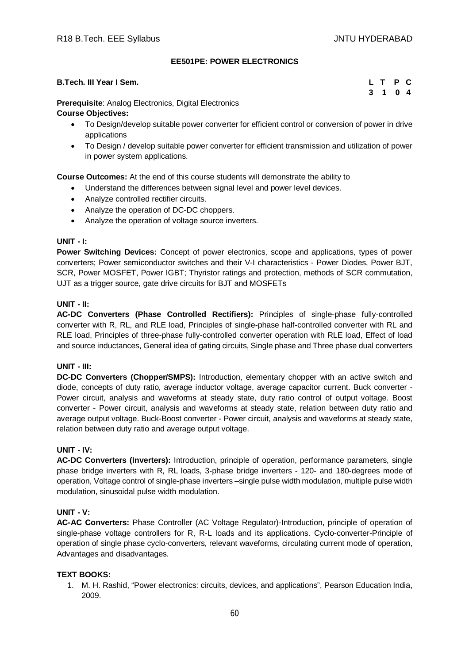# **EE501PE: POWER ELECTRONICS**

| B.Tech. III Year I Sem.                                      |  | L T P C |  |
|--------------------------------------------------------------|--|---------|--|
|                                                              |  | 3 1 0 4 |  |
| <b>Draroguigita:</b> Apolog Electronica, Digital Electronica |  |         |  |

**Prerequisite**: Analog Electronics, Digital Electronics

# **Course Objectives:**

- To Design/develop suitable power converter for efficient control or conversion of power in drive applications
- To Design / develop suitable power converter for efficient transmission and utilization of power in power system applications.

**Course Outcomes:** At the end of this course students will demonstrate the ability to

- Understand the differences between signal level and power level devices.
- Analyze controlled rectifier circuits.
- Analyze the operation of DC-DC choppers.
- Analyze the operation of voltage source inverters.

# **UNIT - I:**

**Power Switching Devices:** Concept of power electronics, scope and applications, types of power converters; Power semiconductor switches and their V-I characteristics - Power Diodes, Power BJT, SCR, Power MOSFET, Power IGBT; Thyristor ratings and protection, methods of SCR commutation, UJT as a trigger source, gate drive circuits for BJT and MOSFETs

# **UNIT - II:**

**AC-DC Converters (Phase Controlled Rectifiers):** Principles of single-phase fully-controlled converter with R, RL, and RLE load, Principles of single-phase half-controlled converter with RL and RLE load, Principles of three-phase fully-controlled converter operation with RLE load, Effect of load and source inductances, General idea of gating circuits, Single phase and Three phase dual converters

# **UNIT - III:**

**DC-DC Converters (Chopper/SMPS):** Introduction, elementary chopper with an active switch and diode, concepts of duty ratio, average inductor voltage, average capacitor current. Buck converter - Power circuit, analysis and waveforms at steady state, duty ratio control of output voltage. Boost converter - Power circuit, analysis and waveforms at steady state, relation between duty ratio and average output voltage. Buck-Boost converter - Power circuit, analysis and waveforms at steady state, relation between duty ratio and average output voltage.

# **UNIT - IV:**

**AC-DC Converters (Inverters):** Introduction, principle of operation, performance parameters, single phase bridge inverters with R, RL loads, 3-phase bridge inverters - 120- and 180-degrees mode of operation, Voltage control of single-phase inverters –single pulse width modulation, multiple pulse width modulation, sinusoidal pulse width modulation.

# **UNIT - V:**

**AC-AC Converters:** Phase Controller (AC Voltage Regulator)-Introduction, principle of operation of single-phase voltage controllers for R, R-L loads and its applications. Cyclo-converter-Principle of operation of single phase cyclo-converters, relevant waveforms, circulating current mode of operation, Advantages and disadvantages.

# **TEXT BOOKS:**

1. M. H. Rashid, "Power electronics: circuits, devices, and applications", Pearson Education India, 2009.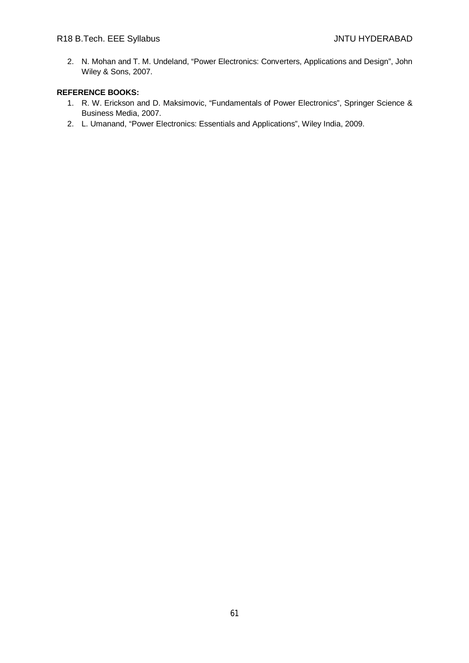2. N. Mohan and T. M. Undeland, "Power Electronics: Converters, Applications and Design", John Wiley & Sons, 2007.

- 1. R. W. Erickson and D. Maksimovic, "Fundamentals of Power Electronics", Springer Science & Business Media, 2007.
- 2. L. Umanand, "Power Electronics: Essentials and Applications", Wiley India, 2009.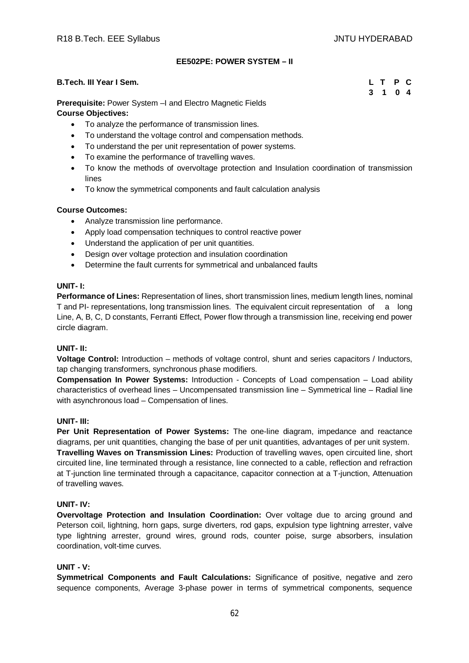# **EE502PE: POWER SYSTEM – II**

# **B.Tech. III Year I Sem. L T P C**

# **3 1 0 4**

**Prerequisite:** Power System –I and Electro Magnetic Fields **Course Objectives:** 

- To analyze the performance of transmission lines.
- To understand the voltage control and compensation methods.
- To understand the per unit representation of power systems.
- To examine the performance of travelling waves.
- To know the methods of overvoltage protection and Insulation coordination of transmission lines
- To know the symmetrical components and fault calculation analysis

# **Course Outcomes:**

- Analyze transmission line performance.
- Apply load compensation techniques to control reactive power
- Understand the application of per unit quantities.
- Design over voltage protection and insulation coordination
- Determine the fault currents for symmetrical and unbalanced faults

# **UNIT- I:**

**Performance of Lines:** Representation of lines, short transmission lines, medium length lines, nominal T and PI- representations, long transmission lines. The equivalent circuit representation of a long Line, A, B, C, D constants, Ferranti Effect, Power flow through a transmission line, receiving end power circle diagram.

# **UNIT- II:**

**Voltage Control:** Introduction – methods of voltage control, shunt and series capacitors / Inductors, tap changing transformers, synchronous phase modifiers.

**Compensation In Power Systems:** Introduction - Concepts of Load compensation – Load ability characteristics of overhead lines – Uncompensated transmission line – Symmetrical line – Radial line with asynchronous load – Compensation of lines.

# **UNIT- III:**

**Per Unit Representation of Power Systems:** The one-line diagram, impedance and reactance diagrams, per unit quantities, changing the base of per unit quantities, advantages of per unit system. **Travelling Waves on Transmission Lines:** Production of travelling waves, open circuited line, short circuited line, line terminated through a resistance, line connected to a cable, reflection and refraction at T-junction line terminated through a capacitance, capacitor connection at a T-junction, Attenuation of travelling waves.

# **UNIT- IV:**

**Overvoltage Protection and Insulation Coordination:** Over voltage due to arcing ground and Peterson coil, lightning, horn gaps, surge diverters, rod gaps, expulsion type lightning arrester, valve type lightning arrester, ground wires, ground rods, counter poise, surge absorbers, insulation coordination, volt-time curves.

# **UNIT - V:**

**Symmetrical Components and Fault Calculations:** Significance of positive, negative and zero sequence components, Average 3-phase power in terms of symmetrical components, sequence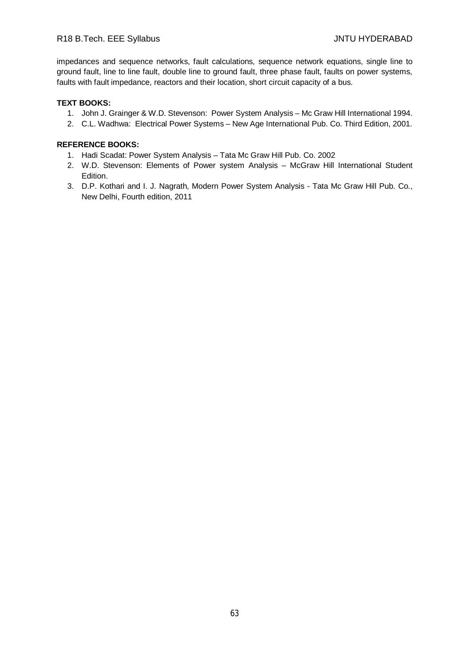# R18 B.Tech. EEE Syllabus JNTU HYDERABAD

impedances and sequence networks, fault calculations, sequence network equations, single line to ground fault, line to line fault, double line to ground fault, three phase fault, faults on power systems, faults with fault impedance, reactors and their location, short circuit capacity of a bus.

# **TEXT BOOKS:**

- 1. John J. Grainger & W.D. Stevenson: Power System Analysis Mc Graw Hill International 1994.
- 2. C.L. Wadhwa: Electrical Power Systems New Age International Pub. Co. Third Edition, 2001.

- 1. Hadi Scadat: Power System Analysis Tata Mc Graw Hill Pub. Co. 2002
- 2. W.D. Stevenson: Elements of Power system Analysis McGraw Hill International Student Edition.
- 3. D.P. Kothari and I. J. Nagrath, Modern Power System Analysis Tata Mc Graw Hill Pub. Co., New Delhi, Fourth edition, 2011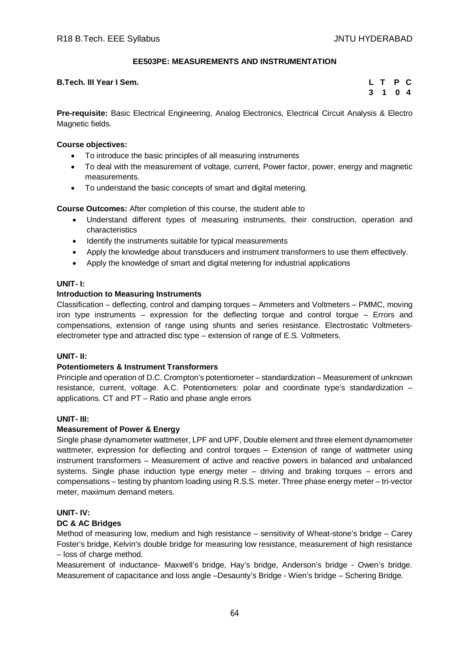# **EE503PE: MEASUREMENTS AND INSTRUMENTATION**

# **B.Tech. III Year I Sem.**

|              | L T | <b>P</b> | <b>C</b>   |
|--------------|-----|----------|------------|
| $\mathbf{3}$ | .1  |          | $0\quad 4$ |

**Pre-requisite:** Basic Electrical Engineering, Analog Electronics, Electrical Circuit Analysis & Electro Magnetic fields.

#### **Course objectives:**

- To introduce the basic principles of all measuring instruments
- To deal with the measurement of voltage, current, Power factor, power, energy and magnetic measurements.
- To understand the basic concepts of smart and digital metering.

**Course Outcomes:** After completion of this course, the student able to

- Understand different types of measuring instruments, their construction, operation and characteristics
- Identify the instruments suitable for typical measurements
- Apply the knowledge about transducers and instrument transformers to use them effectively.
- Apply the knowledge of smart and digital metering for industrial applications

#### **UNIT- I:**

# **Introduction to Measuring Instruments**

Classification – deflecting, control and damping torques – Ammeters and Voltmeters – PMMC, moving iron type instruments – expression for the deflecting torque and control torque – Errors and compensations, extension of range using shunts and series resistance. Electrostatic Voltmeterselectrometer type and attracted disc type – extension of range of E.S. Voltmeters.

# **UNIT- II:**

# **Potentiometers & Instrument Transformers**

Principle and operation of D.C. Crompton's potentiometer – standardization – Measurement of unknown resistance, current, voltage. A.C. Potentiometers: polar and coordinate type's standardization – applications. CT and PT – Ratio and phase angle errors

# **UNIT- III:**

# **Measurement of Power & Energy**

Single phase dynamometer wattmeter, LPF and UPF, Double element and three element dynamometer wattmeter, expression for deflecting and control torques – Extension of range of wattmeter using instrument transformers – Measurement of active and reactive powers in balanced and unbalanced systems. Single phase induction type energy meter – driving and braking torques – errors and compensations – testing by phantom loading using R.S.S. meter. Three phase energy meter – tri-vector meter, maximum demand meters.

# **UNIT- IV:**

# **DC & AC Bridges**

Method of measuring low, medium and high resistance – sensitivity of Wheat-stone's bridge – Carey Foster's bridge, Kelvin's double bridge for measuring low resistance, measurement of high resistance – loss of charge method.

Measurement of inductance- Maxwell's bridge, Hay's bridge, Anderson's bridge - Owen's bridge. Measurement of capacitance and loss angle –Desaunty's Bridge - Wien's bridge – Schering Bridge.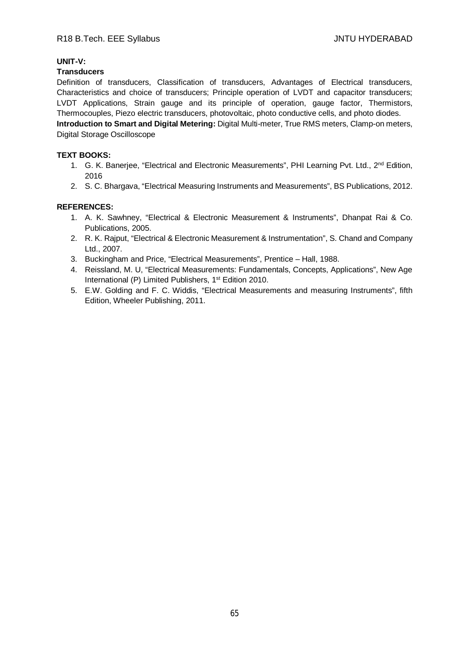# **UNIT-V:**

# **Transducers**

Definition of transducers, Classification of transducers, Advantages of Electrical transducers, Characteristics and choice of transducers; Principle operation of LVDT and capacitor transducers; LVDT Applications, Strain gauge and its principle of operation, gauge factor, Thermistors, Thermocouples, Piezo electric transducers, photovoltaic, photo conductive cells, and photo diodes. **Introduction to Smart and Digital Metering:** Digital Multi-meter, True RMS meters, Clamp-on meters,

**TEXT BOOKS:** 

Digital Storage Oscilloscope

- 1. G. K. Banerjee, "Electrical and Electronic Measurements", PHI Learning Pvt. Ltd., 2<sup>nd</sup> Edition, 2016
- 2. S. C. Bhargava, "Electrical Measuring Instruments and Measurements", BS Publications, 2012.

# **REFERENCES:**

- 1. A. K. Sawhney, "Electrical & Electronic Measurement & Instruments", Dhanpat Rai & Co. Publications, 2005.
- 2. R. K. Rajput, "Electrical & Electronic Measurement & Instrumentation", S. Chand and Company Ltd., 2007.
- 3. Buckingham and Price, "Electrical Measurements", Prentice Hall, 1988.
- 4. Reissland, M. U, "Electrical Measurements: Fundamentals, Concepts, Applications", New Age International (P) Limited Publishers, 1<sup>st</sup> Edition 2010.
- 5. E.W. Golding and F. C. Widdis, "Electrical Measurements and measuring Instruments", fifth Edition, Wheeler Publishing, 2011.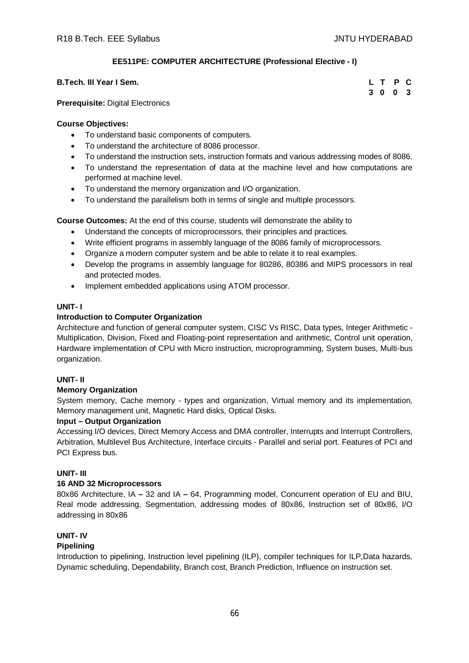# **EE511PE: COMPUTER ARCHITECTURE (Professional Elective - I)**

| B.Tech. III Year I Sem. |  | L T P C |  |
|-------------------------|--|---------|--|
|                         |  | 3 0 0 3 |  |

**Prerequisite:** Digital Electronics

# **Course Objectives:**

- To understand basic components of computers.
- To understand the architecture of 8086 processor.
- To understand the instruction sets, instruction formats and various addressing modes of 8086.
- To understand the representation of data at the machine level and how computations are performed at machine level.
- To understand the memory organization and I/O organization.
- To understand the parallelism both in terms of single and multiple processors.

**Course Outcomes:** At the end of this course, students will demonstrate the ability to

- Understand the concepts of microprocessors, their principles and practices.
- Write efficient programs in assembly language of the 8086 family of microprocessors.
- Organize a modern computer system and be able to relate it to real examples.
- Develop the programs in assembly language for 80286, 80386 and MIPS processors in real and protected modes.
- Implement embedded applications using ATOM processor.

# **UNIT- I**

# **Introduction to Computer Organization**

Architecture and function of general computer system, CISC Vs RISC, Data types, Integer Arithmetic - Multiplication, Division, Fixed and Floating-point representation and arithmetic, Control unit operation, Hardware implementation of CPU with Micro instruction, microprogramming, System buses, Multi-bus organization.

# **UNIT- II**

# **Memory Organization**

System memory, Cache memory - types and organization, Virtual memory and its implementation, Memory management unit, Magnetic Hard disks, Optical Disks.

# **Input – Output Organization**

Accessing I/O devices, Direct Memory Access and DMA controller, Interrupts and Interrupt Controllers, Arbitration, Multilevel Bus Architecture, Interface circuits - Parallel and serial port. Features of PCI and PCI Express bus.

# **UNIT- III**

# **16 AND 32 Microprocessors**

80x86 Architecture, IA **–** 32 and IA **–** 64, Programming model, Concurrent operation of EU and BIU, Real mode addressing, Segmentation, addressing modes of 80x86, Instruction set of 80x86, I/O addressing in 80x86

# **UNIT- IV**

# **Pipelining**

Introduction to pipelining, Instruction level pipelining (ILP), compiler techniques for ILP,Data hazards, Dynamic scheduling, Dependability, Branch cost, Branch Prediction, Influence on instruction set.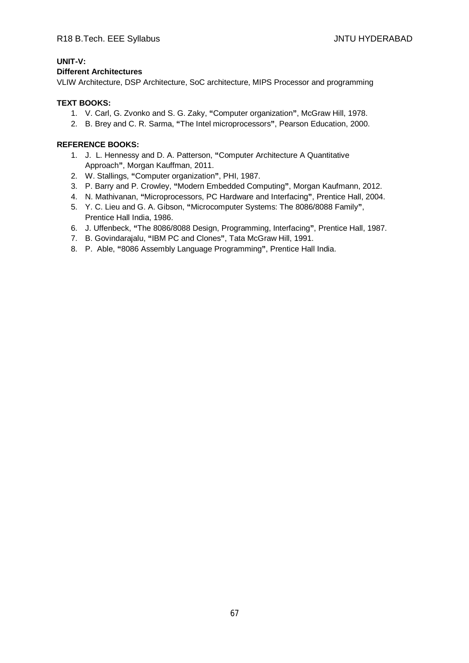# **UNIT-V:**

# **Different Architectures**

VLIW Architecture, DSP Architecture, SoC architecture, MIPS Processor and programming

# **TEXT BOOKS:**

- 1. V. Carl, G. Zvonko and S. G. Zaky, **"**Computer organization**"**, McGraw Hill, 1978.
- 2. B. Brey and C. R. Sarma, **"**The Intel microprocessors**"**, Pearson Education, 2000.

- 1. J. L. Hennessy and D. A. Patterson, **"**Computer Architecture A Quantitative Approach**"**, Morgan Kauffman, 2011.
- 2. W. Stallings, **"**Computer organization**"**, PHI, 1987.
- 3. P. Barry and P. Crowley, **"**Modern Embedded Computing**"**, Morgan Kaufmann, 2012.
- 4. N. Mathivanan, **"**Microprocessors, PC Hardware and Interfacing**"**, Prentice Hall, 2004.
- 5. Y. C. Lieu and G. A. Gibson, **"**Microcomputer Systems: The 8086/8088 Family**"**, Prentice Hall India, 1986.
- 6. J. Uffenbeck, **"**The 8086/8088 Design, Programming, Interfacing**"**, Prentice Hall, 1987.
- 7. B. Govindarajalu, **"**IBM PC and Clones**"**, Tata McGraw Hill, 1991.
- 8. P. Able, **"**8086 Assembly Language Programming**"**, Prentice Hall India.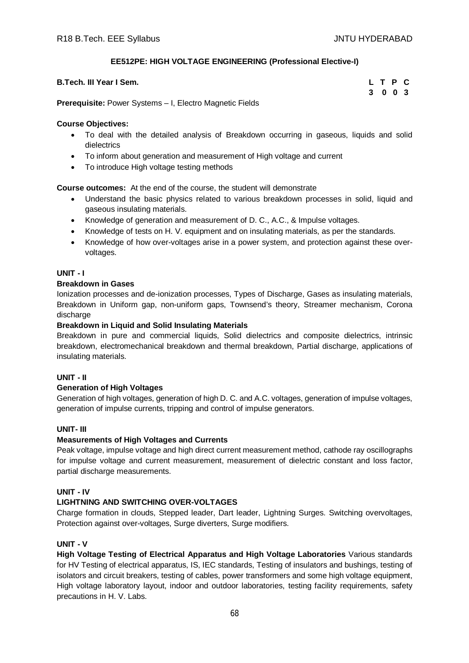# **EE512PE: HIGH VOLTAGE ENGINEERING (Professional Elective-I)**

| <b>B.Tech. III Year I Sem.</b> |  |  | L T P C |  |
|--------------------------------|--|--|---------|--|
|                                |  |  | 3 0 0 3 |  |

**Prerequisite:** Power Systems – I, Electro Magnetic Fields

# **Course Objectives:**

- To deal with the detailed analysis of Breakdown occurring in gaseous, liquids and solid dielectrics
- To inform about generation and measurement of High voltage and current
- To introduce High voltage testing methods

**Course outcomes:** At the end of the course, the student will demonstrate

- Understand the basic physics related to various breakdown processes in solid, liquid and gaseous insulating materials.
- Knowledge of generation and measurement of D. C., A.C., & Impulse voltages.
- Knowledge of tests on H. V. equipment and on insulating materials, as per the standards.
- Knowledge of how over-voltages arise in a power system, and protection against these overvoltages.

# **UNIT - I**

# **Breakdown in Gases**

Ionization processes and de-ionization processes, Types of Discharge, Gases as insulating materials, Breakdown in Uniform gap, non-uniform gaps, Townsend's theory, Streamer mechanism, Corona discharge

# **Breakdown in Liquid and Solid Insulating Materials**

Breakdown in pure and commercial liquids, Solid dielectrics and composite dielectrics, intrinsic breakdown, electromechanical breakdown and thermal breakdown, Partial discharge, applications of insulating materials.

# **UNIT - II**

# **Generation of High Voltages**

Generation of high voltages, generation of high D. C. and A.C. voltages, generation of impulse voltages, generation of impulse currents, tripping and control of impulse generators.

# **UNIT- III**

# **Measurements of High Voltages and Currents**

Peak voltage, impulse voltage and high direct current measurement method, cathode ray oscillographs for impulse voltage and current measurement, measurement of dielectric constant and loss factor, partial discharge measurements.

# **UNIT - IV**

# **LIGHTNING AND SWITCHING OVER-VOLTAGES**

Charge formation in clouds, Stepped leader, Dart leader, Lightning Surges. Switching overvoltages, Protection against over-voltages, Surge diverters, Surge modifiers.

# **UNIT - V**

**High Voltage Testing of Electrical Apparatus and High Voltage Laboratories** Various standards for HV Testing of electrical apparatus, IS, IEC standards, Testing of insulators and bushings, testing of isolators and circuit breakers, testing of cables, power transformers and some high voltage equipment, High voltage laboratory layout, indoor and outdoor laboratories, testing facility requirements, safety precautions in H. V. Labs.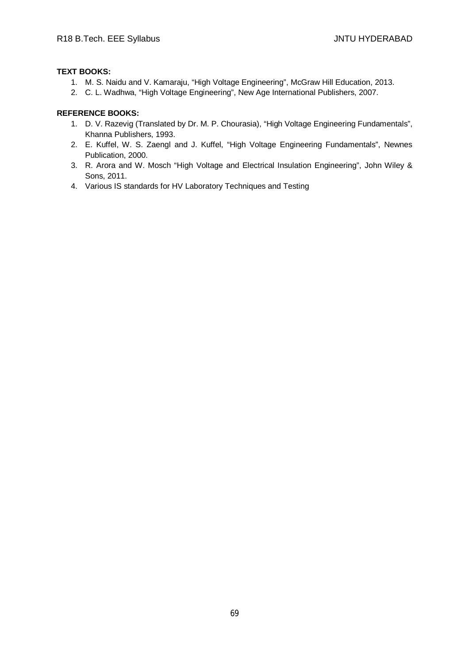# **TEXT BOOKS:**

- 1. M. S. Naidu and V. Kamaraju, "High Voltage Engineering", McGraw Hill Education, 2013.
- 2. C. L. Wadhwa, "High Voltage Engineering", New Age International Publishers, 2007.

- 1. D. V. Razevig (Translated by Dr. M. P. Chourasia), "High Voltage Engineering Fundamentals", Khanna Publishers, 1993.
- 2. E. Kuffel, W. S. Zaengl and J. Kuffel, "High Voltage Engineering Fundamentals", Newnes Publication, 2000.
- 3. R. Arora and W. Mosch "High Voltage and Electrical Insulation Engineering", John Wiley & Sons, 2011.
- 4. Various IS standards for HV Laboratory Techniques and Testing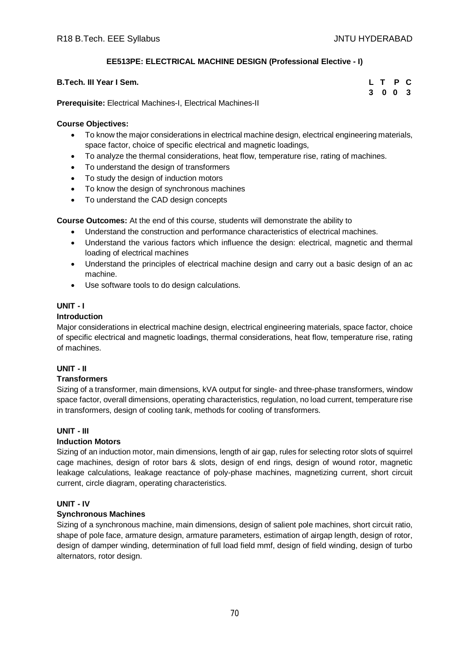# **EE513PE: ELECTRICAL MACHINE DESIGN (Professional Elective - I)**

| <b>B.Tech. III Year I Sem.</b>                                     |  | L T P C |  |
|--------------------------------------------------------------------|--|---------|--|
|                                                                    |  | 3 0 0 3 |  |
| <b>Prerequisite:</b> Electrical Machines-I, Electrical Machines-II |  |         |  |

# **Course Objectives:**

- To know the major considerations in electrical machine design, electrical engineering materials, space factor, choice of specific electrical and magnetic loadings,
- To analyze the thermal considerations, heat flow, temperature rise, rating of machines.
- To understand the design of transformers
- To study the design of induction motors
- To know the design of synchronous machines
- To understand the CAD design concepts

**Course Outcomes:** At the end of this course, students will demonstrate the ability to

- Understand the construction and performance characteristics of electrical machines.
- Understand the various factors which influence the design: electrical, magnetic and thermal loading of electrical machines
- Understand the principles of electrical machine design and carry out a basic design of an ac machine.
- Use software tools to do design calculations.

# **UNIT - I**

# **Introduction**

Major considerations in electrical machine design, electrical engineering materials, space factor, choice of specific electrical and magnetic loadings, thermal considerations, heat flow, temperature rise, rating of machines.

# **UNIT - II**

# **Transformers**

Sizing of a transformer, main dimensions, kVA output for single- and three-phase transformers, window space factor, overall dimensions, operating characteristics, regulation, no load current, temperature rise in transformers, design of cooling tank, methods for cooling of transformers.

# **UNIT - III**

# **Induction Motors**

Sizing of an induction motor, main dimensions, length of air gap, rules for selecting rotor slots of squirrel cage machines, design of rotor bars & slots, design of end rings, design of wound rotor, magnetic leakage calculations, leakage reactance of poly-phase machines, magnetizing current, short circuit current, circle diagram, operating characteristics.

# **UNIT - IV**

# **Synchronous Machines**

Sizing of a synchronous machine, main dimensions, design of salient pole machines, short circuit ratio, shape of pole face, armature design, armature parameters, estimation of airgap length, design of rotor, design of damper winding, determination of full load field mmf, design of field winding, design of turbo alternators, rotor design.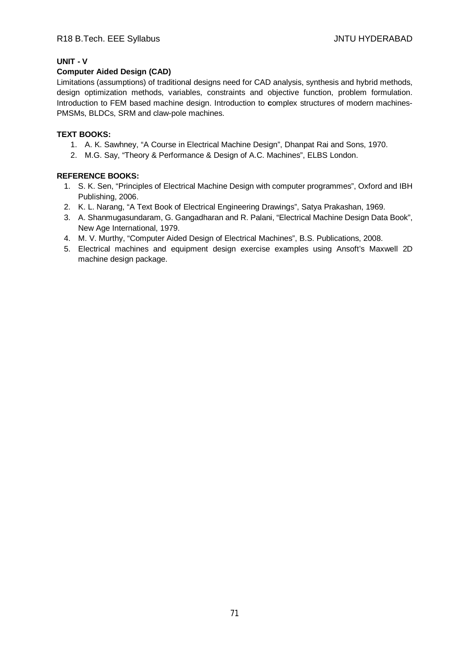# **UNIT - V**

# **Computer Aided Design (CAD)**

Limitations (assumptions) of traditional designs need for CAD analysis, synthesis and hybrid methods, design optimization methods, variables, constraints and objective function, problem formulation. Introduction to FEM based machine design. Introduction to **c**omplex structures of modern machines-PMSMs, BLDCs, SRM and claw-pole machines.

# **TEXT BOOKS:**

- 1. A. K. Sawhney, "A Course in Electrical Machine Design", Dhanpat Rai and Sons, 1970.
- 2. M.G. Say, "Theory & Performance & Design of A.C. Machines", ELBS London.

- 1. S. K. Sen, "Principles of Electrical Machine Design with computer programmes", Oxford and IBH Publishing, 2006.
- 2. K. L. Narang, "A Text Book of Electrical Engineering Drawings", Satya Prakashan, 1969.
- 3. A. Shanmugasundaram, G. Gangadharan and R. Palani, "Electrical Machine Design Data Book", New Age International, 1979.
- 4. M. V. Murthy, "Computer Aided Design of Electrical Machines", B.S. Publications, 2008.
- 5. Electrical machines and equipment design exercise examples using Ansoft's Maxwell 2D machine design package.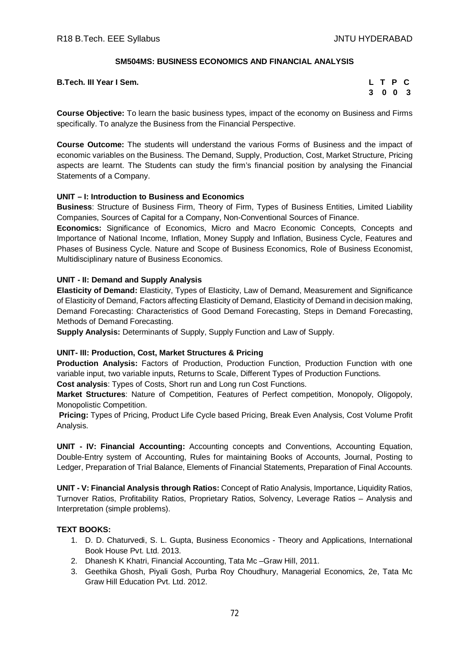# **SM504MS: BUSINESS ECONOMICS AND FINANCIAL ANALYSIS**

**B.Tech. III Year I Sem.** 

|   | L T P |            | C.  |
|---|-------|------------|-----|
| 3 |       | $0\quad 0$ | - 3 |

**Course Objective:** To learn the basic business types, impact of the economy on Business and Firms specifically. To analyze the Business from the Financial Perspective.

**Course Outcome:** The students will understand the various Forms of Business and the impact of economic variables on the Business. The Demand, Supply, Production, Cost, Market Structure, Pricing aspects are learnt. The Students can study the firm's financial position by analysing the Financial Statements of a Company.

# **UNIT – I: Introduction to Business and Economics**

**Business**: Structure of Business Firm, Theory of Firm, Types of Business Entities, Limited Liability Companies, Sources of Capital for a Company, Non-Conventional Sources of Finance.

**Economics:** Significance of Economics, Micro and Macro Economic Concepts, Concepts and Importance of National Income, Inflation, Money Supply and Inflation, Business Cycle, Features and Phases of Business Cycle. Nature and Scope of Business Economics, Role of Business Economist, Multidisciplinary nature of Business Economics.

# **UNIT - II: Demand and Supply Analysis**

**Elasticity of Demand:** Elasticity, Types of Elasticity, Law of Demand, Measurement and Significance of Elasticity of Demand, Factors affecting Elasticity of Demand, Elasticity of Demand in decision making, Demand Forecasting: Characteristics of Good Demand Forecasting, Steps in Demand Forecasting, Methods of Demand Forecasting.

**Supply Analysis:** Determinants of Supply, Supply Function and Law of Supply.

# **UNIT- III: Production, Cost, Market Structures & Pricing**

**Production Analysis:** Factors of Production, Production Function, Production Function with one variable input, two variable inputs, Returns to Scale, Different Types of Production Functions.

**Cost analysis**: Types of Costs, Short run and Long run Cost Functions.

**Market Structures**: Nature of Competition, Features of Perfect competition, Monopoly, Oligopoly, Monopolistic Competition.

**Pricing:** Types of Pricing, Product Life Cycle based Pricing, Break Even Analysis, Cost Volume Profit Analysis.

**UNIT - IV: Financial Accounting:** Accounting concepts and Conventions, Accounting Equation, Double-Entry system of Accounting, Rules for maintaining Books of Accounts, Journal, Posting to Ledger, Preparation of Trial Balance, Elements of Financial Statements, Preparation of Final Accounts.

**UNIT - V: Financial Analysis through Ratios:** Concept of Ratio Analysis, Importance, Liquidity Ratios, Turnover Ratios, Profitability Ratios, Proprietary Ratios, Solvency, Leverage Ratios – Analysis and Interpretation (simple problems).

# **TEXT BOOKS:**

- 1. D. D. Chaturvedi, S. L. Gupta, Business Economics Theory and Applications, International Book House Pvt. Ltd. 2013.
- 2. Dhanesh K Khatri, Financial Accounting, Tata Mc –Graw Hill, 2011.
- 3. Geethika Ghosh, Piyali Gosh, Purba Roy Choudhury, Managerial Economics, 2e, Tata Mc Graw Hill Education Pvt. Ltd. 2012.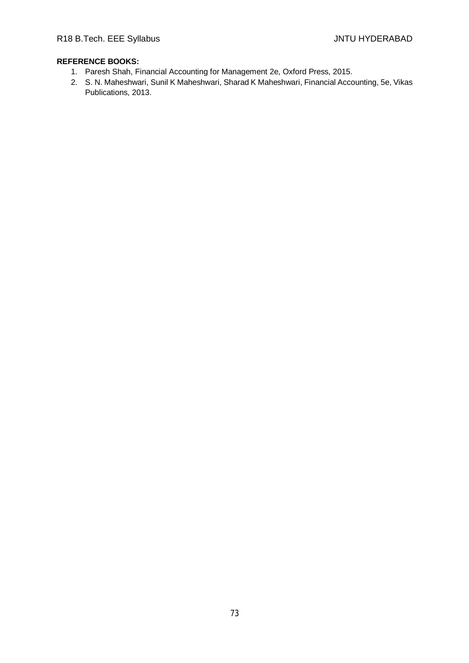- 1. Paresh Shah, Financial Accounting for Management 2e, Oxford Press, 2015.
- 2. S. N. Maheshwari, Sunil K Maheshwari, Sharad K Maheshwari, Financial Accounting, 5e, Vikas Publications, 2013.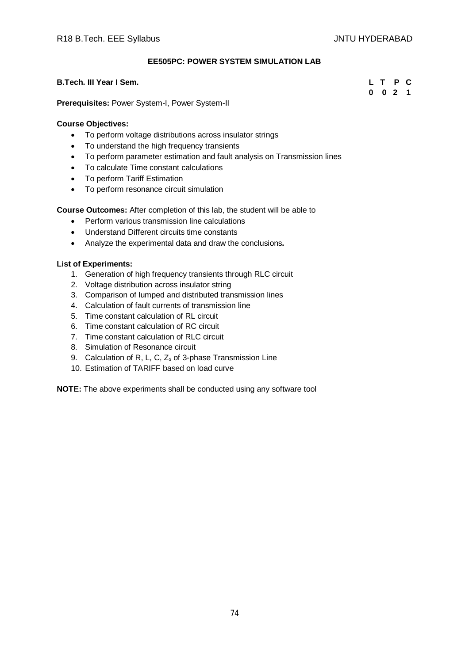### **EE505PC: POWER SYSTEM SIMULATION LAB**

#### **B.Tech. III Year I Sem. L T P C**

**Prerequisites:** Power System-I, Power System-II

#### **Course Objectives:**

- To perform voltage distributions across insulator strings
- To understand the high frequency transients
- To perform parameter estimation and fault analysis on Transmission lines
- To calculate Time constant calculations
- To perform Tariff Estimation
- To perform resonance circuit simulation

**Course Outcomes:** After completion of this lab, the student will be able to

- Perform various transmission line calculations
- Understand Different circuits time constants
- Analyze the experimental data and draw the conclusions**.**

#### **List of Experiments:**

- 1. Generation of high frequency transients through RLC circuit
- 2. Voltage distribution across insulator string
- 3. Comparison of lumped and distributed transmission lines
- 4. Calculation of fault currents of transmission line
- 5. Time constant calculation of RL circuit
- 6. Time constant calculation of RC circuit
- 7. Time constant calculation of RLC circuit
- 8. Simulation of Resonance circuit
- 9. Calculation of R, L, C, Z<sup>s</sup> of 3-phase Transmission Line
- 10. Estimation of TARIFF based on load curve

**NOTE:** The above experiments shall be conducted using any software tool

**0 0 2 1**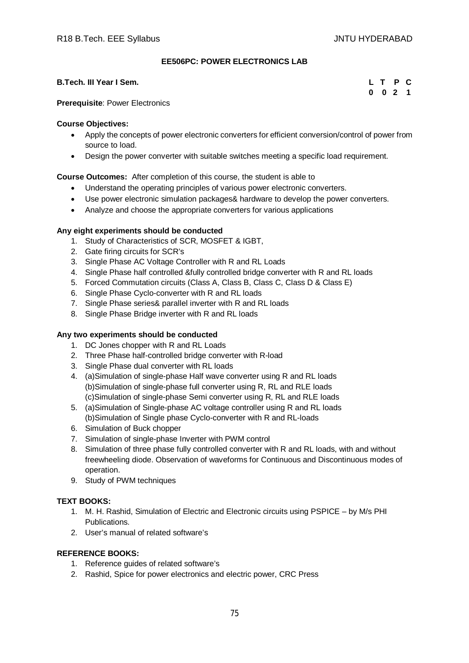## **EE506PC: POWER ELECTRONICS LAB**

### **B.Tech. III Year I Sem. L T P C**

|  | L T P C   |  |
|--|-----------|--|
|  | $0$ 0 2 1 |  |

#### **Prerequisite**: Power Electronics

#### **Course Objectives:**

- Apply the concepts of power electronic converters for efficient conversion/control of power from source to load.
- Design the power converter with suitable switches meeting a specific load requirement.

## **Course Outcomes:** After completion of this course, the student is able to

- Understand the operating principles of various power electronic converters.
- Use power electronic simulation packages& hardware to develop the power converters.
- Analyze and choose the appropriate converters for various applications

## **Any eight experiments should be conducted**

- 1. Study of Characteristics of SCR, MOSFET & IGBT,
- 2. Gate firing circuits for SCR's
- 3. Single Phase AC Voltage Controller with R and RL Loads
- 4. Single Phase half controlled &fully controlled bridge converter with R and RL loads
- 5. Forced Commutation circuits (Class A, Class B, Class C, Class D & Class E)
- 6. Single Phase Cyclo-converter with R and RL loads
- 7. Single Phase series& parallel inverter with R and RL loads
- 8. Single Phase Bridge inverter with R and RL loads

### **Any two experiments should be conducted**

- 1. DC Jones chopper with R and RL Loads
- 2. Three Phase half-controlled bridge converter with R-load
- 3. Single Phase dual converter with RL loads
- 4. (a)Simulation of single-phase Half wave converter using R and RL loads (b)Simulation of single-phase full converter using R, RL and RLE loads (c)Simulation of single-phase Semi converter using R, RL and RLE loads
- 5. (a)Simulation of Single-phase AC voltage controller using R and RL loads (b)Simulation of Single phase Cyclo-converter with R and RL-loads
- 6. Simulation of Buck chopper
- 7. Simulation of single-phase Inverter with PWM control
- 8. Simulation of three phase fully controlled converter with R and RL loads, with and without freewheeling diode. Observation of waveforms for Continuous and Discontinuous modes of operation.
- 9. Study of PWM techniques

#### **TEXT BOOKS:**

- 1. M. H. Rashid, Simulation of Electric and Electronic circuits using PSPICE by M/s PHI Publications.
- 2. User's manual of related software's

- 1. Reference guides of related software's
- 2. Rashid, Spice for power electronics and electric power, CRC Press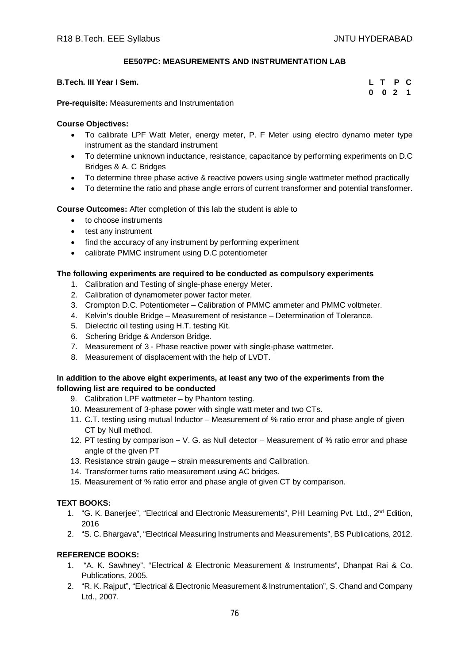## **EE507PC: MEASUREMENTS AND INSTRUMENTATION LAB**

| B.Tech. III Year I Sem. |  |  |  |  |  |  | L T P C |  |
|-------------------------|--|--|--|--|--|--|---------|--|
| $\sim$<br>.             |  |  |  |  |  |  | 0 0 2 1 |  |

**Pre-requisite:** Measurements and Instrumentation

#### **Course Objectives:**

- To calibrate LPF Watt Meter, energy meter, P. F Meter using electro dynamo meter type instrument as the standard instrument
- To determine unknown inductance, resistance, capacitance by performing experiments on D.C Bridges & A. C Bridges
- To determine three phase active & reactive powers using single wattmeter method practically
- To determine the ratio and phase angle errors of current transformer and potential transformer.

**Course Outcomes:** After completion of this lab the student is able to

- to choose instruments
- test any instrument
- find the accuracy of any instrument by performing experiment
- calibrate PMMC instrument using D.C potentiometer

## **The following experiments are required to be conducted as compulsory experiments**

- 1. Calibration and Testing of single-phase energy Meter.
- 2. Calibration of dynamometer power factor meter.
- 3. Crompton D.C. Potentiometer Calibration of PMMC ammeter and PMMC voltmeter.
- 4. Kelvin's double Bridge Measurement of resistance Determination of Tolerance.
- 5. Dielectric oil testing using H.T. testing Kit.
- 6. Schering Bridge & Anderson Bridge.
- 7. Measurement of 3 Phase reactive power with single-phase wattmeter.
- 8. Measurement of displacement with the help of LVDT.

## **In addition to the above eight experiments, at least any two of the experiments from the following list are required to be conducted**

- 9. Calibration LPF wattmeter by Phantom testing.
- 10. Measurement of 3-phase power with single watt meter and two CTs.
- 11. C.T. testing using mutual Inductor Measurement of % ratio error and phase angle of given CT by Null method.
- 12. PT testing by comparison **–** V. G. as Null detector Measurement of % ratio error and phase angle of the given PT
- 13. Resistance strain gauge strain measurements and Calibration.
- 14. Transformer turns ratio measurement using AC bridges.
- 15. Measurement of % ratio error and phase angle of given CT by comparison.

# **TEXT BOOKS:**

- 1. "G. K. Baneriee", "Electrical and Electronic Measurements", PHI Learning Pvt. Ltd., 2<sup>nd</sup> Edition, 2016
- 2. "S. C. Bhargava", "Electrical Measuring Instruments and Measurements", BS Publications, 2012.

- 1. "A. K. Sawhney", "Electrical & Electronic Measurement & Instruments", Dhanpat Rai & Co. Publications, 2005.
- 2. "R. K. Rajput", "Electrical & Electronic Measurement & Instrumentation", S. Chand and Company Ltd., 2007.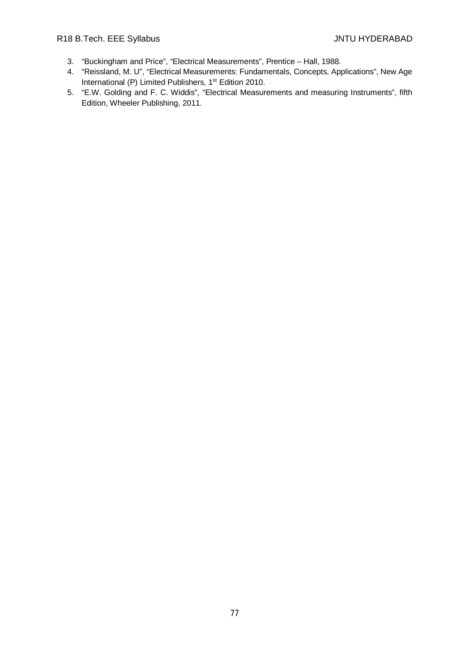- 3. "Buckingham and Price", "Electrical Measurements", Prentice Hall, 1988.
- 4. "Reissland, M. U", "Electrical Measurements: Fundamentals, Concepts, Applications", New Age International (P) Limited Publishers, 1<sup>st</sup> Edition 2010.
- 5. "E.W. Golding and F. C. Widdis", "Electrical Measurements and measuring Instruments", fifth Edition, Wheeler Publishing, 2011.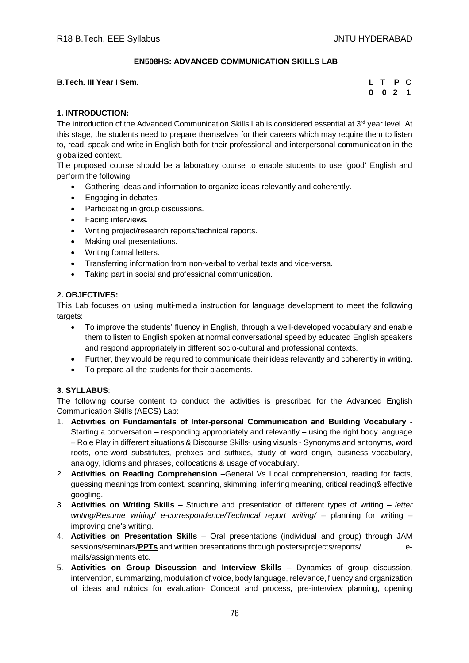## **EN508HS: ADVANCED COMMUNICATION SKILLS LAB**

| L T P C<br><b>B.Tech. III Year I Sem.</b> |  |  |  |  |
|-------------------------------------------|--|--|--|--|
|-------------------------------------------|--|--|--|--|

| L | т | Р   | C |
|---|---|-----|---|
| 0 | 0 | - 2 | 1 |

# **1. INTRODUCTION:**

The introduction of the Advanced Communication Skills Lab is considered essential at  $3<sup>rd</sup>$  year level. At this stage, the students need to prepare themselves for their careers which may require them to listen to, read, speak and write in English both for their professional and interpersonal communication in the globalized context.

The proposed course should be a laboratory course to enable students to use 'good' English and perform the following:

- Gathering ideas and information to organize ideas relevantly and coherently.
- Engaging in debates.
- Participating in group discussions.
- Facing interviews.
- Writing project/research reports/technical reports.
- Making oral presentations.
- Writing formal letters.
- Transferring information from non-verbal to verbal texts and vice-versa.
- Taking part in social and professional communication.

## **2. OBJECTIVES:**

This Lab focuses on using multi-media instruction for language development to meet the following targets:

- To improve the students' fluency in English, through a well-developed vocabulary and enable them to listen to English spoken at normal conversational speed by educated English speakers and respond appropriately in different socio-cultural and professional contexts.
- Further, they would be required to communicate their ideas relevantly and coherently in writing.
- To prepare all the students for their placements.

#### **3. SYLLABUS**:

The following course content to conduct the activities is prescribed for the Advanced English Communication Skills (AECS) Lab:

- 1. **Activities on Fundamentals of Inter-personal Communication and Building Vocabulary**  Starting a conversation – responding appropriately and relevantly – using the right body language – Role Play in different situations & Discourse Skills- using visuals - Synonyms and antonyms, word roots, one-word substitutes, prefixes and suffixes, study of word origin, business vocabulary, analogy, idioms and phrases, collocations & usage of vocabulary.
- 2. **Activities on Reading Comprehension** –General Vs Local comprehension, reading for facts, guessing meanings from context, scanning, skimming, inferring meaning, critical reading& effective googling.
- 3. **Activities on Writing Skills** Structure and presentation of different types of writing *letter writing/Resume writing/ e-correspondence/Technical report writing/ – planning for writing –* improving one's writing.
- 4. **Activities on Presentation Skills** Oral presentations (individual and group) through JAM sessions/seminars/**PPTs** and written presentations through posters/projects/reports/ emails/assignments etc.
- 5. **Activities on Group Discussion and Interview Skills** Dynamics of group discussion, intervention, summarizing, modulation of voice, body language, relevance, fluency and organization of ideas and rubrics for evaluation- Concept and process, pre-interview planning, opening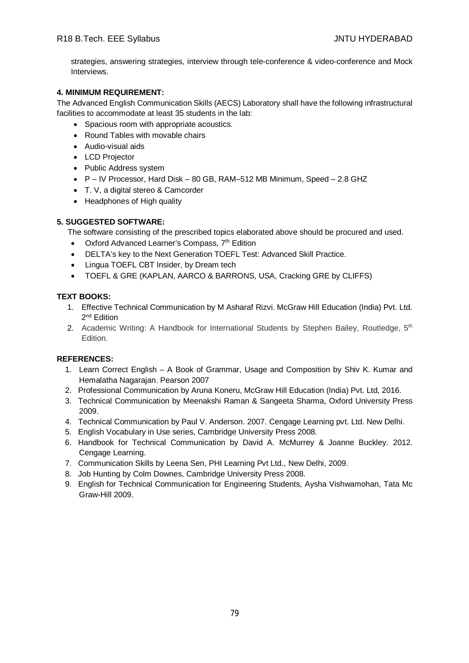strategies, answering strategies, interview through tele-conference & video-conference and Mock Interviews.

# **4. MINIMUM REQUIREMENT:**

The Advanced English Communication Skills (AECS) Laboratory shall have the following infrastructural facilities to accommodate at least 35 students in the lab:

- Spacious room with appropriate acoustics.
- Round Tables with movable chairs
- Audio-visual aids
- LCD Projector
- Public Address system
- P IV Processor, Hard Disk 80 GB, RAM–512 MB Minimum, Speed 2.8 GHZ
- T. V, a digital stereo & Camcorder
- Headphones of High quality

# **5. SUGGESTED SOFTWARE:**

The software consisting of the prescribed topics elaborated above should be procured and used.

- Oxford Advanced Learner's Compass, 7<sup>th</sup> Edition
- DELTA's key to the Next Generation TOEFL Test: Advanced Skill Practice.
- Lingua TOEFL CBT Insider, by Dream tech
- TOEFL & GRE (KAPLAN, AARCO & BARRONS, USA, Cracking GRE by CLIFFS)

# **TEXT BOOKS:**

- 1. Effective Technical Communication by M Asharaf Rizvi. McGraw Hill Education (India) Pvt. Ltd. 2<sup>nd</sup> Edition
- 2. Academic Writing: A Handbook for International Students by Stephen Bailey, Routledge, 5<sup>th</sup> Edition.

# **REFERENCES:**

- 1. Learn Correct English A Book of Grammar, Usage and Composition by Shiv K. Kumar and Hemalatha Nagarajan. Pearson 2007
- 2. Professional Communication by Aruna Koneru, McGraw Hill Education (India) Pvt. Ltd, 2016.
- 3. Technical Communication by Meenakshi Raman & Sangeeta Sharma, Oxford University Press 2009.
- 4. Technical Communication by Paul V. Anderson. 2007. Cengage Learning pvt. Ltd. New Delhi.
- 5. English Vocabulary in Use series, Cambridge University Press 2008.
- 6. Handbook for Technical Communication by David A. McMurrey & Joanne Buckley. 2012. Cengage Learning.
- 7. Communication Skills by Leena Sen, PHI Learning Pvt Ltd., New Delhi, 2009.
- 8. Job Hunting by Colm Downes, Cambridge University Press 2008.
- 9. English for Technical Communication for Engineering Students, Aysha Vishwamohan, Tata Mc Graw-Hill 2009.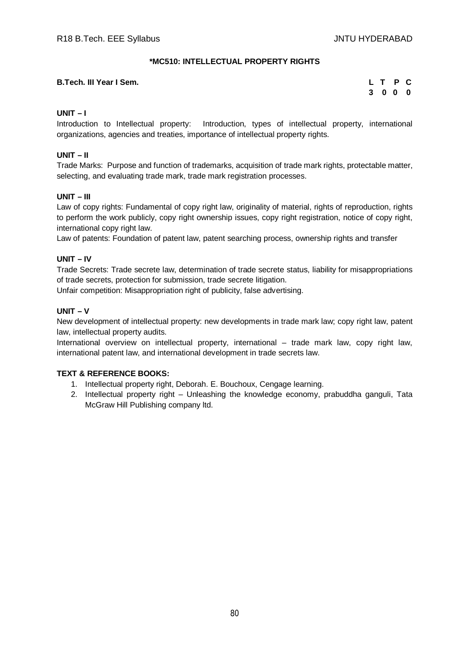### **\*MC510: INTELLECTUAL PROPERTY RIGHTS**

#### **B.Tech. III Year I Sem.**

| L T |                | P | C |
|-----|----------------|---|---|
| 3   | 0 <sub>0</sub> |   | 0 |

### **UNIT – I**

Introduction to Intellectual property: Introduction, types of intellectual property, international organizations, agencies and treaties, importance of intellectual property rights.

### **UNIT – II**

Trade Marks: Purpose and function of trademarks, acquisition of trade mark rights, protectable matter, selecting, and evaluating trade mark, trade mark registration processes.

#### **UNIT – III**

Law of copy rights: Fundamental of copy right law, originality of material, rights of reproduction, rights to perform the work publicly, copy right ownership issues, copy right registration, notice of copy right, international copy right law.

Law of patents: Foundation of patent law, patent searching process, ownership rights and transfer

#### **UNIT – IV**

Trade Secrets: Trade secrete law, determination of trade secrete status, liability for misappropriations of trade secrets, protection for submission, trade secrete litigation.

Unfair competition: Misappropriation right of publicity, false advertising.

#### **UNIT – V**

New development of intellectual property: new developments in trade mark law; copy right law, patent law, intellectual property audits.

International overview on intellectual property, international – trade mark law, copy right law, international patent law, and international development in trade secrets law.

#### **TEXT & REFERENCE BOOKS:**

- 1. Intellectual property right, Deborah. E. Bouchoux, Cengage learning.
- 2. Intellectual property right Unleashing the knowledge economy, prabuddha ganguli, Tata McGraw Hill Publishing company ltd.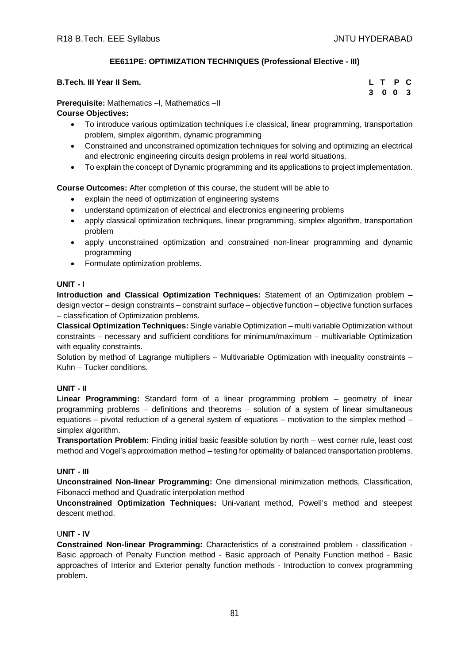# **EE611PE: OPTIMIZATION TECHNIQUES (Professional Elective - III)**

| B.Tech. III Year II Sem. |  |  |  |  |  |  |  | L T P C |  |
|--------------------------|--|--|--|--|--|--|--|---------|--|
| $\sim$                   |  |  |  |  |  |  |  | 3 0 0 3 |  |

**Prerequisite:** Mathematics –I, Mathematics –II

## **Course Objectives:**

- To introduce various optimization techniques i.e classical, linear programming, transportation problem, simplex algorithm, dynamic programming
- Constrained and unconstrained optimization techniques for solving and optimizing an electrical and electronic engineering circuits design problems in real world situations.
- To explain the concept of Dynamic programming and its applications to project implementation.

**Course Outcomes:** After completion of this course, the student will be able to

- explain the need of optimization of engineering systems
- understand optimization of electrical and electronics engineering problems
- apply classical optimization techniques, linear programming, simplex algorithm, transportation problem
- apply unconstrained optimization and constrained non-linear programming and dynamic programming
- Formulate optimization problems.

## **UNIT - I**

**Introduction and Classical Optimization Techniques:** Statement of an Optimization problem – design vector – design constraints – constraint surface – objective function – objective function surfaces – classification of Optimization problems.

**Classical Optimization Techniques:** Single variable Optimization – multi variable Optimization without constraints – necessary and sufficient conditions for minimum/maximum – multivariable Optimization with equality constraints.

Solution by method of Lagrange multipliers – Multivariable Optimization with inequality constraints – Kuhn – Tucker conditions.

# **UNIT - II**

**Linear Programming:** Standard form of a linear programming problem – geometry of linear programming problems – definitions and theorems – solution of a system of linear simultaneous equations – pivotal reduction of a general system of equations – motivation to the simplex method – simplex algorithm.

**Transportation Problem:** Finding initial basic feasible solution by north – west corner rule, least cost method and Vogel's approximation method – testing for optimality of balanced transportation problems.

#### **UNIT - III**

**Unconstrained Non-linear Programming:** One dimensional minimization methods, Classification, Fibonacci method and Quadratic interpolation method

**Unconstrained Optimization Techniques:** Uni-variant method, Powell's method and steepest descent method.

## U**NIT - IV**

**Constrained Non-linear Programming:** Characteristics of a constrained problem - classification - Basic approach of Penalty Function method - Basic approach of Penalty Function method - Basic approaches of Interior and Exterior penalty function methods - Introduction to convex programming problem.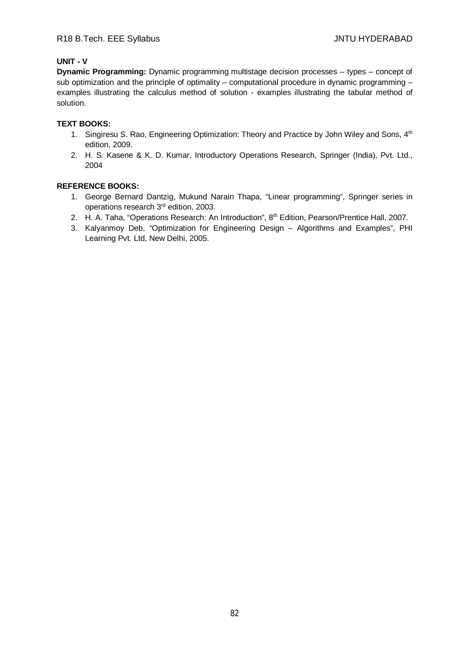# **UNIT - V**

**Dynamic Programming:** Dynamic programming multistage decision processes – types – concept of sub optimization and the principle of optimality – computational procedure in dynamic programming  $$ examples illustrating the calculus method of solution - examples illustrating the tabular method of solution.

## **TEXT BOOKS:**

- 1. Singiresu S. Rao, Engineering Optimization: Theory and Practice by John Wiley and Sons, 4<sup>th</sup> edition, 2009.
- 2. H. S. Kasene & K. D. Kumar, Introductory Operations Research, Springer (India), Pvt. Ltd., 2004

- 1. George Bernard Dantzig, Mukund Narain Thapa, "Linear programming", Springer series in operations research 3rd edition, 2003.
- 2. H. A. Taha, "Operations Research: An Introduction", 8<sup>th</sup> Edition, Pearson/Prentice Hall, 2007.
- 3. Kalyanmoy Deb, "Optimization for Engineering Design Algorithms and Examples", PHI Learning Pvt. Ltd, New Delhi, 2005.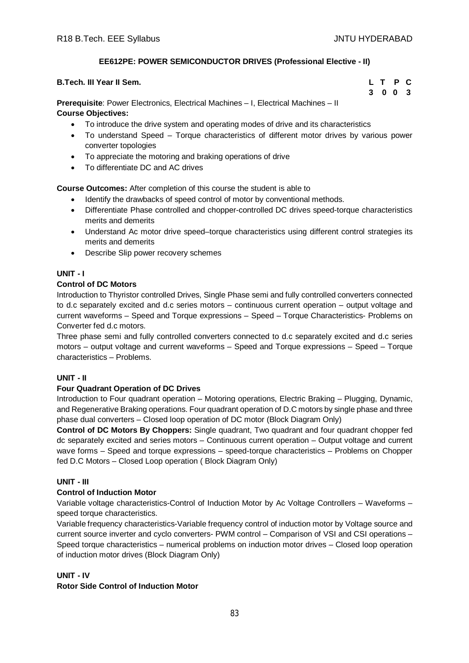# **EE612PE: POWER SEMICONDUCTOR DRIVES (Professional Elective - II)**

| <b>B.Tech. III Year II Sem.</b>                                                           | L T P C |  |
|-------------------------------------------------------------------------------------------|---------|--|
|                                                                                           | 3 0 0 3 |  |
| <b>Prerequisite:</b> Power Electronics, Electrical Machines – I, Electrical Machines – II |         |  |

**Course Objectives:**

- To introduce the drive system and operating modes of drive and its characteristics
- To understand Speed Torque characteristics of different motor drives by various power converter topologies
- To appreciate the motoring and braking operations of drive
- To differentiate DC and AC drives

**Course Outcomes:** After completion of this course the student is able to

- Identify the drawbacks of speed control of motor by conventional methods.
- Differentiate Phase controlled and chopper-controlled DC drives speed-torque characteristics merits and demerits
- Understand Ac motor drive speed–torque characteristics using different control strategies its merits and demerits
- Describe Slip power recovery schemes

# **UNIT - I**

## **Control of DC Motors**

Introduction to Thyristor controlled Drives, Single Phase semi and fully controlled converters connected to d.c separately excited and d.c series motors – continuous current operation – output voltage and current waveforms – Speed and Torque expressions – Speed – Torque Characteristics- Problems on Converter fed d.c motors.

Three phase semi and fully controlled converters connected to d.c separately excited and d.c series motors – output voltage and current waveforms – Speed and Torque expressions – Speed – Torque characteristics – Problems.

#### **UNIT - II**

# **Four Quadrant Operation of DC Drives**

Introduction to Four quadrant operation – Motoring operations, Electric Braking – Plugging, Dynamic, and Regenerative Braking operations. Four quadrant operation of D.C motors by single phase and three phase dual converters – Closed loop operation of DC motor (Block Diagram Only)

**Control of DC Motors By Choppers:** Single quadrant, Two quadrant and four quadrant chopper fed dc separately excited and series motors – Continuous current operation – Output voltage and current wave forms – Speed and torque expressions – speed-torque characteristics – Problems on Chopper fed D.C Motors – Closed Loop operation ( Block Diagram Only)

#### **UNIT - III**

#### **Control of Induction Motor**

Variable voltage characteristics-Control of Induction Motor by Ac Voltage Controllers – Waveforms – speed torque characteristics.

Variable frequency characteristics-Variable frequency control of induction motor by Voltage source and current source inverter and cyclo converters- PWM control – Comparison of VSI and CSI operations – Speed torque characteristics – numerical problems on induction motor drives – Closed loop operation of induction motor drives (Block Diagram Only)

#### **UNIT - IV**

#### **Rotor Side Control of Induction Motor**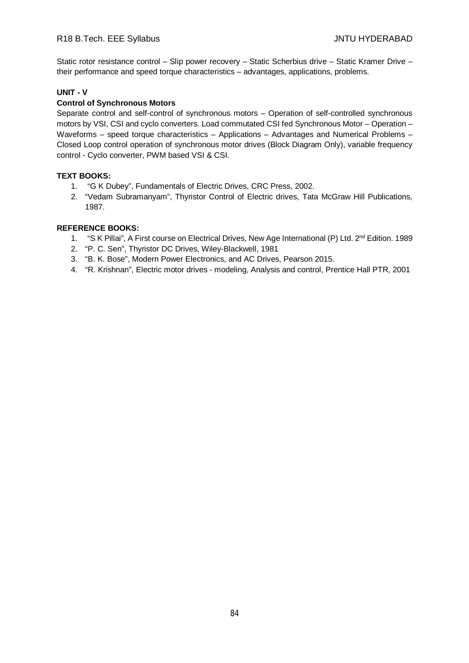Static rotor resistance control – Slip power recovery – Static Scherbius drive – Static Kramer Drive – their performance and speed torque characteristics – advantages, applications, problems.

### **UNIT - V**

### **Control of Synchronous Motors**

Separate control and self-control of synchronous motors – Operation of self-controlled synchronous motors by VSI, CSI and cyclo converters. Load commutated CSI fed Synchronous Motor – Operation – Waveforms – speed torque characteristics – Applications – Advantages and Numerical Problems – Closed Loop control operation of synchronous motor drives (Block Diagram Only), variable frequency control - Cyclo converter, PWM based VSI & CSI.

#### **TEXT BOOKS:**

- 1. "G K Dubey", Fundamentals of Electric Drives, CRC Press, 2002.
- 2. "Vedam Subramanyam", Thyristor Control of Electric drives, Tata McGraw Hill Publications, 1987.

- 1. "S K Pillai", A First course on Electrical Drives, New Age International (P) Ltd. 2<sup>nd</sup> Edition. 1989
- 2. "P. C. Sen", Thyristor DC Drives, Wiley-Blackwell, 1981
- 3. "B. K. Bose", Modern Power Electronics, and AC Drives, Pearson 2015.
- 4. "R. Krishnan", Electric motor drives modeling, Analysis and control, Prentice Hall PTR, 2001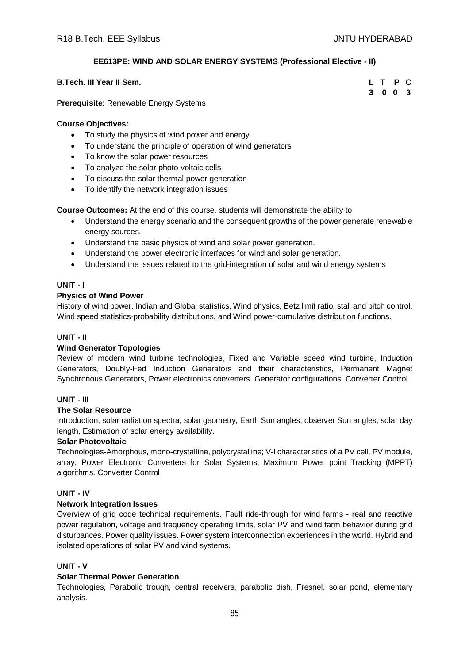# **EE613PE: WIND AND SOLAR ENERGY SYSTEMS (Professional Elective - II)**

| <b>B.Tech. III Year II Sem.</b> |  | L T P C |  |
|---------------------------------|--|---------|--|
|                                 |  | 3 0 0 3 |  |

### **Prerequisite**: Renewable Energy Systems

### **Course Objectives:**

- To study the physics of wind power and energy
- To understand the principle of operation of wind generators
- To know the solar power resources
- To analyze the solar photo-voltaic cells
- To discuss the solar thermal power generation
- To identify the network integration issues

**Course Outcomes:** At the end of this course, students will demonstrate the ability to

- Understand the energy scenario and the consequent growths of the power generate renewable energy sources.
- Understand the basic physics of wind and solar power generation.
- Understand the power electronic interfaces for wind and solar generation.
- Understand the issues related to the grid-integration of solar and wind energy systems

## **UNIT - I**

## **Physics of Wind Power**

History of wind power, Indian and Global statistics, Wind physics, Betz limit ratio, stall and pitch control, Wind speed statistics-probability distributions, and Wind power-cumulative distribution functions.

#### **UNIT - II**

#### **Wind Generator Topologies**

Review of modern wind turbine technologies, Fixed and Variable speed wind turbine, Induction Generators, Doubly-Fed Induction Generators and their characteristics, Permanent Magnet Synchronous Generators, Power electronics converters. Generator configurations, Converter Control.

#### **UNIT - III**

### **The Solar Resource**

Introduction, solar radiation spectra, solar geometry, Earth Sun angles, observer Sun angles, solar day length, Estimation of solar energy availability.

#### **Solar Photovoltaic**

Technologies-Amorphous, mono-crystalline, polycrystalline; V-I characteristics of a PV cell, PV module, array, Power Electronic Converters for Solar Systems, Maximum Power point Tracking (MPPT) algorithms. Converter Control.

#### **UNIT - IV**

#### **Network Integration Issues**

Overview of grid code technical requirements. Fault ride-through for wind farms - real and reactive power regulation, voltage and frequency operating limits, solar PV and wind farm behavior during grid disturbances. Power quality issues. Power system interconnection experiences in the world. Hybrid and isolated operations of solar PV and wind systems.

# **UNIT - V**

#### **Solar Thermal Power Generation**

Technologies, Parabolic trough, central receivers, parabolic dish, Fresnel, solar pond, elementary analysis.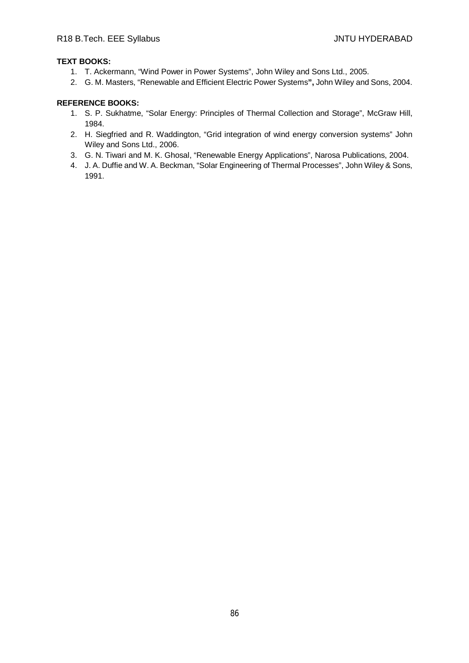### **TEXT BOOKS:**

- 1. T. Ackermann, "Wind Power in Power Systems", John Wiley and Sons Ltd., 2005.
- 2. G. M. Masters, "Renewable and Efficient Electric Power Systems**",** John Wiley and Sons, 2004.

- 1. S. P. Sukhatme, "Solar Energy: Principles of Thermal Collection and Storage", McGraw Hill, 1984.
- 2. H. Siegfried and R. Waddington, "Grid integration of wind energy conversion systems" John Wiley and Sons Ltd., 2006.
- 3. G. N. Tiwari and M. K. Ghosal, "Renewable Energy Applications", Narosa Publications, 2004.
- 4. J. A. Duffie and W. A. Beckman, "Solar Engineering of Thermal Processes", John Wiley & Sons, 1991.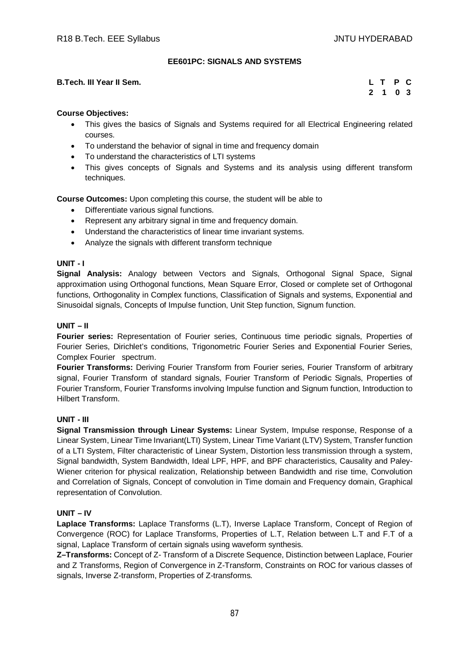## **EE601PC: SIGNALS AND SYSTEMS**

#### **B.Tech. III Year II Sem.**

| L  | т | Р | C  |
|----|---|---|----|
| -2 | 1 |   | 03 |

#### **Course Objectives:**

- This gives the basics of Signals and Systems required for all Electrical Engineering related courses.
- To understand the behavior of signal in time and frequency domain
- To understand the characteristics of LTI systems
- This gives concepts of Signals and Systems and its analysis using different transform techniques.

**Course Outcomes:** Upon completing this course, the student will be able to

- Differentiate various signal functions.
- Represent any arbitrary signal in time and frequency domain.
- Understand the characteristics of linear time invariant systems.
- Analyze the signals with different transform technique

#### **UNIT - I**

**Signal Analysis:** Analogy between Vectors and Signals, Orthogonal Signal Space, Signal approximation using Orthogonal functions, Mean Square Error, Closed or complete set of Orthogonal functions, Orthogonality in Complex functions, Classification of Signals and systems, Exponential and Sinusoidal signals, Concepts of Impulse function, Unit Step function, Signum function.

#### **UNIT – II**

**Fourier series:** Representation of Fourier series, Continuous time periodic signals, Properties of Fourier Series, Dirichlet's conditions, Trigonometric Fourier Series and Exponential Fourier Series, Complex Fourier spectrum.

**Fourier Transforms:** Deriving Fourier Transform from Fourier series, Fourier Transform of arbitrary signal, Fourier Transform of standard signals, Fourier Transform of Periodic Signals, Properties of Fourier Transform, Fourier Transforms involving Impulse function and Signum function, Introduction to Hilbert Transform.

#### **UNIT - III**

**Signal Transmission through Linear Systems:** Linear System, Impulse response, Response of a Linear System, Linear Time Invariant(LTI) System, Linear Time Variant (LTV) System, Transfer function of a LTI System, Filter characteristic of Linear System, Distortion less transmission through a system, Signal bandwidth, System Bandwidth, Ideal LPF, HPF, and BPF characteristics, Causality and Paley-Wiener criterion for physical realization, Relationship between Bandwidth and rise time, Convolution and Correlation of Signals, Concept of convolution in Time domain and Frequency domain, Graphical representation of Convolution.

#### **UNIT – IV**

**Laplace Transforms:** Laplace Transforms (L.T), Inverse Laplace Transform, Concept of Region of Convergence (ROC) for Laplace Transforms, Properties of L.T, Relation between L.T and F.T of a signal, Laplace Transform of certain signals using waveform synthesis.

**Z–Transforms:** Concept of Z- Transform of a Discrete Sequence, Distinction between Laplace, Fourier and Z Transforms, Region of Convergence in Z-Transform, Constraints on ROC for various classes of signals, Inverse Z-transform, Properties of Z-transforms.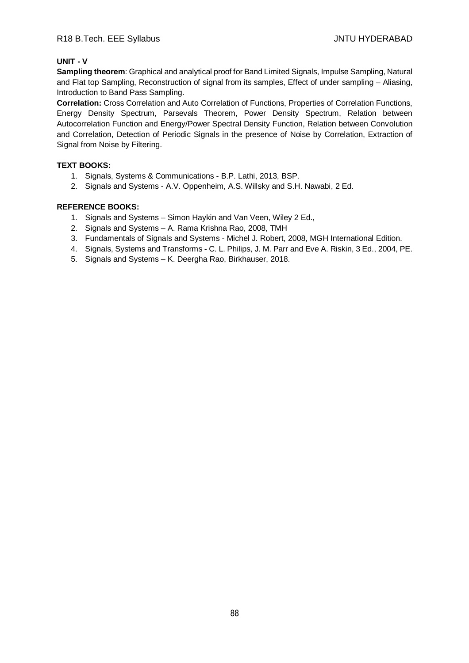## **UNIT - V**

**Sampling theorem**: Graphical and analytical proof for Band Limited Signals, Impulse Sampling, Natural and Flat top Sampling, Reconstruction of signal from its samples, Effect of under sampling – Aliasing, Introduction to Band Pass Sampling.

**Correlation:** Cross Correlation and Auto Correlation of Functions, Properties of Correlation Functions, Energy Density Spectrum, Parsevals Theorem, Power Density Spectrum, Relation between Autocorrelation Function and Energy/Power Spectral Density Function, Relation between Convolution and Correlation, Detection of Periodic Signals in the presence of Noise by Correlation, Extraction of Signal from Noise by Filtering.

## **TEXT BOOKS:**

- 1. Signals, Systems & Communications B.P. Lathi, 2013, BSP.
- 2. Signals and Systems A.V. Oppenheim, A.S. Willsky and S.H. Nawabi, 2 Ed.

- 1. Signals and Systems Simon Haykin and Van Veen, Wiley 2 Ed.,
- 2. Signals and Systems A. Rama Krishna Rao, 2008, TMH
- 3. Fundamentals of Signals and Systems Michel J. Robert, 2008, MGH International Edition.
- 4. Signals, Systems and Transforms C. L. Philips, J. M. Parr and Eve A. Riskin, 3 Ed., 2004, PE.
- 5. Signals and Systems K. Deergha Rao, Birkhauser, 2018.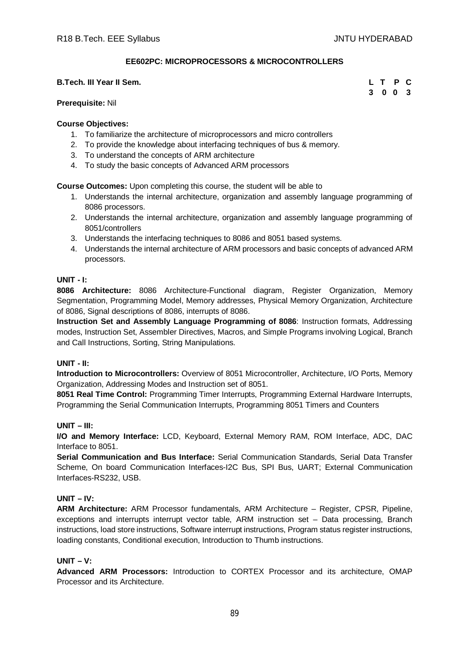### **EE602PC: MICROPROCESSORS & MICROCONTROLLERS**

#### **B.Tech. III Year II Sem.**

#### **Prerequisite:** Nil

#### **Course Objectives:**

- 1. To familiarize the architecture of microprocessors and micro controllers
- 2. To provide the knowledge about interfacing techniques of bus & memory.
- 3. To understand the concepts of ARM architecture
- 4. To study the basic concepts of Advanced ARM processors

**Course Outcomes:** Upon completing this course, the student will be able to

- 1. Understands the internal architecture, organization and assembly language programming of 8086 processors.
- 2. Understands the internal architecture, organization and assembly language programming of 8051/controllers
- 3. Understands the interfacing techniques to 8086 and 8051 based systems.
- 4. Understands the internal architecture of ARM processors and basic concepts of advanced ARM processors.

#### **UNIT - I:**

**8086 Architecture:** 8086 Architecture-Functional diagram, Register Organization, Memory Segmentation, Programming Model, Memory addresses, Physical Memory Organization, Architecture of 8086, Signal descriptions of 8086, interrupts of 8086.

**Instruction Set and Assembly Language Programming of 8086**: Instruction formats, Addressing modes, Instruction Set, Assembler Directives, Macros, and Simple Programs involving Logical, Branch and Call Instructions, Sorting, String Manipulations.

#### **UNIT - II:**

**Introduction to Microcontrollers:** Overview of 8051 Microcontroller, Architecture, I/O Ports, Memory Organization, Addressing Modes and Instruction set of 8051.

**8051 Real Time Control:** Programming Timer Interrupts, Programming External Hardware Interrupts, Programming the Serial Communication Interrupts, Programming 8051 Timers and Counters

#### **UNIT – III:**

**I/O and Memory Interface:** LCD, Keyboard, External Memory RAM, ROM Interface, ADC, DAC Interface to 8051.

**Serial Communication and Bus Interface:** Serial Communication Standards, Serial Data Transfer Scheme, On board Communication Interfaces-I2C Bus, SPI Bus, UART; External Communication Interfaces-RS232, USB.

## **UNIT – IV:**

**ARM Architecture:** ARM Processor fundamentals, ARM Architecture – Register, CPSR, Pipeline, exceptions and interrupts interrupt vector table, ARM instruction set - Data processing, Branch instructions, load store instructions, Software interrupt instructions, Program status register instructions, loading constants, Conditional execution, Introduction to Thumb instructions.

#### **UNIT – V:**

**Advanced ARM Processors:** Introduction to CORTEX Processor and its architecture, OMAP Processor and its Architecture.

|   | L T        | P | С   |
|---|------------|---|-----|
| 3 | $0\quad 0$ |   | - 3 |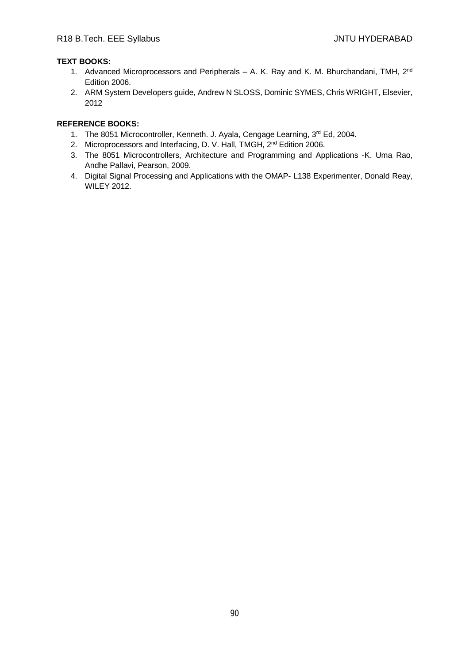## **TEXT BOOKS:**

- 1. Advanced Microprocessors and Peripherals A. K. Ray and K. M. Bhurchandani, TMH, 2<sup>nd</sup> Edition 2006.
- 2. ARM System Developers guide, Andrew N SLOSS, Dominic SYMES, Chris WRIGHT, Elsevier, 2012

- 1. The 8051 Microcontroller, Kenneth. J. Ayala, Cengage Learning, 3rd Ed, 2004.
- 2. Microprocessors and Interfacing, D. V. Hall, TMGH, 2<sup>nd</sup> Edition 2006.
- 3. The 8051 Microcontrollers, Architecture and Programming and Applications -K. Uma Rao, Andhe Pallavi, Pearson, 2009.
- 4. Digital Signal Processing and Applications with the OMAP- L138 Experimenter, Donald Reay, WILEY 2012.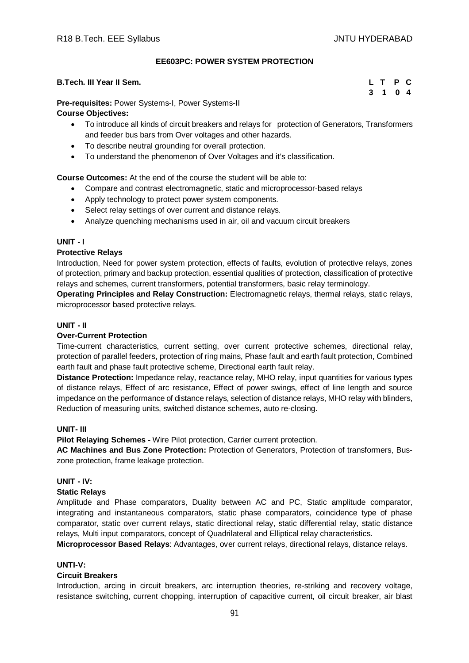### **EE603PC: POWER SYSTEM PROTECTION**

#### **B.Tech. III Year II Sem.**

|   | L T P C |  |
|---|---------|--|
| 3 | 1 0 4   |  |

**Pre-requisites:** Power Systems-I, Power Systems-II **Course Objectives:**

- To introduce all kinds of circuit breakers and relays for protection of Generators, Transformers and feeder bus bars from Over voltages and other hazards.
- To describe neutral grounding for overall protection.
- To understand the phenomenon of Over Voltages and it's classification.

**Course Outcomes:** At the end of the course the student will be able to:

- Compare and contrast electromagnetic, static and microprocessor-based relays
- Apply technology to protect power system components.
- Select relay settings of over current and distance relays.
- Analyze quenching mechanisms used in air, oil and vacuum circuit breakers

## **UNIT - I**

## **Protective Relays**

Introduction, Need for power system protection, effects of faults, evolution of protective relays, zones of protection, primary and backup protection, essential qualities of protection, classification of protective relays and schemes, current transformers, potential transformers, basic relay terminology.

**Operating Principles and Relay Construction:** Electromagnetic relays, thermal relays, static relays, microprocessor based protective relays.

## **UNIT - II**

### **Over-Current Protection**

Time-current characteristics, current setting, over current protective schemes, directional relay, protection of parallel feeders, protection of ring mains, Phase fault and earth fault protection, Combined earth fault and phase fault protective scheme, Directional earth fault relay.

**Distance Protection:** Impedance relay, reactance relay, MHO relay, input quantities for various types of distance relays, Effect of arc resistance, Effect of power swings, effect of line length and source impedance on the performance of distance relays, selection of distance relays, MHO relay with blinders, Reduction of measuring units, switched distance schemes, auto re-closing.

#### **UNIT- III**

**Pilot Relaying Schemes -** Wire Pilot protection, Carrier current protection.

**AC Machines and Bus Zone Protection:** Protection of Generators, Protection of transformers, Buszone protection, frame leakage protection.

# **UNIT - IV:**

#### **Static Relays**

Amplitude and Phase comparators, Duality between AC and PC, Static amplitude comparator, integrating and instantaneous comparators, static phase comparators, coincidence type of phase comparator, static over current relays, static directional relay, static differential relay, static distance relays, Multi input comparators, concept of Quadrilateral and Elliptical relay characteristics.

**Microprocessor Based Relays**: Advantages, over current relays, directional relays, distance relays.

### **UNTI-V:**

#### **Circuit Breakers**

Introduction, arcing in circuit breakers, arc interruption theories, re-striking and recovery voltage, resistance switching, current chopping, interruption of capacitive current, oil circuit breaker, air blast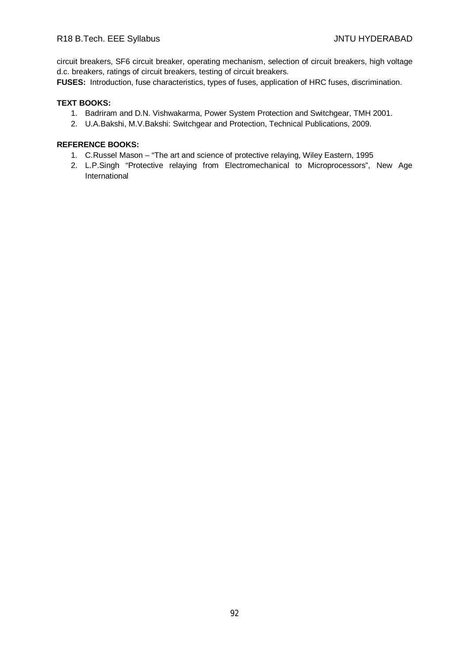circuit breakers, SF6 circuit breaker, operating mechanism, selection of circuit breakers, high voltage d.c. breakers, ratings of circuit breakers, testing of circuit breakers.

**FUSES:** Introduction, fuse characteristics, types of fuses, application of HRC fuses, discrimination.

#### **TEXT BOOKS:**

- 1. Badriram and D.N. Vishwakarma, Power System Protection and Switchgear, TMH 2001.
- 2. U.A.Bakshi, M.V.Bakshi: Switchgear and Protection, Technical Publications, 2009.

- 1. C.Russel Mason "The art and science of protective relaying, Wiley Eastern, 1995
- 2. L.P.Singh "Protective relaying from Electromechanical to Microprocessors", New Age International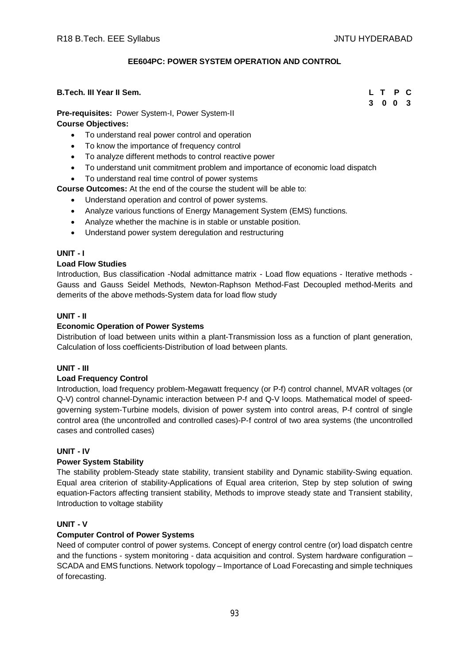## **EE604PC: POWER SYSTEM OPERATION AND CONTROL**

#### **B.Tech. III Year II Sem. L T P C**

**Pre-requisites:** Power System-I, Power System-II **Course Objectives:**

- To understand real power control and operation
- To know the importance of frequency control
- To analyze different methods to control reactive power
- To understand unit commitment problem and importance of economic load dispatch
- To understand real time control of power systems
- **Course Outcomes:** At the end of the course the student will be able to:
	- Understand operation and control of power systems.
	- Analyze various functions of Energy Management System (EMS) functions.
	- Analyze whether the machine is in stable or unstable position.
	- Understand power system deregulation and restructuring

#### **UNIT - I**

#### **Load Flow Studies**

Introduction, Bus classification -Nodal admittance matrix - Load flow equations - Iterative methods - Gauss and Gauss Seidel Methods, Newton-Raphson Method-Fast Decoupled method-Merits and demerits of the above methods-System data for load flow study

#### **UNIT - II**

#### **Economic Operation of Power Systems**

Distribution of load between units within a plant-Transmission loss as a function of plant generation, Calculation of loss coefficients-Distribution of load between plants.

#### **UNIT - III**

#### **Load Frequency Control**

Introduction, load frequency problem-Megawatt frequency (or P-f) control channel, MVAR voltages (or Q-V) control channel-Dynamic interaction between P-f and Q-V loops. Mathematical model of speedgoverning system-Turbine models, division of power system into control areas, P-f control of single control area (the uncontrolled and controlled cases)-P-f control of two area systems (the uncontrolled cases and controlled cases)

#### **UNIT - IV**

#### **Power System Stability**

The stability problem-Steady state stability, transient stability and Dynamic stability-Swing equation. Equal area criterion of stability-Applications of Equal area criterion, Step by step solution of swing equation-Factors affecting transient stability, Methods to improve steady state and Transient stability, Introduction to voltage stability

## **UNIT - V**

#### **Computer Control of Power Systems**

Need of computer control of power systems. Concept of energy control centre (or) load dispatch centre and the functions - system monitoring - data acquisition and control. System hardware configuration – SCADA and EMS functions. Network topology – Importance of Load Forecasting and simple techniques of forecasting.

**3 0 0 3**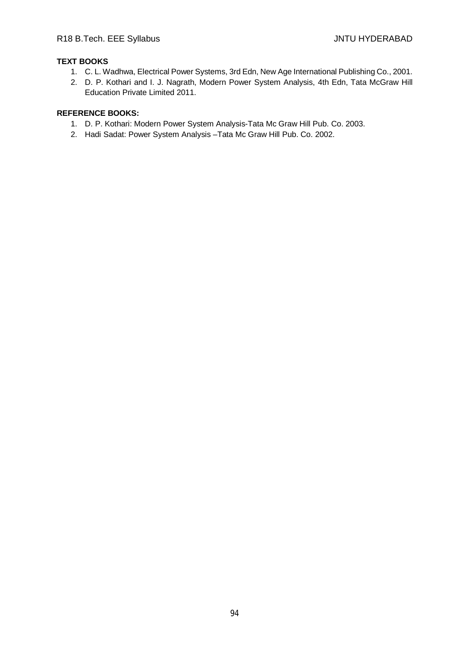# **TEXT BOOKS**

- 1. C. L. Wadhwa, Electrical Power Systems, 3rd Edn, New Age International Publishing Co., 2001.
- 2. D. P. Kothari and I. J. Nagrath, Modern Power System Analysis, 4th Edn, Tata McGraw Hill Education Private Limited 2011.

- 1. D. P. Kothari: Modern Power System Analysis-Tata Mc Graw Hill Pub. Co. 2003.
- 2. Hadi Sadat: Power System Analysis –Tata Mc Graw Hill Pub. Co. 2002.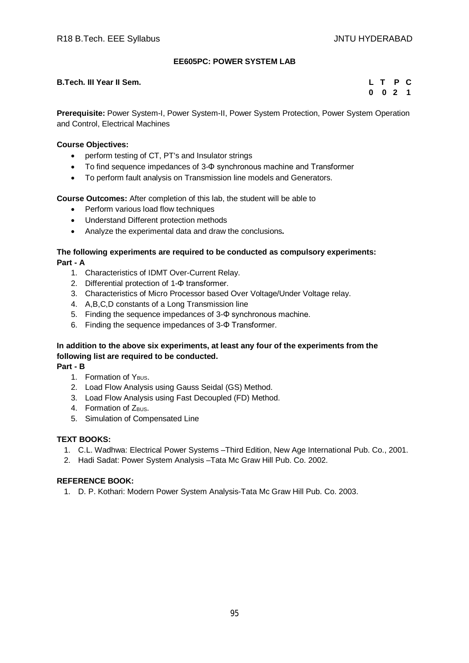## **EE605PC: POWER SYSTEM LAB**

### **B.Tech. III Year II Sem. L T P C**

**0 0 2 1**

**Prerequisite:** Power System-I, Power System-II, Power System Protection, Power System Operation and Control, Electrical Machines

#### **Course Objectives:**

- perform testing of CT, PT's and Insulator strings
- To find sequence impedances of 3-Φ synchronous machine and Transformer
- To perform fault analysis on Transmission line models and Generators.

**Course Outcomes:** After completion of this lab, the student will be able to

- Perform various load flow techniques
- Understand Different protection methods
- Analyze the experimental data and draw the conclusions**.**

#### **The following experiments are required to be conducted as compulsory experiments: Part - A**

- 1. Characteristics of IDMT Over-Current Relay.
- 2. Differential protection of 1-Φ transformer.
- 3. Characteristics of Micro Processor based Over Voltage/Under Voltage relay.
- 4. A,B,C,D constants of a Long Transmission line
- 5. Finding the sequence impedances of 3-Φ synchronous machine.
- 6. Finding the sequence impedances of 3-Φ Transformer.

# **In addition to the above six experiments, at least any four of the experiments from the following list are required to be conducted.**

**Part - B**

- 1. Formation of Y<sub>BUS</sub>.
- 2. Load Flow Analysis using Gauss Seidal (GS) Method.
- 3. Load Flow Analysis using Fast Decoupled (FD) Method.
- 4. Formation of ZBUS.
- 5. Simulation of Compensated Line

#### **TEXT BOOKS:**

- 1. C.L. Wadhwa: Electrical Power Systems –Third Edition, New Age International Pub. Co., 2001.
- 2. Hadi Sadat: Power System Analysis –Tata Mc Graw Hill Pub. Co. 2002.

#### **REFERENCE BOOK:**

1. D. P. Kothari: Modern Power System Analysis-Tata Mc Graw Hill Pub. Co. 2003.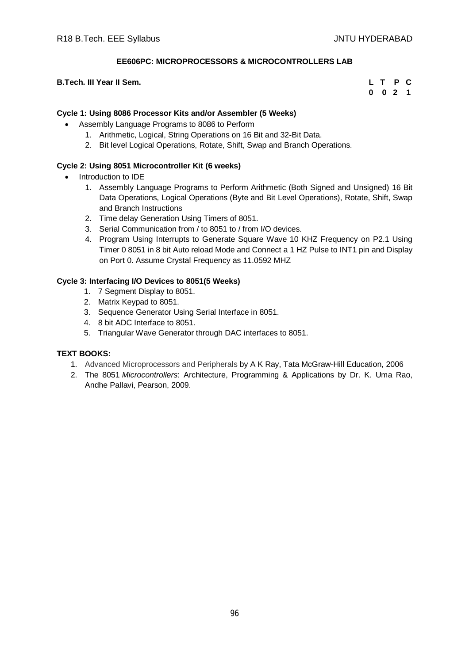## **EE606PC: MICROPROCESSORS & MICROCONTROLLERS LAB**

### **B.Tech. III Year II Sem.**

| L. | т           | P   | $\mathbf{C}$ |
|----|-------------|-----|--------------|
| 0  | $\mathbf 0$ | - 2 | 1            |

### **Cycle 1: Using 8086 Processor Kits and/or Assembler (5 Weeks)**

- Assembly Language Programs to 8086 to Perform
	- 1. Arithmetic, Logical, String Operations on 16 Bit and 32-Bit Data.
	- 2. Bit level Logical Operations, Rotate, Shift, Swap and Branch Operations.

## **Cycle 2: Using 8051 Microcontroller Kit (6 weeks)**

- Introduction to IDE
	- 1. Assembly Language Programs to Perform Arithmetic (Both Signed and Unsigned) 16 Bit Data Operations, Logical Operations (Byte and Bit Level Operations), Rotate, Shift, Swap and Branch Instructions
	- 2. Time delay Generation Using Timers of 8051.
	- 3. Serial Communication from / to 8051 to / from I/O devices.
	- 4. Program Using Interrupts to Generate Square Wave 10 KHZ Frequency on P2.1 Using Timer 0 8051 in 8 bit Auto reload Mode and Connect a 1 HZ Pulse to INT1 pin and Display on Port 0. Assume Crystal Frequency as 11.0592 MHZ

## **Cycle 3: Interfacing I/O Devices to 8051(5 Weeks)**

- 1. 7 Segment Display to 8051.
- 2. Matrix Keypad to 8051.
- 3. Sequence Generator Using Serial Interface in 8051.
- 4. 8 bit ADC Interface to 8051.
- 5. Triangular Wave Generator through DAC interfaces to 8051.

#### **TEXT BOOKS:**

- 1. Advanced Microprocessors and Peripherals by A K Ray, Tata McGraw-Hill Education, 2006
- 2. The 8051 *Microcontrollers*: Architecture, Programming & Applications by Dr. K. Uma Rao, Andhe Pallavi, Pearson, 2009.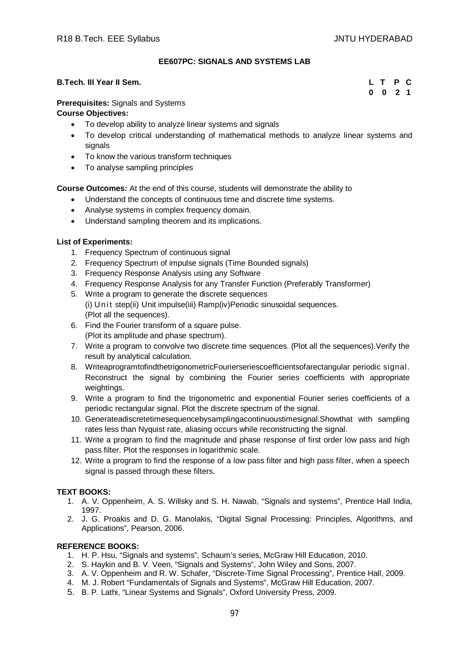## **EE607PC: SIGNALS AND SYSTEMS LAB**

### **B.Tech. III Year II Sem. L T P C**

**0 0 2 1**

#### **Prerequisites:** Signals and Systems

#### **Course Objectives:**

- To develop ability to analyze linear systems and signals
- To develop critical understanding of mathematical methods to analyze linear systems and signals
- To know the various transform techniques
- To analyse sampling principles

**Course Outcomes:** At the end of this course, students will demonstrate the ability to

- Understand the concepts of continuous time and discrete time systems.
- Analyse systems in complex frequency domain.
- Understand sampling theorem and its implications.

#### **List of Experiments:**

- 1. Frequency Spectrum of continuous signal
- 2. Frequency Spectrum of impulse signals (Time Bounded signals)
- 3. Frequency Response Analysis using any Software
- 4. Frequency Response Analysis for any Transfer Function (Preferably Transformer)
- 5. Write a program to generate the discrete sequences (i) Unit step(ii) Unit impulse(iii) Ramp(iv)Periodic sinusoidal sequences. (Plot all the sequences).
- 6. Find the Fourier transform of a square pulse. (Plot its amplitude and phase spectrum).
- 7. Write a program to convolve two discrete time sequences. (Plot all the sequences).Verify the result by analytical calculation.
- 8. WriteaprogramtofindthetrigonometricFourierseriescoefficientsofarectangular periodic signal. Reconstruct the signal by combining the Fourier series coefficients with appropriate weightings.
- 9. Write a program to find the trigonometric and exponential Fourier series coefficients of a periodic rectangular signal. Plot the discrete spectrum of the signal.
- 10. Generateadiscretetimesequencebysamplingacontinuoustimesignal.Showthat with sampling rates less than Nyquist rate, aliasing occurs while reconstructing the signal.
- 11. Write a program to find the magnitude and phase response of first order low pass and high pass filter. Plot the responses in logarithmic scale.
- 12. Write a program to find the response of a low pass filter and high pass filter, when a speech signal is passed through these filters.

#### **TEXT BOOKS:**

- 1. A. V. Oppenheim, A. S. Willsky and S. H. Nawab, "Signals and systems", Prentice Hall India, 1997.
- 2. J. G. Proakis and D. G. Manolakis, "Digital Signal Processing: Principles, Algorithms, and Applications", Pearson, 2006.

- 1. H. P. Hsu, "Signals and systems", Schaum's series, McGraw Hill Education, 2010.
- 2. S. Haykin and B. V. Veen, "Signals and Systems", John Wiley and Sons, 2007.
- 3. A. V. Oppenheim and R. W. Schafer, "Discrete-Time Signal Processing", Prentice Hall, 2009.
- 4. M. J. Robert "Fundamentals of Signals and Systems", McGraw Hill Education, 2007.
- 5. B. P. Lathi, "Linear Systems and Signals", Oxford University Press, 2009.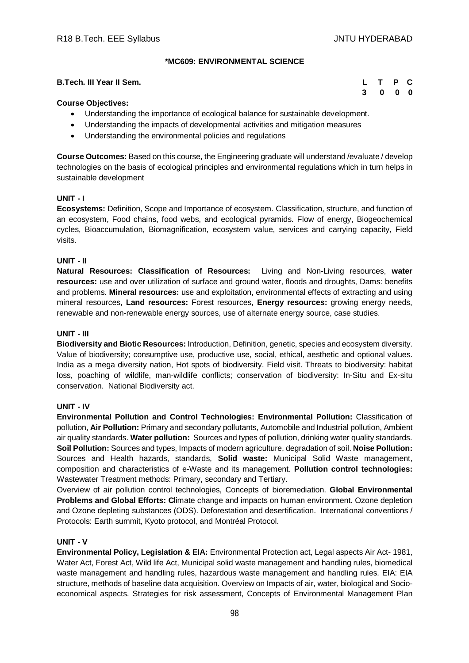### **\*MC609: ENVIRONMENTAL SCIENCE**

#### **B.Tech. III Year II Sem. L T P C**

**3 0 0 0**

#### **Course Objectives:**

- Understanding the importance of ecological balance for sustainable development.
- Understanding the impacts of developmental activities and mitigation measures
- Understanding the environmental policies and regulations

**Course Outcomes:** Based on this course, the Engineering graduate will understand /evaluate / develop technologies on the basis of ecological principles and environmental regulations which in turn helps in sustainable development

#### **UNIT - I**

**Ecosystems:** Definition, Scope and Importance of ecosystem. Classification, structure, and function of an ecosystem, Food chains, food webs, and ecological pyramids. Flow of energy, Biogeochemical cycles, Bioaccumulation, Biomagnification, ecosystem value, services and carrying capacity, Field visits.

#### **UNIT - II**

**Natural Resources: Classification of Resources:** Living and Non-Living resources, **water resources:** use and over utilization of surface and ground water, floods and droughts, Dams: benefits and problems. **Mineral resources:** use and exploitation, environmental effects of extracting and using mineral resources, **Land resources:** Forest resources, **Energy resources:** growing energy needs, renewable and non-renewable energy sources, use of alternate energy source, case studies.

#### **UNIT - III**

**Biodiversity and Biotic Resources:** Introduction, Definition, genetic, species and ecosystem diversity. Value of biodiversity; consumptive use, productive use, social, ethical, aesthetic and optional values. India as a mega diversity nation, Hot spots of biodiversity. Field visit. Threats to biodiversity: habitat loss, poaching of wildlife, man-wildlife conflicts; conservation of biodiversity: In-Situ and Ex-situ conservation. National Biodiversity act.

#### **UNIT - IV**

**Environmental Pollution and Control Technologies: Environmental Pollution:** Classification of pollution, **Air Pollution:** Primary and secondary pollutants, Automobile and Industrial pollution, Ambient air quality standards. **Water pollution:** Sources and types of pollution, drinking water quality standards. **Soil Pollution:** Sources and types, Impacts of modern agriculture, degradation of soil. **Noise Pollution:**  Sources and Health hazards, standards, **Solid waste:** Municipal Solid Waste management, composition and characteristics of e-Waste and its management. **Pollution control technologies:** Wastewater Treatment methods: Primary, secondary and Tertiary.

Overview of air pollution control technologies, Concepts of bioremediation. **Global Environmental Problems and Global Efforts: C**limate change and impacts on human environment. Ozone depletion and Ozone depleting substances (ODS). Deforestation and desertification. International conventions / Protocols: Earth summit, Kyoto protocol, and Montréal Protocol.

#### **UNIT - V**

**Environmental Policy, Legislation & EIA:** Environmental Protection act, Legal aspects Air Act- 1981, Water Act, Forest Act, Wild life Act, Municipal solid waste management and handling rules, biomedical waste management and handling rules, hazardous waste management and handling rules. EIA: EIA structure, methods of baseline data acquisition. Overview on Impacts of air, water, biological and Socioeconomical aspects. Strategies for risk assessment, Concepts of Environmental Management Plan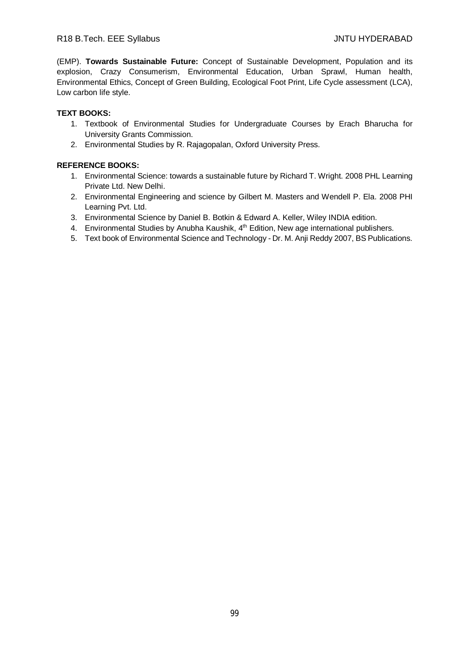(EMP). **Towards Sustainable Future:** Concept of Sustainable Development, Population and its explosion, Crazy Consumerism, Environmental Education, Urban Sprawl, Human health, Environmental Ethics, Concept of Green Building, Ecological Foot Print, Life Cycle assessment (LCA), Low carbon life style.

# **TEXT BOOKS:**

- 1. Textbook of Environmental Studies for Undergraduate Courses by Erach Bharucha for University Grants Commission.
- 2. Environmental Studies by R. Rajagopalan, Oxford University Press.

- 1. Environmental Science: towards a sustainable future by Richard T. Wright. 2008 PHL Learning Private Ltd. New Delhi.
- 2. Environmental Engineering and science by Gilbert M. Masters and Wendell P. Ela. 2008 PHI Learning Pvt. Ltd.
- 3. Environmental Science by Daniel B. Botkin & Edward A. Keller, Wiley INDIA edition.
- 4. Environmental Studies by Anubha Kaushik, 4<sup>th</sup> Edition, New age international publishers.
- 5. Text book of Environmental Science and Technology Dr. M. Anji Reddy 2007, BS Publications.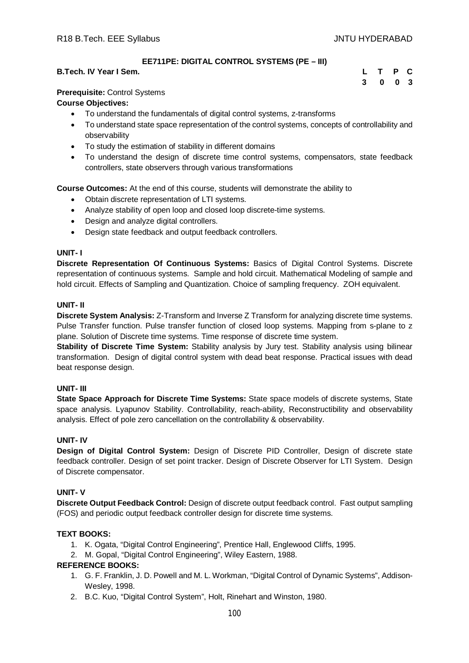## **EE711PE: DIGITAL CONTROL SYSTEMS (PE – III)**

#### **B.Tech. IV Year I Sem.**

| L | $\mathbf{T}$ | P | $\mathbf{C}$ |
|---|--------------|---|--------------|
| 3 | 0            | 0 | - 3          |

#### **Prerequisite:** Control Systems

#### **Course Objectives:**

- To understand the fundamentals of digital control systems, z-transforms
- To understand state space representation of the control systems, concepts of controllability and observability
- To study the estimation of stability in different domains
- To understand the design of discrete time control systems, compensators, state feedback controllers, state observers through various transformations

**Course Outcomes:** At the end of this course, students will demonstrate the ability to

- Obtain discrete representation of LTI systems.
- Analyze stability of open loop and closed loop discrete-time systems.
- Design and analyze digital controllers.
- Design state feedback and output feedback controllers.

#### **UNIT- I**

**Discrete Representation Of Continuous Systems:** Basics of Digital Control Systems. Discrete representation of continuous systems. Sample and hold circuit. Mathematical Modeling of sample and hold circuit. Effects of Sampling and Quantization. Choice of sampling frequency. ZOH equivalent.

#### **UNIT- II**

**Discrete System Analysis:** Z-Transform and Inverse Z Transform for analyzing discrete time systems. Pulse Transfer function. Pulse transfer function of closed loop systems. Mapping from s-plane to z plane. Solution of Discrete time systems. Time response of discrete time system.

**Stability of Discrete Time System:** Stability analysis by Jury test. Stability analysis using bilinear transformation. Design of digital control system with dead beat response. Practical issues with dead beat response design.

#### **UNIT- III**

**State Space Approach for Discrete Time Systems:** State space models of discrete systems, State space analysis. Lyapunov Stability. Controllability, reach-ability, Reconstructibility and observability analysis. Effect of pole zero cancellation on the controllability & observability.

#### **UNIT- IV**

**Design of Digital Control System:** Design of Discrete PID Controller, Design of discrete state feedback controller. Design of set point tracker. Design of Discrete Observer for LTI System. Design of Discrete compensator.

#### **UNIT- V**

**Discrete Output Feedback Control:** Design of discrete output feedback control. Fast output sampling (FOS) and periodic output feedback controller design for discrete time systems.

## **TEXT BOOKS:**

- 1. K. Ogata, "Digital Control Engineering", Prentice Hall, Englewood Cliffs, 1995.
- 2. M. Gopal, "Digital Control Engineering", Wiley Eastern, 1988.

- 1. G. F. Franklin, J. D. Powell and M. L. Workman, "Digital Control of Dynamic Systems", Addison-Wesley, 1998.
- 2. B.C. Kuo, "Digital Control System", Holt, Rinehart and Winston, 1980.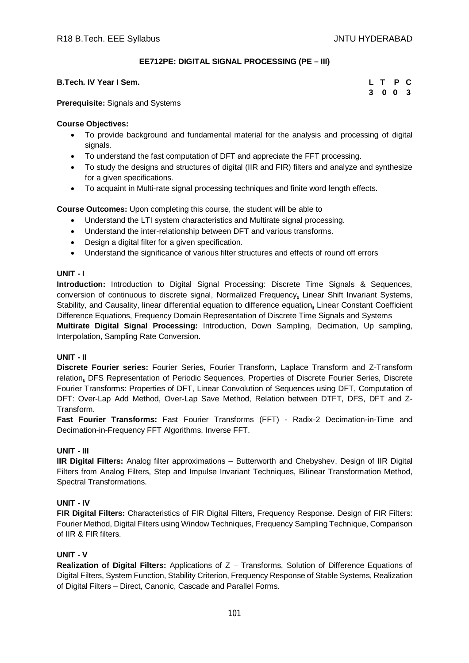# **EE712PE: DIGITAL SIGNAL PROCESSING (PE – III)**

### **B.Tech. IV Year I Sem.**

| L T P C |  |
|---------|--|
| 3 0 0 3 |  |

**Prerequisite:** Signals and Systems

### **Course Objectives:**

- To provide background and fundamental material for the analysis and processing of digital signals.
- To understand the fast computation of DFT and appreciate the FFT processing.
- To study the designs and structures of digital (IIR and FIR) filters and analyze and synthesize for a given specifications.
- To acquaint in Multi-rate signal processing techniques and finite word length effects.

**Course Outcomes:** Upon completing this course, the student will be able to

- Understand the LTI system characteristics and Multirate signal processing.
- Understand the inter-relationship between DFT and various transforms.
- Design a digital filter for a given specification.
- Understand the significance of various filter structures and effects of round off errors

## **UNIT - I**

**Introduction:** Introduction to Digital Signal Processing: Discrete Time Signals & Sequences, conversion of continuous to discrete signal, Normalized Frequency**,** Linear Shift Invariant Systems, Stability, and Causality, linear differential equation to difference equation**,** Linear Constant Coefficient Difference Equations, Frequency Domain Representation of Discrete Time Signals and Systems

**Multirate Digital Signal Processing:** Introduction, Down Sampling, Decimation, Up sampling, Interpolation, Sampling Rate Conversion.

# **UNIT - II**

**Discrete Fourier series:** Fourier Series, Fourier Transform, Laplace Transform and Z-Transform relation**,** DFS Representation of Periodic Sequences, Properties of Discrete Fourier Series, Discrete Fourier Transforms: Properties of DFT, Linear Convolution of Sequences using DFT, Computation of DFT: Over-Lap Add Method, Over-Lap Save Method, Relation between DTFT, DFS, DFT and Z-Transform.

**Fast Fourier Transforms:** Fast Fourier Transforms (FFT) - Radix-2 Decimation-in-Time and Decimation-in-Frequency FFT Algorithms, Inverse FFT.

#### **UNIT - III**

**IIR Digital Filters:** Analog filter approximations – Butterworth and Chebyshev, Design of IIR Digital Filters from Analog Filters, Step and Impulse Invariant Techniques, Bilinear Transformation Method, Spectral Transformations.

# **UNIT - IV**

**FIR Digital Filters:** Characteristics of FIR Digital Filters, Frequency Response. Design of FIR Filters: Fourier Method, Digital Filters using Window Techniques, Frequency Sampling Technique, Comparison of IIR & FIR filters.

# **UNIT - V**

**Realization of Digital Filters:** Applications of Z – Transforms, Solution of Difference Equations of Digital Filters, System Function, Stability Criterion, Frequency Response of Stable Systems, Realization of Digital Filters – Direct, Canonic, Cascade and Parallel Forms.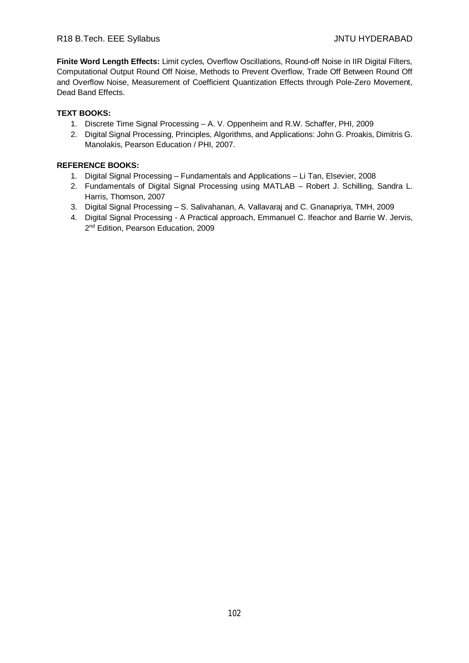**Finite Word Length Effects:** Limit cycles, Overflow Oscillations, Round-off Noise in IIR Digital Filters, Computational Output Round Off Noise, Methods to Prevent Overflow, Trade Off Between Round Off and Overflow Noise, Measurement of Coefficient Quantization Effects through Pole-Zero Movement, Dead Band Effects.

# **TEXT BOOKS:**

- 1. Discrete Time Signal Processing A. V. Oppenheim and R.W. Schaffer, PHI, 2009
- 2. Digital Signal Processing, Principles, Algorithms, and Applications: John G. Proakis, Dimitris G. Manolakis, Pearson Education / PHI, 2007.

- 1. Digital Signal Processing Fundamentals and Applications Li Tan, Elsevier, 2008
- 2. Fundamentals of Digital Signal Processing using MATLAB Robert J. Schilling, Sandra L. Harris, Thomson, 2007
- 3. Digital Signal Processing S. Salivahanan, A. Vallavaraj and C. Gnanapriya, TMH, 2009
- 4. Digital Signal Processing A Practical approach, Emmanuel C. Ifeachor and Barrie W. Jervis, 2<sup>nd</sup> Edition, Pearson Education, 2009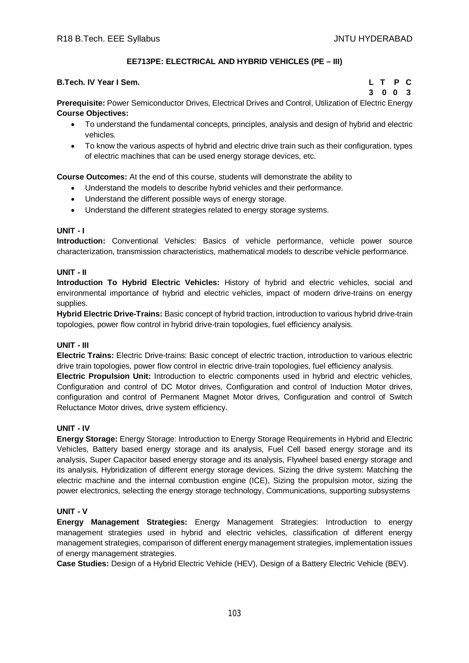# **EE713PE: ELECTRICAL AND HYBRID VEHICLES (PE – III)**

#### **B.Tech. IV Year I Sem. L T P C**

**3 0 0 3**

**Prerequisite:** Power Semiconductor Drives, Electrical Drives and Control, Utilization of Electric Energy **Course Objectives:** 

- To understand the fundamental concepts, principles, analysis and design of hybrid and electric vehicles.
- To know the various aspects of hybrid and electric drive train such as their configuration, types of electric machines that can be used energy storage devices, etc.

**Course Outcomes:** At the end of this course, students will demonstrate the ability to

- Understand the models to describe hybrid vehicles and their performance.
- Understand the different possible ways of energy storage.
- Understand the different strategies related to energy storage systems.

#### **UNIT - I**

**Introduction:** Conventional Vehicles: Basics of vehicle performance, vehicle power source characterization, transmission characteristics, mathematical models to describe vehicle performance.

#### **UNIT - II**

**Introduction To Hybrid Electric Vehicles:** History of hybrid and electric vehicles, social and environmental importance of hybrid and electric vehicles, impact of modern drive-trains on energy supplies.

**Hybrid Electric Drive-Trains:** Basic concept of hybrid traction, introduction to various hybrid drive-train topologies, power flow control in hybrid drive-train topologies, fuel efficiency analysis.

#### **UNIT - III**

**Electric Trains:** Electric Drive-trains: Basic concept of electric traction, introduction to various electric drive train topologies, power flow control in electric drive-train topologies, fuel efficiency analysis.

**Electric Propulsion Unit:** Introduction to electric components used in hybrid and electric vehicles, Configuration and control of DC Motor drives, Configuration and control of Induction Motor drives, configuration and control of Permanent Magnet Motor drives, Configuration and control of Switch Reluctance Motor drives, drive system efficiency.

#### **UNIT - IV**

**Energy Storage:** Energy Storage: Introduction to Energy Storage Requirements in Hybrid and Electric Vehicles, Battery based energy storage and its analysis, Fuel Cell based energy storage and its analysis, Super Capacitor based energy storage and its analysis, Flywheel based energy storage and its analysis, Hybridization of different energy storage devices. Sizing the drive system: Matching the electric machine and the internal combustion engine (ICE), Sizing the propulsion motor, sizing the power electronics, selecting the energy storage technology, Communications, supporting subsystems

#### **UNIT - V**

**Energy Management Strategies:** Energy Management Strategies: Introduction to energy management strategies used in hybrid and electric vehicles, classification of different energy management strategies, comparison of different energy management strategies, implementation issues of energy management strategies.

**Case Studies:** Design of a Hybrid Electric Vehicle (HEV), Design of a Battery Electric Vehicle (BEV).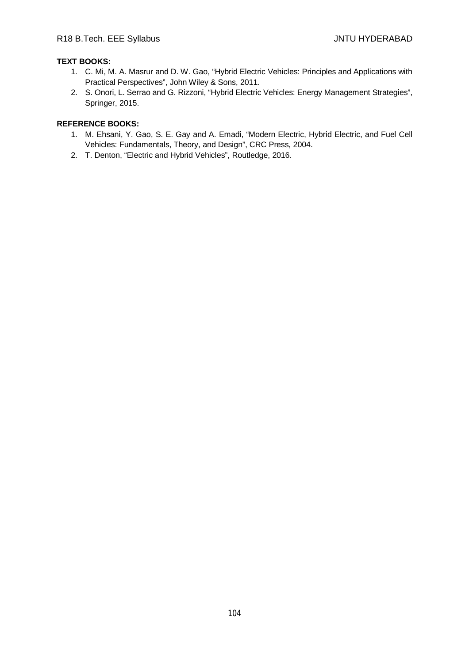# **TEXT BOOKS:**

- 1. C. Mi, M. A. Masrur and D. W. Gao, "Hybrid Electric Vehicles: Principles and Applications with Practical Perspectives", John Wiley & Sons, 2011.
- 2. S. Onori, L. Serrao and G. Rizzoni, "Hybrid Electric Vehicles: Energy Management Strategies", Springer, 2015.

- 1. M. Ehsani, Y. Gao, S. E. Gay and A. Emadi, "Modern Electric, Hybrid Electric, and Fuel Cell Vehicles: Fundamentals, Theory, and Design", CRC Press, 2004.
- 2. T. Denton, "Electric and Hybrid Vehicles", Routledge, 2016.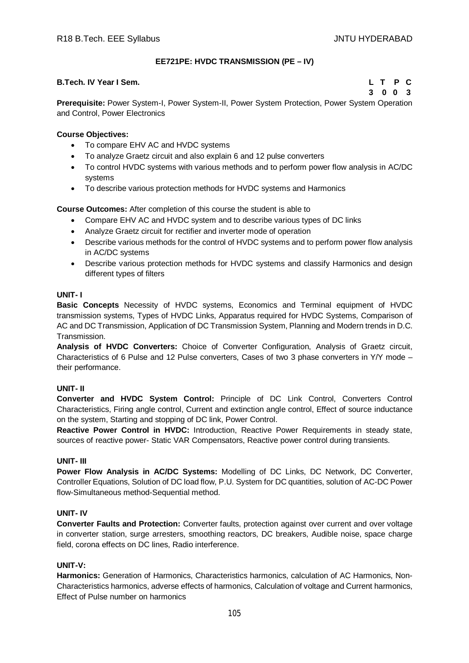# **EE721PE: HVDC TRANSMISSION (PE – IV)**

### **B.Tech. IV Year I Sem. L T P C**

**3 0 0 3**

**Prerequisite:** Power System-I, Power System-II, Power System Protection, Power System Operation and Control, Power Electronics

## **Course Objectives:**

- To compare EHV AC and HVDC systems
- To analyze Graetz circuit and also explain 6 and 12 pulse converters
- To control HVDC systems with various methods and to perform power flow analysis in AC/DC systems
- To describe various protection methods for HVDC systems and Harmonics

**Course Outcomes:** After completion of this course the student is able to

- Compare EHV AC and HVDC system and to describe various types of DC links
- Analyze Graetz circuit for rectifier and inverter mode of operation
- Describe various methods for the control of HVDC systems and to perform power flow analysis in AC/DC systems
- Describe various protection methods for HVDC systems and classify Harmonics and design different types of filters

#### **UNIT- I**

**Basic Concepts** Necessity of HVDC systems, Economics and Terminal equipment of HVDC transmission systems, Types of HVDC Links, Apparatus required for HVDC Systems, Comparison of AC and DC Transmission, Application of DC Transmission System, Planning and Modern trends in D.C. Transmission.

**Analysis of HVDC Converters:** Choice of Converter Configuration, Analysis of Graetz circuit, Characteristics of 6 Pulse and 12 Pulse converters, Cases of two 3 phase converters in Y/Y mode – their performance.

# **UNIT- II**

**Converter and HVDC System Control:** Principle of DC Link Control, Converters Control Characteristics, Firing angle control, Current and extinction angle control, Effect of source inductance on the system, Starting and stopping of DC link, Power Control.

**Reactive Power Control in HVDC:** Introduction, Reactive Power Requirements in steady state, sources of reactive power- Static VAR Compensators, Reactive power control during transients.

#### **UNIT- III**

**Power Flow Analysis in AC/DC Systems:** Modelling of DC Links, DC Network, DC Converter, Controller Equations, Solution of DC load flow, P.U. System for DC quantities, solution of AC-DC Power flow-Simultaneous method-Sequential method.

## **UNIT- IV**

**Converter Faults and Protection:** Converter faults, protection against over current and over voltage in converter station, surge arresters, smoothing reactors, DC breakers, Audible noise, space charge field, corona effects on DC lines, Radio interference.

### **UNIT-V:**

**Harmonics:** Generation of Harmonics, Characteristics harmonics, calculation of AC Harmonics, Non-Characteristics harmonics, adverse effects of harmonics, Calculation of voltage and Current harmonics, Effect of Pulse number on harmonics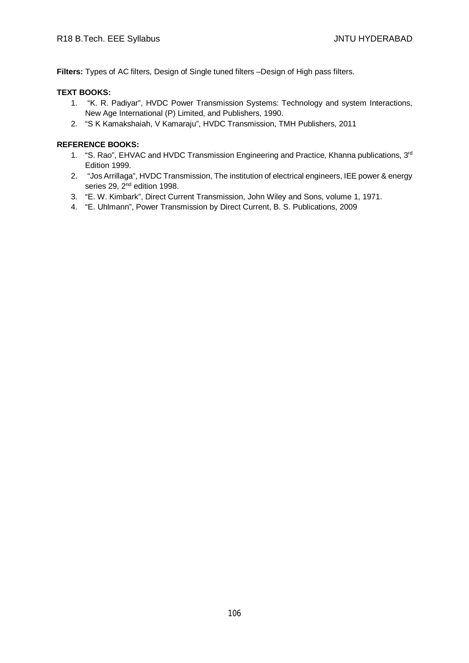**Filters:** Types of AC filters, Design of Single tuned filters –Design of High pass filters.

### **TEXT BOOKS:**

- 1. "K. R. Padiyar", HVDC Power Transmission Systems: Technology and system Interactions, New Age International (P) Limited, and Publishers, 1990.
- 2. "S K Kamakshaiah, V Kamaraju", HVDC Transmission, TMH Publishers, 2011

- 1. "S. Rao", EHVAC and HVDC Transmission Engineering and Practice, Khanna publications, 3<sup>rd</sup> Edition 1999.
- 2. "Jos Arrillaga", HVDC Transmission, The institution of electrical engineers, IEE power & energy series 29, 2<sup>nd</sup> edition 1998.
- 3. "E. W. Kimbark", Direct Current Transmission, John Wiley and Sons, volume 1, 1971.
- 4. "E. Uhlmann", Power Transmission by Direct Current, B. S. Publications, 2009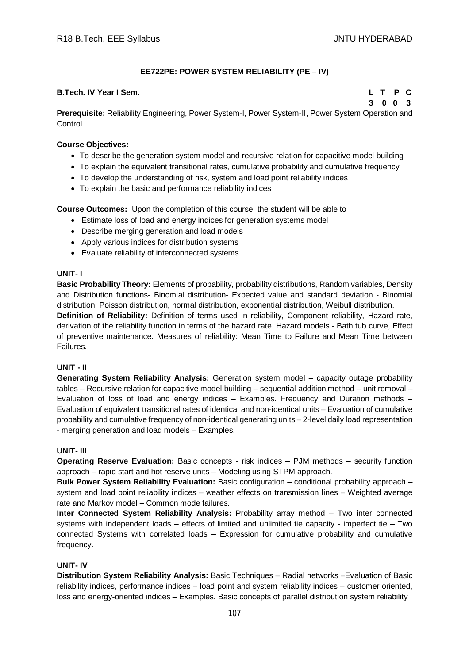# **EE722PE: POWER SYSTEM RELIABILITY (PE – IV)**

### **B.Tech. IV Year I Sem. L T P C**

**3 0 0 3**

**Prerequisite:** Reliability Engineering, Power System-I, Power System-II, Power System Operation and **Control** 

### **Course Objectives:**

- To describe the generation system model and recursive relation for capacitive model building
- To explain the equivalent transitional rates, cumulative probability and cumulative frequency
- To develop the understanding of risk, system and load point reliability indices
- To explain the basic and performance reliability indices

**Course Outcomes:** Upon the completion of this course, the student will be able to

- Estimate loss of load and energy indices for generation systems model
- Describe merging generation and load models
- Apply various indices for distribution systems
- Evaluate reliability of interconnected systems

## **UNIT- I**

**Basic Probability Theory:** Elements of probability, probability distributions, Random variables, Density and Distribution functions- Binomial distribution- Expected value and standard deviation - Binomial distribution, Poisson distribution, normal distribution, exponential distribution, Weibull distribution.

**Definition of Reliability:** Definition of terms used in reliability, Component reliability, Hazard rate, derivation of the reliability function in terms of the hazard rate. Hazard models - Bath tub curve, Effect of preventive maintenance. Measures of reliability: Mean Time to Failure and Mean Time between Failures.

#### **UNIT - II**

**Generating System Reliability Analysis:** Generation system model – capacity outage probability tables – Recursive relation for capacitive model building – sequential addition method – unit removal – Evaluation of loss of load and energy indices – Examples. Frequency and Duration methods – Evaluation of equivalent transitional rates of identical and non-identical units – Evaluation of cumulative probability and cumulative frequency of non-identical generating units – 2-level daily load representation - merging generation and load models – Examples.

#### **UNIT- III**

**Operating Reserve Evaluation:** Basic concepts - risk indices – PJM methods – security function approach – rapid start and hot reserve units – Modeling using STPM approach.

**Bulk Power System Reliability Evaluation:** Basic configuration – conditional probability approach – system and load point reliability indices – weather effects on transmission lines – Weighted average rate and Markov model – Common mode failures.

**Inter Connected System Reliability Analysis:** Probability array method – Two inter connected systems with independent loads – effects of limited and unlimited tie capacity - imperfect tie – Two connected Systems with correlated loads – Expression for cumulative probability and cumulative frequency.

#### **UNIT- IV**

**Distribution System Reliability Analysis:** Basic Techniques – Radial networks –Evaluation of Basic reliability indices, performance indices – load point and system reliability indices – customer oriented, loss and energy-oriented indices – Examples. Basic concepts of parallel distribution system reliability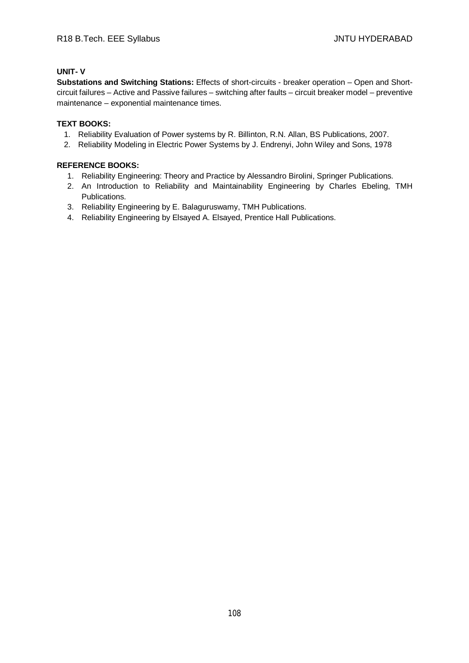## **UNIT- V**

**Substations and Switching Stations:** Effects of short-circuits - breaker operation – Open and Shortcircuit failures – Active and Passive failures – switching after faults – circuit breaker model – preventive maintenance – exponential maintenance times.

# **TEXT BOOKS:**

- 1. Reliability Evaluation of Power systems by R. Billinton, R.N. Allan, BS Publications, 2007.
- 2. Reliability Modeling in Electric Power Systems by J. Endrenyi, John Wiley and Sons, 1978

- 1. Reliability Engineering: Theory and Practice by Alessandro Birolini, Springer Publications.
- 2. An Introduction to Reliability and Maintainability Engineering by Charles Ebeling, TMH Publications.
- 3. Reliability Engineering by E. Balaguruswamy, TMH Publications.
- 4. Reliability Engineering by Elsayed A. Elsayed, Prentice Hall Publications.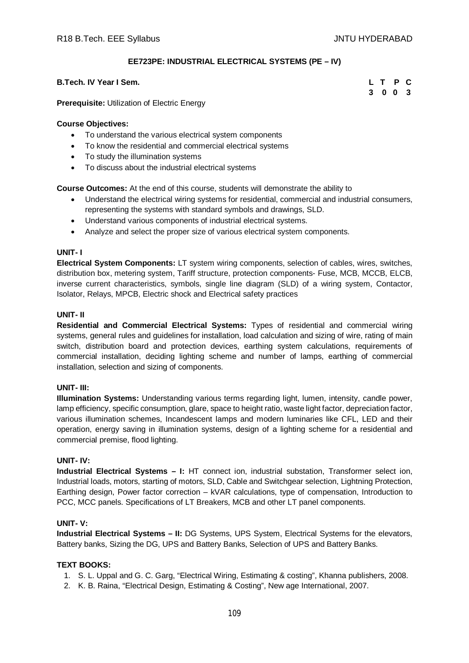## **EE723PE: INDUSTRIAL ELECTRICAL SYSTEMS (PE – IV)**

## **B.Tech. IV Year I Sem. L T P C**

**3 0 0 3**

**Prerequisite:** Utilization of Electric Energy

#### **Course Objectives:**

- To understand the various electrical system components
- To know the residential and commercial electrical systems
- To study the illumination systems
- To discuss about the industrial electrical systems

**Course Outcomes:** At the end of this course, students will demonstrate the ability to

- Understand the electrical wiring systems for residential, commercial and industrial consumers, representing the systems with standard symbols and drawings, SLD.
- Understand various components of industrial electrical systems.
- Analyze and select the proper size of various electrical system components.

#### **UNIT- I**

**Electrical System Components:** LT system wiring components, selection of cables, wires, switches, distribution box, metering system, Tariff structure, protection components- Fuse, MCB, MCCB, ELCB, inverse current characteristics, symbols, single line diagram (SLD) of a wiring system, Contactor, Isolator, Relays, MPCB, Electric shock and Electrical safety practices

### **UNIT- II**

**Residential and Commercial Electrical Systems:** Types of residential and commercial wiring systems, general rules and guidelines for installation, load calculation and sizing of wire, rating of main switch, distribution board and protection devices, earthing system calculations, requirements of commercial installation, deciding lighting scheme and number of lamps, earthing of commercial installation, selection and sizing of components.

#### **UNIT- III:**

**Illumination Systems:** Understanding various terms regarding light, lumen, intensity, candle power, lamp efficiency, specific consumption, glare, space to height ratio, waste light factor, depreciation factor, various illumination schemes, Incandescent lamps and modern luminaries like CFL, LED and their operation, energy saving in illumination systems, design of a lighting scheme for a residential and commercial premise, flood lighting.

## **UNIT- IV:**

**Industrial Electrical Systems – I:** HT connect ion, industrial substation, Transformer select ion, Industrial loads, motors, starting of motors, SLD, Cable and Switchgear selection, Lightning Protection, Earthing design, Power factor correction – kVAR calculations, type of compensation, Introduction to PCC, MCC panels. Specifications of LT Breakers, MCB and other LT panel components.

### **UNIT- V:**

**Industrial Electrical Systems – II:** DG Systems, UPS System, Electrical Systems for the elevators, Battery banks, Sizing the DG, UPS and Battery Banks, Selection of UPS and Battery Banks.

### **TEXT BOOKS:**

- 1. S. L. Uppal and G. C. Garg, "Electrical Wiring, Estimating & costing", Khanna publishers, 2008.
- 2. K. B. Raina, "Electrical Design, Estimating & Costing", New age International, 2007.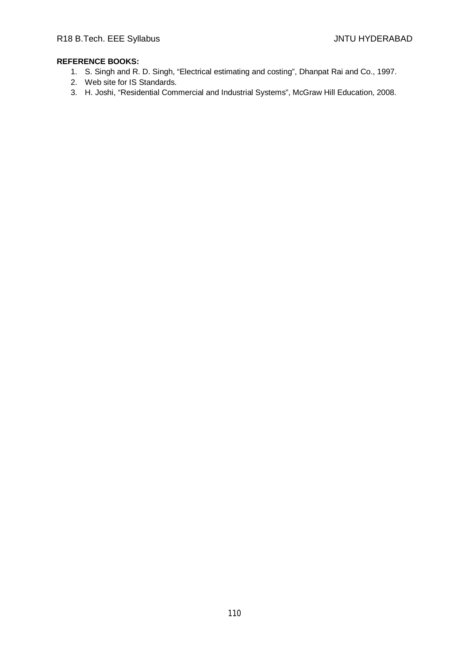- 1. S. Singh and R. D. Singh, "Electrical estimating and costing", Dhanpat Rai and Co., 1997.
- 2. Web site for IS Standards.
- 3. H. Joshi, "Residential Commercial and Industrial Systems", McGraw Hill Education, 2008.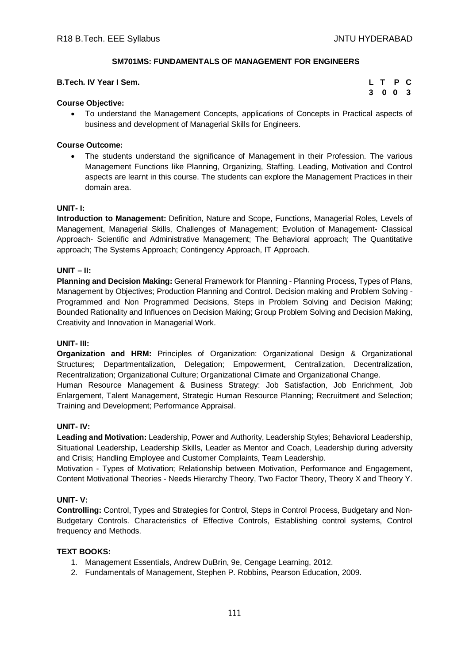## **SM701MS: FUNDAMENTALS OF MANAGEMENT FOR ENGINEERS**

## **B.Tech. IV Year I Sem.**

| $\mathsf{L}$ | $\mathsf{T}$ | P | C   |
|--------------|--------------|---|-----|
| 3            | $0\quad 0$   |   | - 3 |

## **Course Objective:**

 To understand the Management Concepts, applications of Concepts in Practical aspects of business and development of Managerial Skills for Engineers.

## **Course Outcome:**

• The students understand the significance of Management in their Profession. The various Management Functions like Planning, Organizing, Staffing, Leading, Motivation and Control aspects are learnt in this course. The students can explore the Management Practices in their domain area.

#### **UNIT- I:**

**Introduction to Management:** Definition, Nature and Scope, Functions, Managerial Roles, Levels of Management, Managerial Skills, Challenges of Management; Evolution of Management- Classical Approach- Scientific and Administrative Management; The Behavioral approach; The Quantitative approach; The Systems Approach; Contingency Approach, IT Approach.

### **UNIT – II:**

**Planning and Decision Making:** General Framework for Planning - Planning Process, Types of Plans, Management by Objectives; Production Planning and Control. Decision making and Problem Solving - Programmed and Non Programmed Decisions, Steps in Problem Solving and Decision Making; Bounded Rationality and Influences on Decision Making; Group Problem Solving and Decision Making, Creativity and Innovation in Managerial Work.

#### **UNIT- III:**

**Organization and HRM:** Principles of Organization: Organizational Design & Organizational Structures; Departmentalization, Delegation; Empowerment, Centralization, Decentralization, Recentralization; Organizational Culture; Organizational Climate and Organizational Change. Human Resource Management & Business Strategy: Job Satisfaction, Job Enrichment, Job

Enlargement, Talent Management, Strategic Human Resource Planning; Recruitment and Selection; Training and Development; Performance Appraisal.

## **UNIT- IV:**

**Leading and Motivation:** Leadership, Power and Authority, Leadership Styles; Behavioral Leadership, Situational Leadership, Leadership Skills, Leader as Mentor and Coach, Leadership during adversity and Crisis; Handling Employee and Customer Complaints, Team Leadership.

Motivation - Types of Motivation; Relationship between Motivation, Performance and Engagement, Content Motivational Theories - Needs Hierarchy Theory, Two Factor Theory, Theory X and Theory Y.

## **UNIT- V:**

**Controlling:** Control, Types and Strategies for Control, Steps in Control Process, Budgetary and Non-Budgetary Controls. Characteristics of Effective Controls, Establishing control systems, Control frequency and Methods.

#### **TEXT BOOKS:**

- 1. Management Essentials, Andrew DuBrin, 9e, Cengage Learning, 2012.
- 2. Fundamentals of Management, Stephen P. Robbins, Pearson Education, 2009.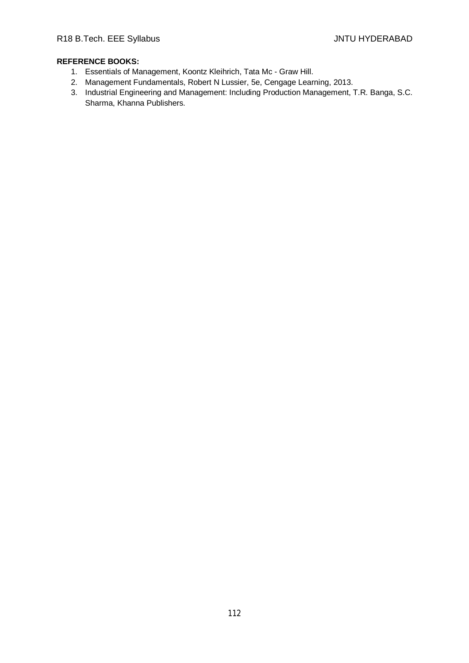- 1. Essentials of Management, Koontz Kleihrich, Tata Mc Graw Hill.
- 2. Management Fundamentals, Robert N Lussier, 5e, Cengage Learning, 2013.
- 3. Industrial Engineering and Management: Including Production Management, T.R. Banga, S.C. Sharma, Khanna Publishers.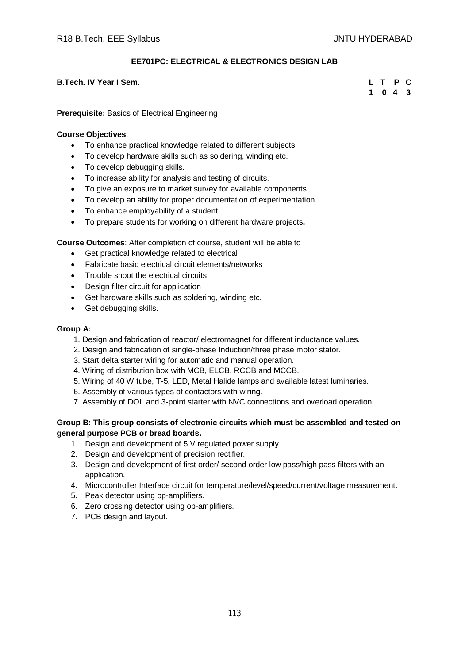# **EE701PC: ELECTRICAL & ELECTRONICS DESIGN LAB**

## **B.Tech. IV Year I Sem. L T P C**

**1 0 4 3**

## **Prerequisite:** Basics of Electrical Engineering

## **Course Objectives**:

- To enhance practical knowledge related to different subjects
- To develop hardware skills such as soldering, winding etc.
- To develop debugging skills.
- To increase ability for analysis and testing of circuits.
- To give an exposure to market survey for available components
- To develop an ability for proper documentation of experimentation.
- To enhance employability of a student.
- To prepare students for working on different hardware projects**.**

**Course Outcomes**: After completion of course, student will be able to

- Get practical knowledge related to electrical
- Fabricate basic electrical circuit elements/networks
- Trouble shoot the electrical circuits
- Design filter circuit for application
- Get hardware skills such as soldering, winding etc.
- Get debugging skills.

#### **Group A:**

- 1. Design and fabrication of reactor/ electromagnet for different inductance values.
- 2. Design and fabrication of single-phase Induction/three phase motor stator.
- 3. Start delta starter wiring for automatic and manual operation.
- 4. Wiring of distribution box with MCB, ELCB, RCCB and MCCB.
- 5. Wiring of 40 W tube, T-5, LED, Metal Halide lamps and available latest luminaries.
- 6. Assembly of various types of contactors with wiring.
- 7. Assembly of DOL and 3-point starter with NVC connections and overload operation.

## **Group B: This group consists of electronic circuits which must be assembled and tested on general purpose PCB or bread boards.**

- 1. Design and development of 5 V regulated power supply.
- 2. Design and development of precision rectifier.
- 3. Design and development of first order/ second order low pass/high pass filters with an application.
- 4. Microcontroller Interface circuit for temperature/level/speed/current/voltage measurement.
- 5. Peak detector using op-amplifiers.
- 6. Zero crossing detector using op-amplifiers.
- 7. PCB design and layout.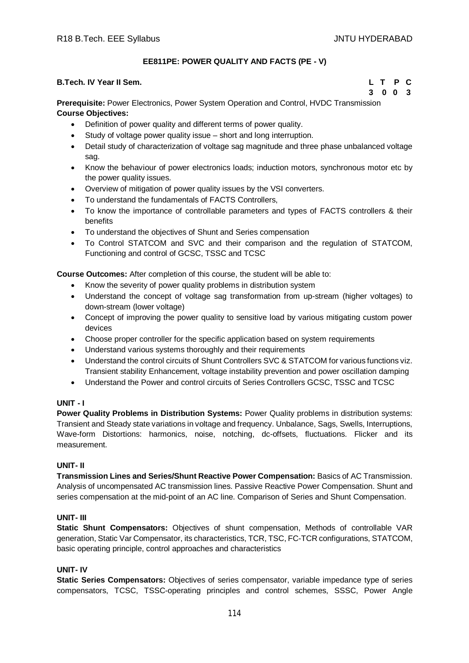# **EE811PE: POWER QUALITY AND FACTS (PE - V)**

## **B.Tech. IV Year II Sem. L T P C**

**3 0 0 3**

**Prerequisite:** Power Electronics, Power System Operation and Control, HVDC Transmission **Course Objectives:**

- Definition of power quality and different terms of power quality.
- Study of voltage power quality issue short and long interruption.
- Detail study of characterization of voltage sag magnitude and three phase unbalanced voltage sag.
- Know the behaviour of power electronics loads; induction motors, synchronous motor etc by the power quality issues.
- Overview of mitigation of power quality issues by the VSI converters.
- To understand the fundamentals of FACTS Controllers,
- To know the importance of controllable parameters and types of FACTS controllers & their benefits
- To understand the objectives of Shunt and Series compensation
- To Control STATCOM and SVC and their comparison and the regulation of STATCOM, Functioning and control of GCSC, TSSC and TCSC

**Course Outcomes:** After completion of this course, the student will be able to:

- Know the severity of power quality problems in distribution system
- Understand the concept of voltage sag transformation from up-stream (higher voltages) to down-stream (lower voltage)
- Concept of improving the power quality to sensitive load by various mitigating custom power devices
- Choose proper controller for the specific application based on system requirements
- Understand various systems thoroughly and their requirements
- Understand the control circuits of Shunt Controllers SVC & STATCOM for various functions viz. Transient stability Enhancement, voltage instability prevention and power oscillation damping
- Understand the Power and control circuits of Series Controllers GCSC, TSSC and TCSC

## **UNIT - I**

**Power Quality Problems in Distribution Systems:** Power Quality problems in distribution systems: Transient and Steady state variations in voltage and frequency. Unbalance, Sags, Swells, Interruptions, Wave-form Distortions: harmonics, noise, notching, dc-offsets, fluctuations. Flicker and its measurement.

## **UNIT- II**

**Transmission Lines and Series/Shunt Reactive Power Compensation:** Basics of AC Transmission. Analysis of uncompensated AC transmission lines. Passive Reactive Power Compensation. Shunt and series compensation at the mid-point of an AC line. Comparison of Series and Shunt Compensation.

## **UNIT- III**

**Static Shunt Compensators:** Objectives of shunt compensation, Methods of controllable VAR generation, Static Var Compensator, its characteristics, TCR, TSC, FC-TCR configurations, STATCOM, basic operating principle, control approaches and characteristics

## **UNIT- IV**

**Static Series Compensators:** Objectives of series compensator, variable impedance type of series compensators, TCSC, TSSC-operating principles and control schemes, SSSC, Power Angle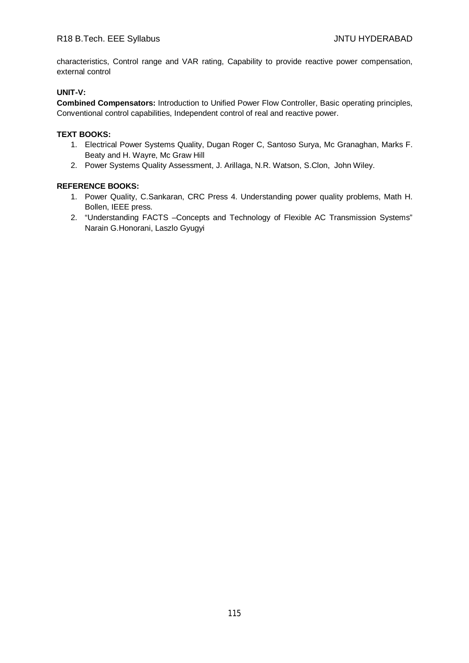characteristics, Control range and VAR rating, Capability to provide reactive power compensation, external control

# **UNIT-V:**

**Combined Compensators:** Introduction to Unified Power Flow Controller, Basic operating principles, Conventional control capabilities, Independent control of real and reactive power.

## **TEXT BOOKS:**

- 1. Electrical Power Systems Quality, Dugan Roger C, Santoso Surya, Mc Granaghan, Marks F. Beaty and H. Wayre, Mc Graw Hill
- 2. Power Systems Quality Assessment, J. Arillaga, N.R. Watson, S.Clon, John Wiley.

- 1. Power Quality, C.Sankaran, CRC Press 4. Understanding power quality problems, Math H. Bollen, IEEE press.
- 2. "Understanding FACTS –Concepts and Technology of Flexible AC Transmission Systems" Narain G.Honorani, Laszlo Gyugyi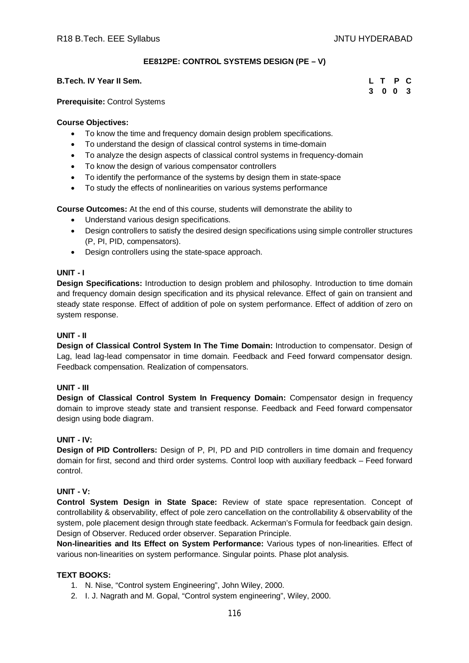## **EE812PE: CONTROL SYSTEMS DESIGN (PE – V)**

### **B.Tech. IV Year II Sem.**

#### **Prerequisite:** Control Systems

#### **Course Objectives:**

- To know the time and frequency domain design problem specifications.
- To understand the design of classical control systems in time-domain
- To analyze the design aspects of classical control systems in frequency-domain
- To know the design of various compensator controllers
- To identify the performance of the systems by design them in state-space
- To study the effects of nonlinearities on various systems performance

**Course Outcomes:** At the end of this course, students will demonstrate the ability to

- Understand various design specifications.
- Design controllers to satisfy the desired design specifications using simple controller structures (P, PI, PID, compensators).
- Design controllers using the state-space approach.

## **UNIT - I**

**Design Specifications:** Introduction to design problem and philosophy. Introduction to time domain and frequency domain design specification and its physical relevance. Effect of gain on transient and steady state response. Effect of addition of pole on system performance. Effect of addition of zero on system response.

## **UNIT - II**

**Design of Classical Control System In The Time Domain:** Introduction to compensator. Design of Lag, lead lag-lead compensator in time domain. Feedback and Feed forward compensator design. Feedback compensation. Realization of compensators.

#### **UNIT - III**

**Design of Classical Control System In Frequency Domain:** Compensator design in frequency domain to improve steady state and transient response. Feedback and Feed forward compensator design using bode diagram.

#### **UNIT - IV:**

**Design of PID Controllers:** Design of P, PI, PD and PID controllers in time domain and frequency domain for first, second and third order systems. Control loop with auxiliary feedback – Feed forward control.

### **UNIT - V:**

**Control System Design in State Space:** Review of state space representation. Concept of controllability & observability, effect of pole zero cancellation on the controllability & observability of the system, pole placement design through state feedback. Ackerman's Formula for feedback gain design. Design of Observer. Reduced order observer. Separation Principle.

**Non-linearities and Its Effect on System Performance:** Various types of non-linearities. Effect of various non-linearities on system performance. Singular points. Phase plot analysis.

### **TEXT BOOKS:**

- 1. N. Nise, "Control system Engineering", John Wiley, 2000.
- 2. I. J. Nagrath and M. Gopal, "Control system engineering", Wiley, 2000.

| L. | $\mathbf{T}$   | P | C   |
|----|----------------|---|-----|
| 3  | 0 <sub>0</sub> |   | - 3 |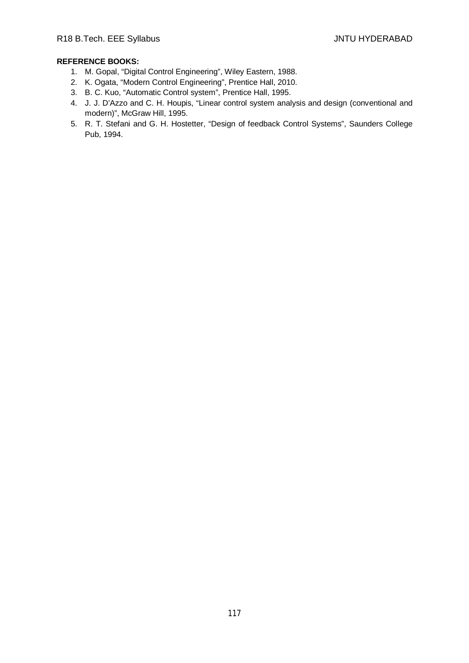- 1. M. Gopal, "Digital Control Engineering", Wiley Eastern, 1988.
- 2. K. Ogata, "Modern Control Engineering", Prentice Hall, 2010.
- 3. B. C. Kuo, "Automatic Control system", Prentice Hall, 1995.
- 4. J. J. D'Azzo and C. H. Houpis, "Linear control system analysis and design (conventional and modern)", McGraw Hill, 1995.
- 5. R. T. Stefani and G. H. Hostetter, "Design of feedback Control Systems", Saunders College Pub, 1994.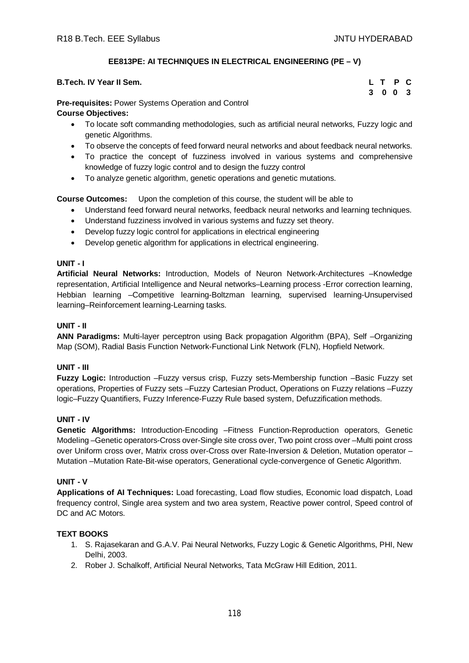# **EE813PE: AI TECHNIQUES IN ELECTRICAL ENGINEERING (PE – V)**

| B.Tech. IV Year II Sem.  |  |  |  |  |  |  | L T P C |  |
|--------------------------|--|--|--|--|--|--|---------|--|
| $\overline{\phantom{a}}$ |  |  |  |  |  |  | 3 0 0 3 |  |

## **Pre-requisites:** Power Systems Operation and Control

## **Course Objectives:**

- To locate soft commanding methodologies, such as artificial neural networks, Fuzzy logic and genetic Algorithms.
- To observe the concepts of feed forward neural networks and about feedback neural networks.
- To practice the concept of fuzziness involved in various systems and comprehensive knowledge of fuzzy logic control and to design the fuzzy control
- To analyze genetic algorithm, genetic operations and genetic mutations.

# **Course Outcomes:** Upon the completion of this course, the student will be able to

- Understand feed forward neural networks, feedback neural networks and learning techniques.
- Understand fuzziness involved in various systems and fuzzy set theory.
- Develop fuzzy logic control for applications in electrical engineering
- Develop genetic algorithm for applications in electrical engineering.

## **UNIT - I**

**Artificial Neural Networks:** Introduction, Models of Neuron Network-Architectures –Knowledge representation, Artificial Intelligence and Neural networks–Learning process -Error correction learning, Hebbian learning –Competitive learning-Boltzman learning, supervised learning-Unsupervised learning–Reinforcement learning-Learning tasks.

# **UNIT - II**

**ANN Paradigms:** Multi-layer perceptron using Back propagation Algorithm (BPA), Self –Organizing Map (SOM), Radial Basis Function Network-Functional Link Network (FLN), Hopfield Network.

## **UNIT - III**

**Fuzzy Logic:** Introduction –Fuzzy versus crisp, Fuzzy sets-Membership function –Basic Fuzzy set operations, Properties of Fuzzy sets –Fuzzy Cartesian Product, Operations on Fuzzy relations –Fuzzy logic–Fuzzy Quantifiers, Fuzzy Inference-Fuzzy Rule based system, Defuzzification methods.

## **UNIT - IV**

**Genetic Algorithms:** Introduction-Encoding –Fitness Function-Reproduction operators, Genetic Modeling –Genetic operators-Cross over-Single site cross over, Two point cross over –Multi point cross over Uniform cross over, Matrix cross over-Cross over Rate-Inversion & Deletion, Mutation operator – Mutation –Mutation Rate-Bit-wise operators, Generational cycle-convergence of Genetic Algorithm.

## **UNIT - V**

**Applications of AI Techniques:** Load forecasting, Load flow studies, Economic load dispatch, Load frequency control, Single area system and two area system, Reactive power control, Speed control of DC and AC Motors.

# **TEXT BOOKS**

- 1. S. Rajasekaran and G.A.V. Pai Neural Networks, Fuzzy Logic & Genetic Algorithms, PHI, New Delhi, 2003.
- 2. Rober J. Schalkoff, Artificial Neural Networks, Tata McGraw Hill Edition, 2011.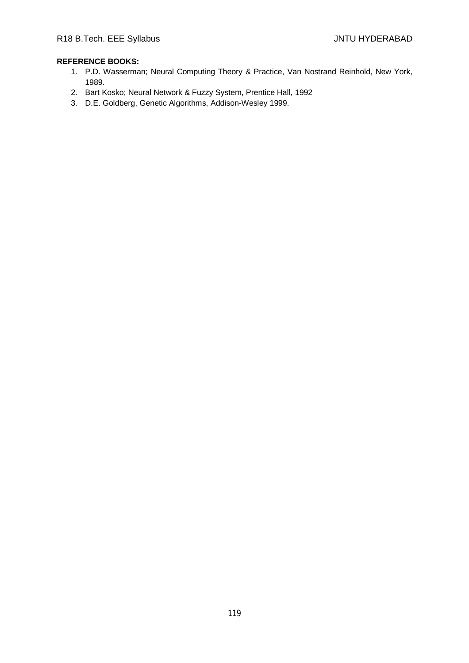- 1. P.D. Wasserman; Neural Computing Theory & Practice, Van Nostrand Reinhold, New York, 1989.
- 2. Bart Kosko; Neural Network & Fuzzy System, Prentice Hall, 1992
- 3. D.E. Goldberg, Genetic Algorithms, Addison-Wesley 1999.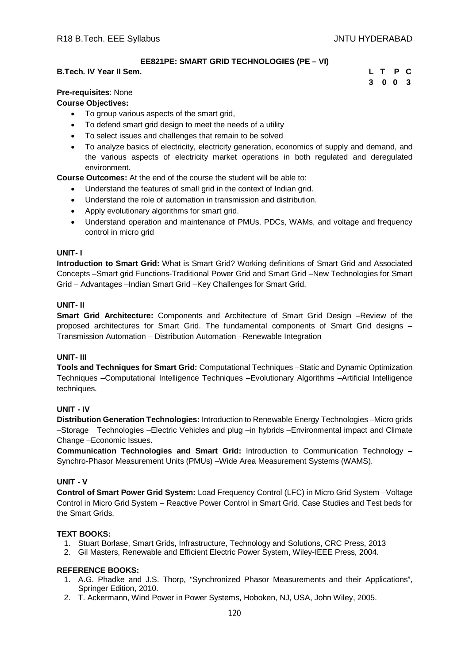## **EE821PE: SMART GRID TECHNOLOGIES (PE – VI)**

### **B.Tech. IV Year II Sem. L T P C**

**3 0 0 3**

## **Pre-requisites**: None

## **Course Objectives:**

- To group various aspects of the smart grid,
- To defend smart grid design to meet the needs of a utility
- To select issues and challenges that remain to be solved
- To analyze basics of electricity, electricity generation, economics of supply and demand, and the various aspects of electricity market operations in both regulated and deregulated environment.

**Course Outcomes:** At the end of the course the student will be able to:

- Understand the features of small grid in the context of Indian grid.
- Understand the role of automation in transmission and distribution.
- Apply evolutionary algorithms for smart grid.
- Understand operation and maintenance of PMUs, PDCs, WAMs, and voltage and frequency control in micro grid

### **UNIT- I**

**Introduction to Smart Grid:** What is Smart Grid? Working definitions of Smart Grid and Associated Concepts –Smart grid Functions-Traditional Power Grid and Smart Grid –New Technologies for Smart Grid – Advantages –Indian Smart Grid –Key Challenges for Smart Grid.

## **UNIT- II**

**Smart Grid Architecture:** Components and Architecture of Smart Grid Design –Review of the proposed architectures for Smart Grid. The fundamental components of Smart Grid designs – Transmission Automation – Distribution Automation –Renewable Integration

## **UNIT- III**

**Tools and Techniques for Smart Grid:** Computational Techniques –Static and Dynamic Optimization Techniques –Computational Intelligence Techniques –Evolutionary Algorithms –Artificial Intelligence techniques.

## **UNIT - IV**

**Distribution Generation Technologies:** Introduction to Renewable Energy Technologies –Micro grids –Storage Technologies –Electric Vehicles and plug –in hybrids –Environmental impact and Climate Change –Economic Issues.

**Communication Technologies and Smart Grid:** Introduction to Communication Technology – Synchro-Phasor Measurement Units (PMUs) –Wide Area Measurement Systems (WAMS).

## **UNIT - V**

**Control of Smart Power Grid System:** Load Frequency Control (LFC) in Micro Grid System –Voltage Control in Micro Grid System – Reactive Power Control in Smart Grid. Case Studies and Test beds for the Smart Grids.

## **TEXT BOOKS:**

- 1. Stuart Borlase, Smart Grids, Infrastructure, Technology and Solutions, CRC Press, 2013
- 2. Gil Masters, Renewable and Efficient Electric Power System, Wiley-IEEE Press, 2004.

- 1. A.G. Phadke and J.S. Thorp, "Synchronized Phasor Measurements and their Applications", Springer Edition, 2010.
- 2. T. Ackermann, Wind Power in Power Systems, Hoboken, NJ, USA, John Wiley, 2005.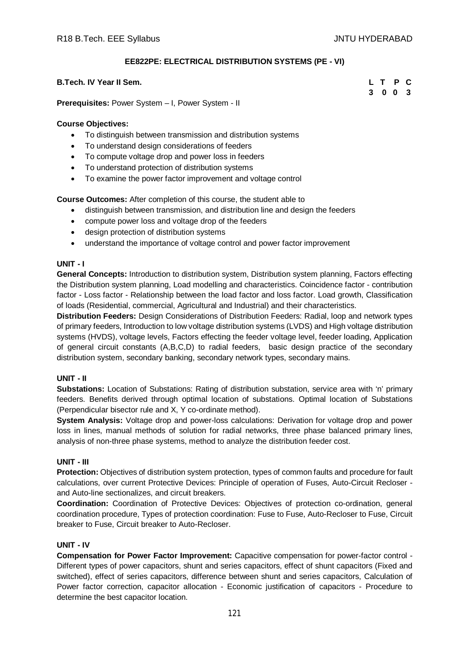## **EE822PE: ELECTRICAL DISTRIBUTION SYSTEMS (PE - VI)**

## **B.Tech. IV Year II Sem. L T P C**

**3 0 0 3**

**Prerequisites:** Power System – I, Power System - II

## **Course Objectives:**

- To distinguish between transmission and distribution systems
- To understand design considerations of feeders
- To compute voltage drop and power loss in feeders
- To understand protection of distribution systems
- To examine the power factor improvement and voltage control

**Course Outcomes:** After completion of this course, the student able to

- distinguish between transmission, and distribution line and design the feeders
- compute power loss and voltage drop of the feeders
- design protection of distribution systems
- understand the importance of voltage control and power factor improvement

### **UNIT - I**

**General Concepts:** Introduction to distribution system, Distribution system planning, Factors effecting the Distribution system planning, Load modelling and characteristics. Coincidence factor - contribution factor - Loss factor - Relationship between the load factor and loss factor. Load growth, Classification of loads (Residential, commercial, Agricultural and Industrial) and their characteristics.

**Distribution Feeders:** Design Considerations of Distribution Feeders: Radial, loop and network types of primary feeders, Introduction to low voltage distribution systems (LVDS) and High voltage distribution systems (HVDS), voltage levels, Factors effecting the feeder voltage level, feeder loading, Application of general circuit constants (A,B,C,D) to radial feeders, basic design practice of the secondary distribution system, secondary banking, secondary network types, secondary mains.

## **UNIT - II**

**Substations:** Location of Substations: Rating of distribution substation, service area with 'n' primary feeders. Benefits derived through optimal location of substations. Optimal location of Substations (Perpendicular bisector rule and X, Y co-ordinate method).

**System Analysis:** Voltage drop and power-loss calculations: Derivation for voltage drop and power loss in lines, manual methods of solution for radial networks, three phase balanced primary lines, analysis of non-three phase systems, method to analyze the distribution feeder cost.

## **UNIT - III**

**Protection:** Objectives of distribution system protection, types of common faults and procedure for fault calculations, over current Protective Devices: Principle of operation of Fuses, Auto-Circuit Recloser and Auto-line sectionalizes, and circuit breakers.

**Coordination:** Coordination of Protective Devices: Objectives of protection co-ordination, general coordination procedure, Types of protection coordination: Fuse to Fuse, Auto-Recloser to Fuse, Circuit breaker to Fuse, Circuit breaker to Auto-Recloser.

## **UNIT - IV**

**Compensation for Power Factor Improvement:** Capacitive compensation for power-factor control - Different types of power capacitors, shunt and series capacitors, effect of shunt capacitors (Fixed and switched), effect of series capacitors, difference between shunt and series capacitors, Calculation of Power factor correction, capacitor allocation - Economic justification of capacitors - Procedure to determine the best capacitor location.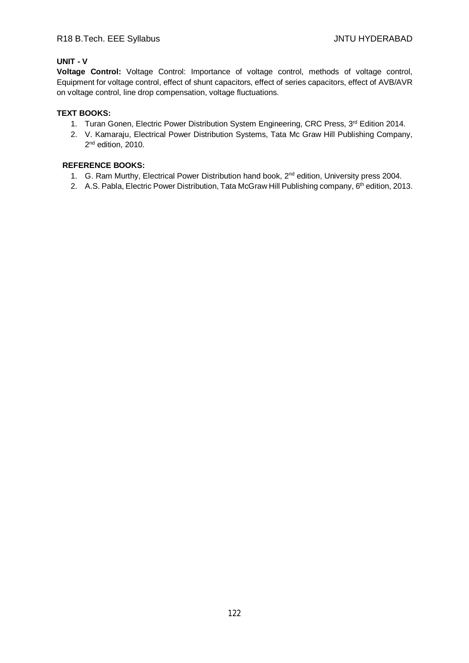# **UNIT - V**

**Voltage Control:** Voltage Control: Importance of voltage control, methods of voltage control, Equipment for voltage control, effect of shunt capacitors, effect of series capacitors, effect of AVB/AVR on voltage control, line drop compensation, voltage fluctuations.

## **TEXT BOOKS:**

- 1. Turan Gonen, Electric Power Distribution System Engineering, CRC Press, 3rd Edition 2014.
- 2. V. Kamaraju, Electrical Power Distribution Systems, Tata Mc Graw Hill Publishing Company, 2<sup>nd</sup> edition, 2010.

- 1. G. Ram Murthy, Electrical Power Distribution hand book, 2<sup>nd</sup> edition, University press 2004.
- 2. A.S. Pabla, Electric Power Distribution, Tata McGraw Hill Publishing company, 6<sup>th</sup> edition, 2013.